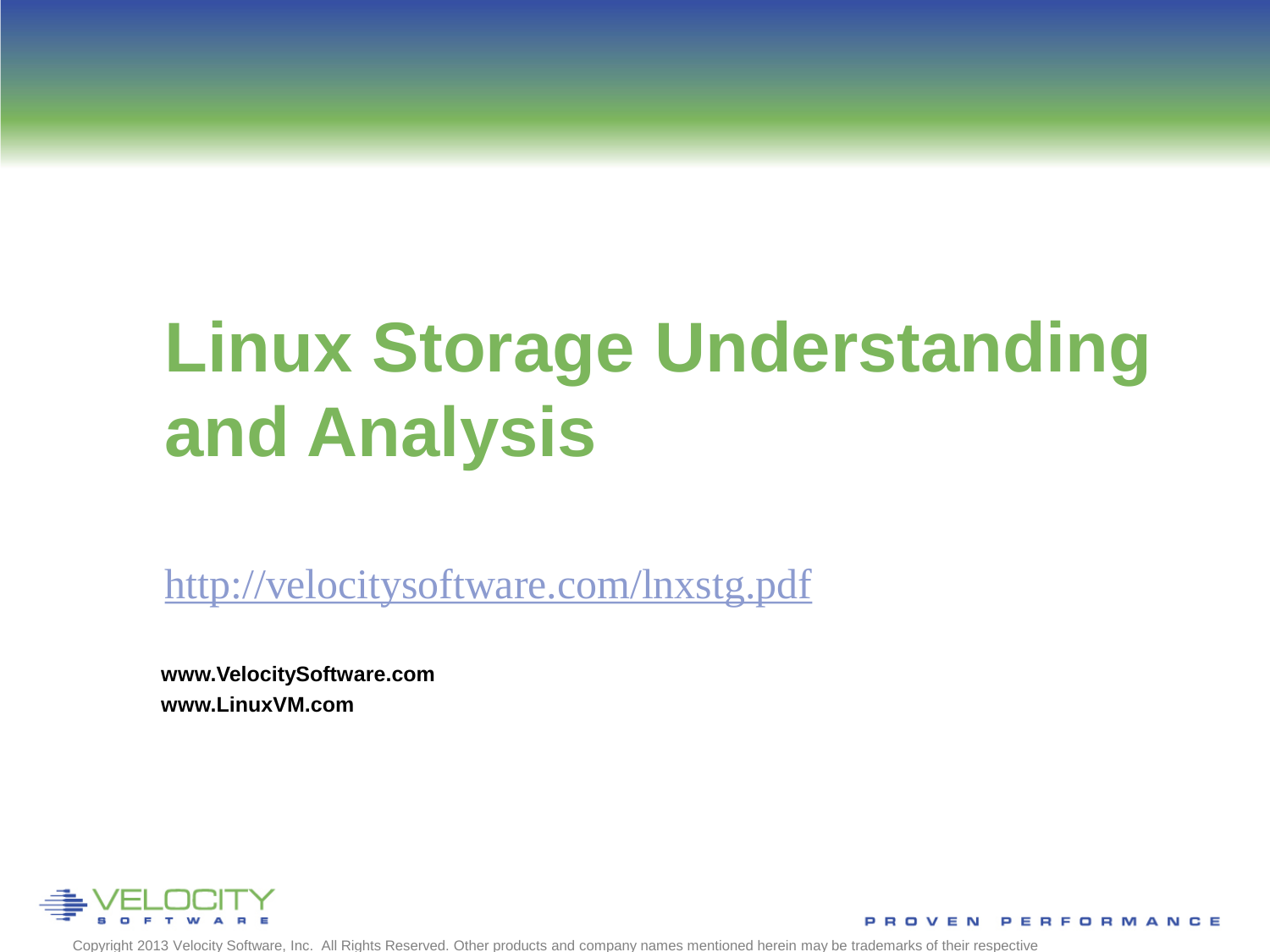# **Linux Storage Understanding and Analysis**

<http://velocitysoftware.com/lnxstg.pdf>

**www.VelocitySoftware.com www.LinuxVM.com**

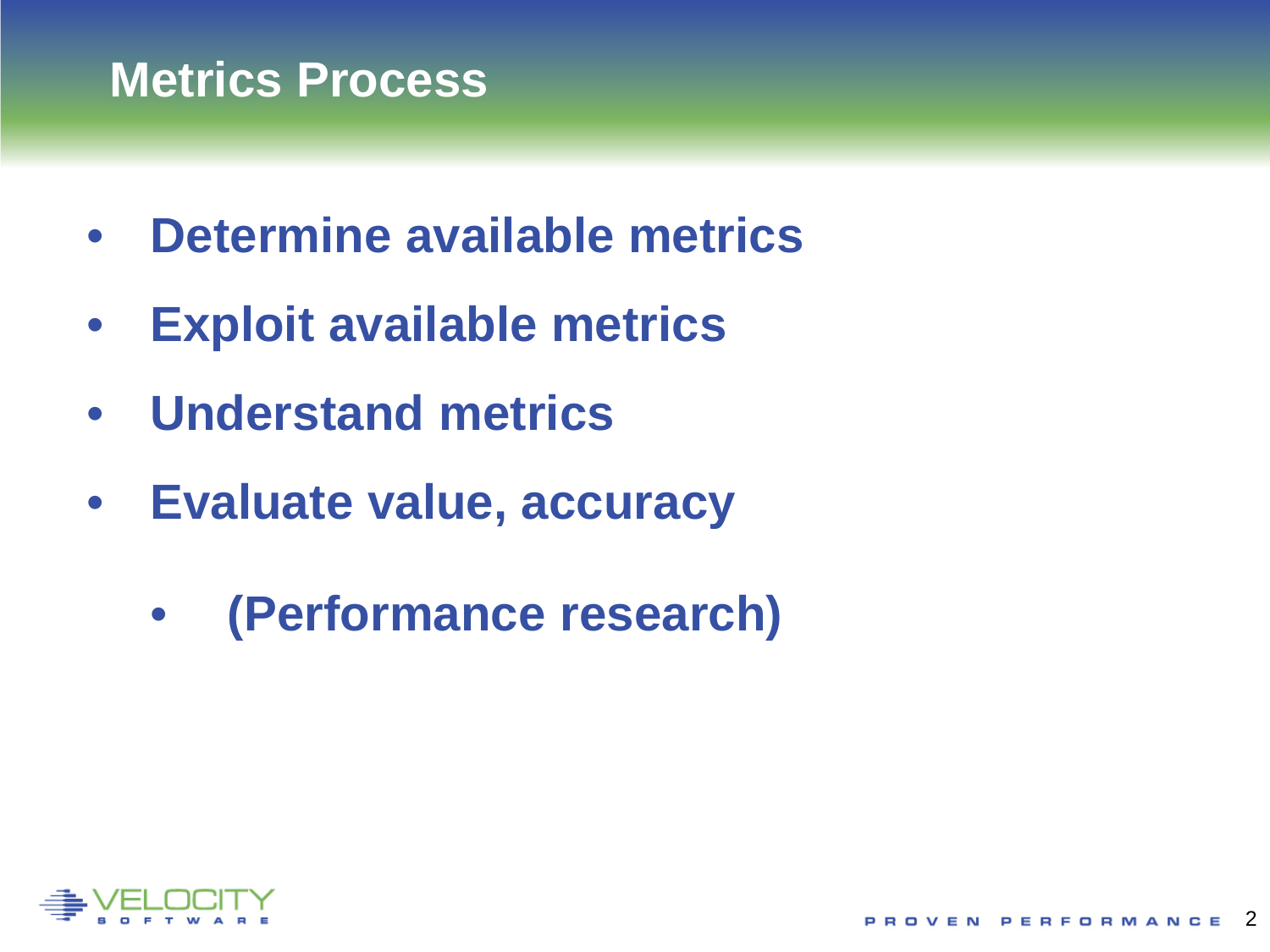### **Metrics Process**

- **Determine available metrics**
- **Exploit available metrics**
- **Understand metrics**
- **Evaluate value, accuracy**
	- **(Performance research)**

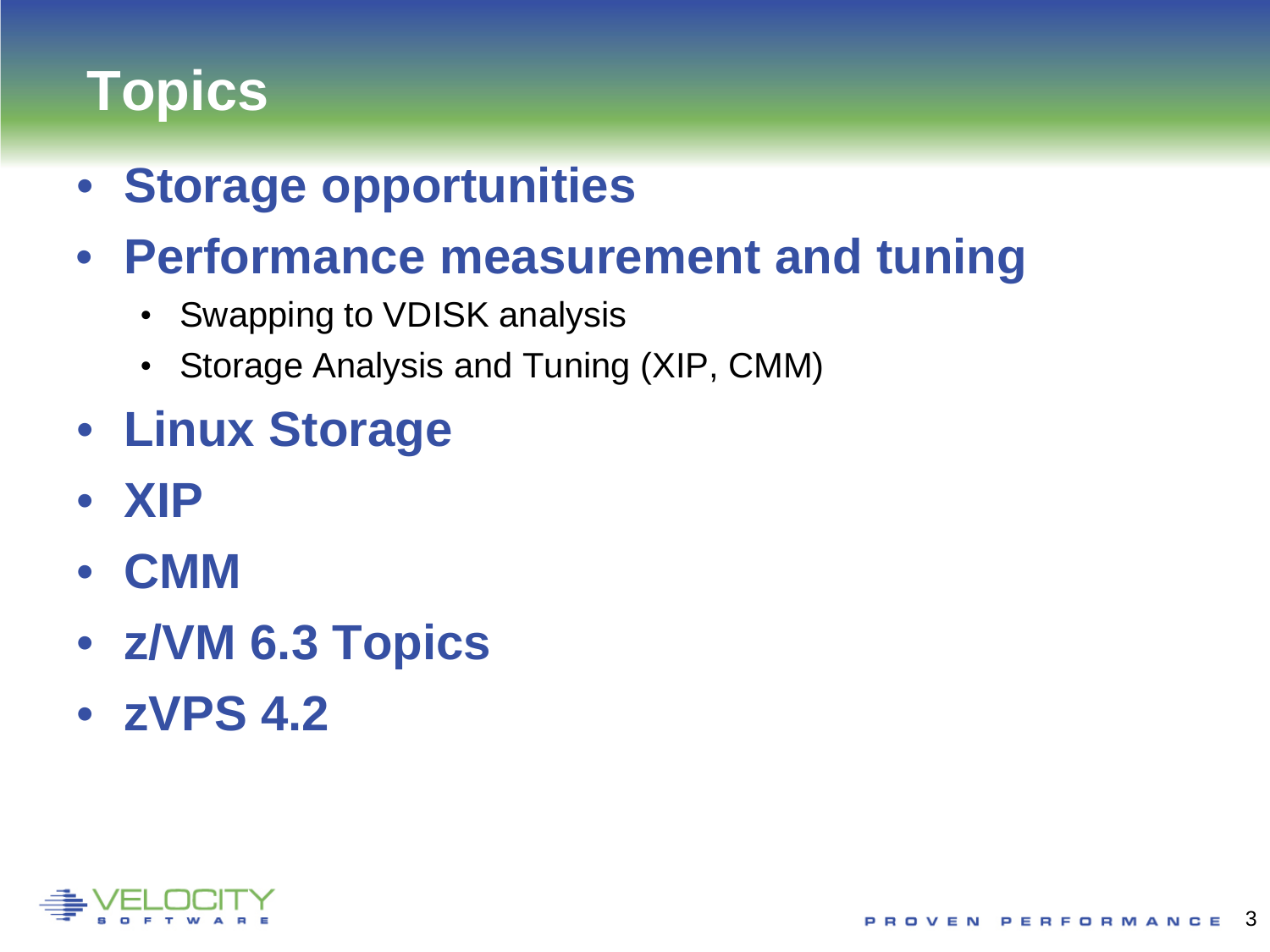# **Topics**

- **Storage opportunities**
- **Performance measurement and tuning**
	- Swapping to VDISK analysis
	- Storage Analysis and Tuning (XIP, CMM)
- **Linux Storage**
- **XIP**
- **CMM**
- **z/VM 6.3 Topics**
- **zVPS 4.2**

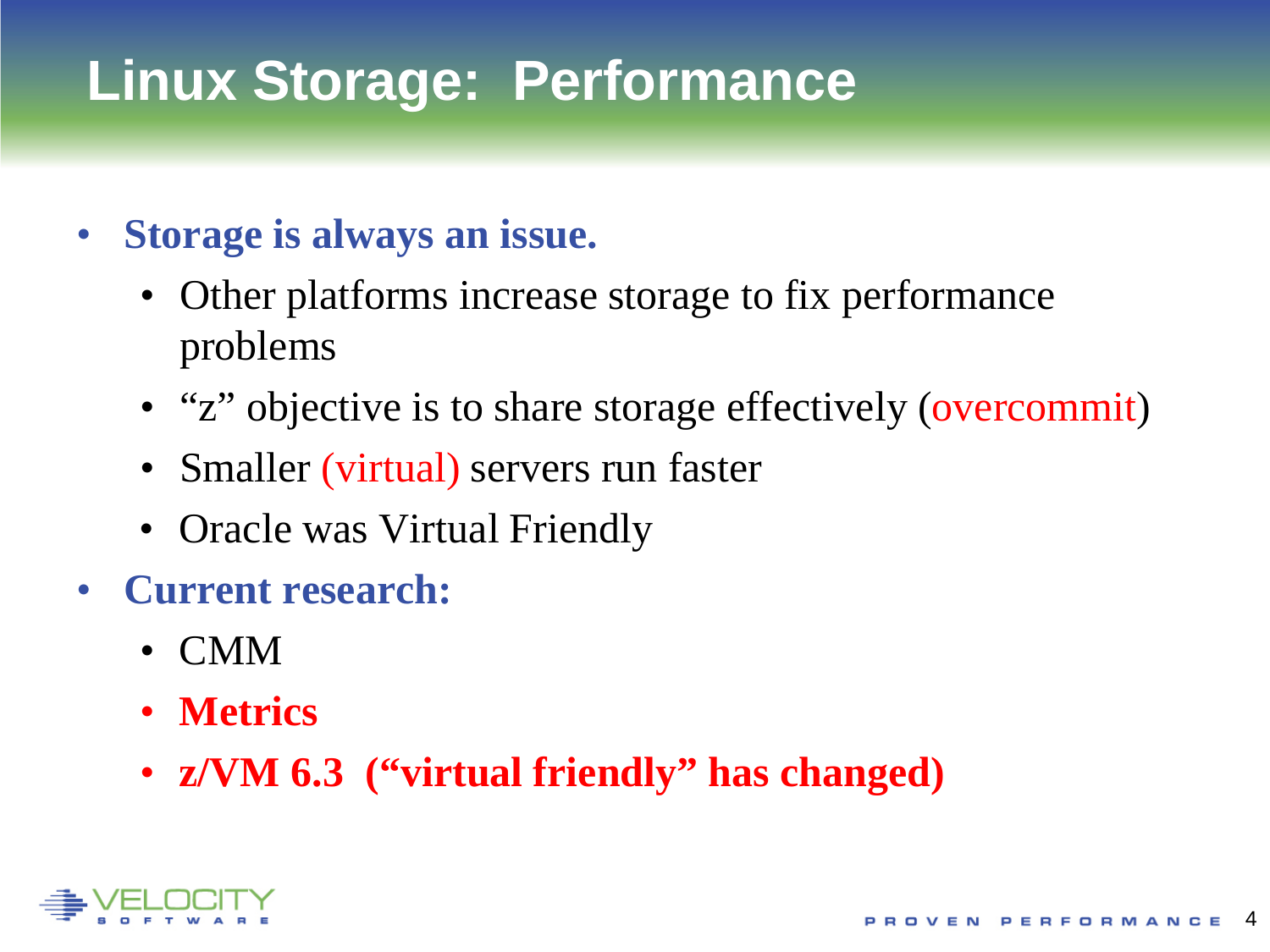# **Linux Storage: Performance**

- **Storage is always an issue.**
	- Other platforms increase storage to fix performance problems
	- "z" objective is to share storage effectively (overcommit)
	- Smaller (virtual) servers run faster
	- Oracle was Virtual Friendly
- **Current research:**
	- CMM
	- **Metrics**
	- **z/VM 6.3 ("virtual friendly" has changed)**

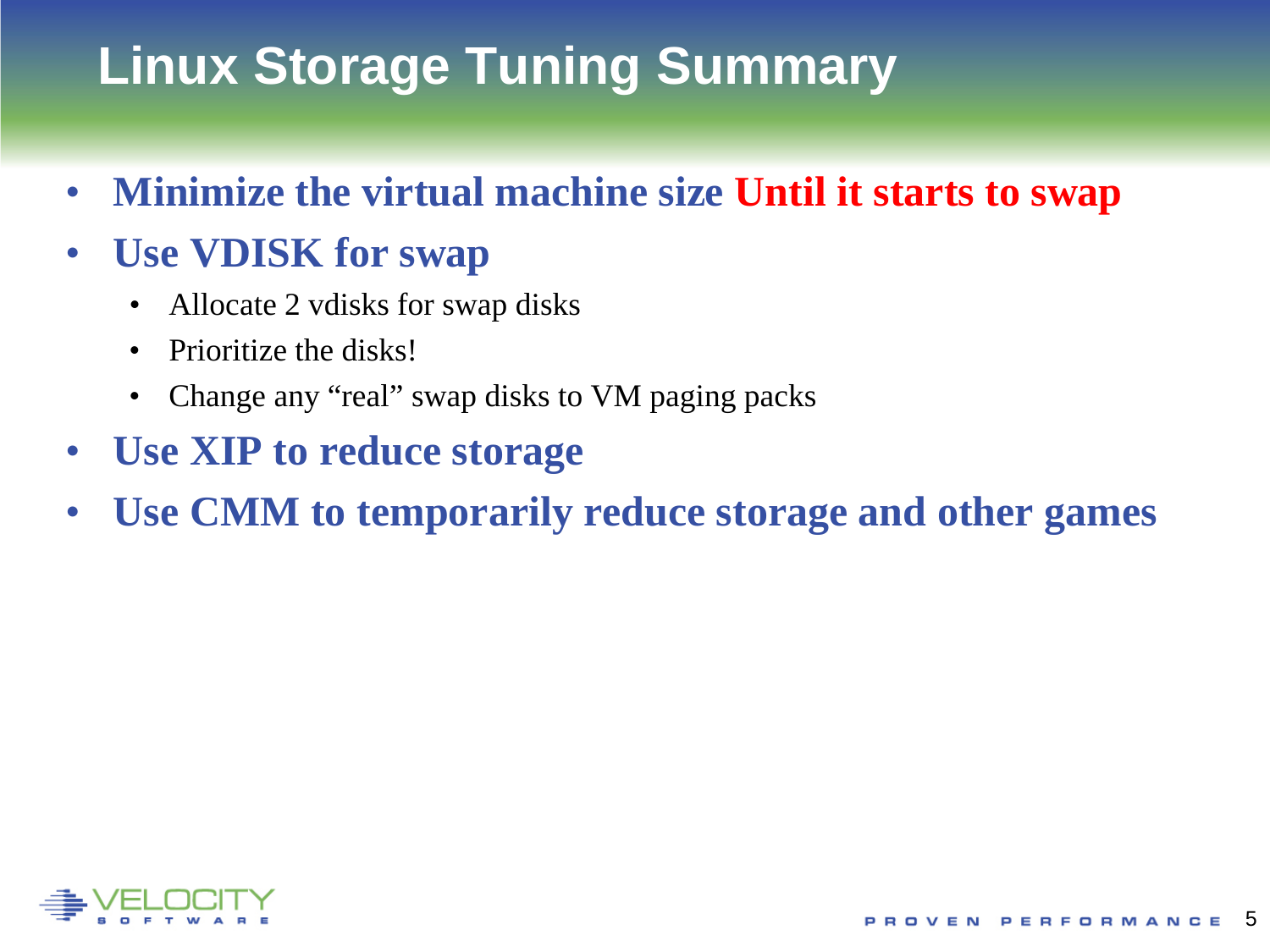# **Linux Storage Tuning Summary**

• **Minimize the virtual machine size Until it starts to swap**

#### • **Use VDISK for swap**

- Allocate 2 vdisks for swap disks
- Prioritize the disks!
- Change any "real" swap disks to VM paging packs
- **Use XIP to reduce storage**
- **Use CMM to temporarily reduce storage and other games**

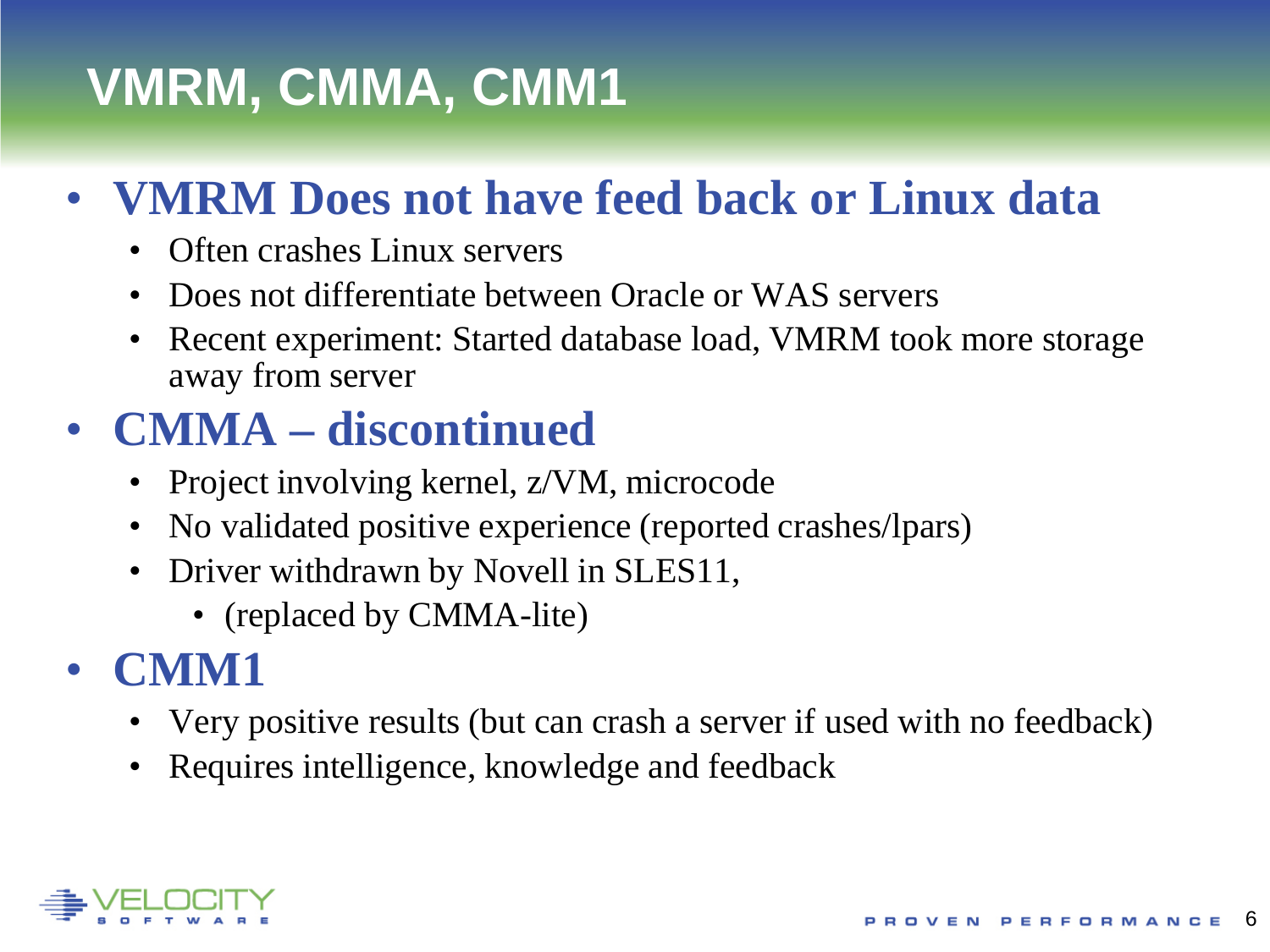# **VMRM, CMMA, CMM1**

## • **VMRM Does not have feed back or Linux data**

- Often crashes Linux servers
- Does not differentiate between Oracle or WAS servers
- Recent experiment: Started database load, VMRM took more storage away from server

## • **CMMA – discontinued**

- Project involving kernel, z/VM, microcode
- No validated positive experience (reported crashes/lpars)
- Driver withdrawn by Novell in SLES11,
	- (replaced by CMMA-lite)

### • **CMM1**

- Very positive results (but can crash a server if used with no feedback)
- Requires intelligence, knowledge and feedback

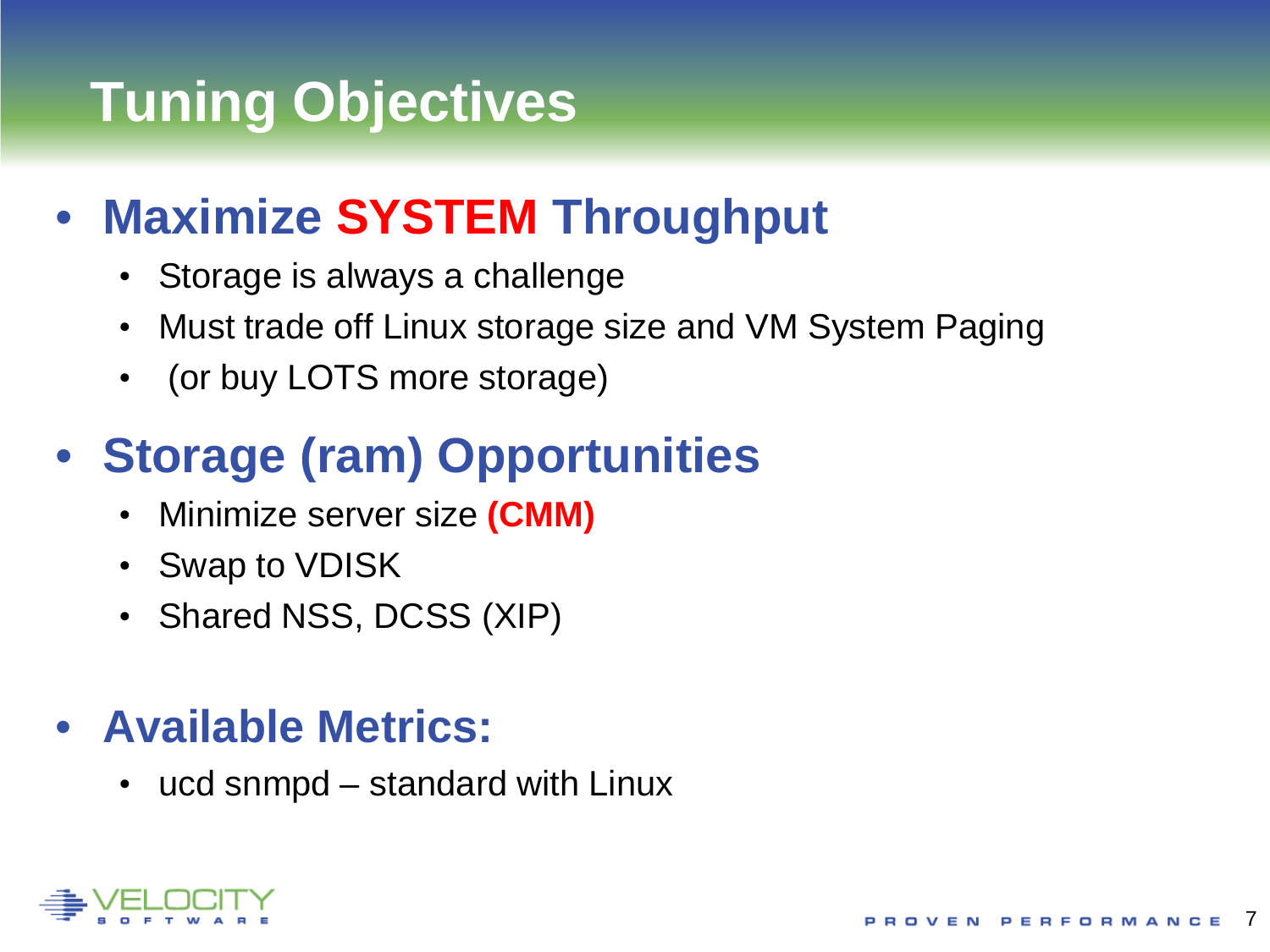# **Tuning Objectives**

## • **Maximize SYSTEM Throughput**

- Storage is always a challenge
- Must trade off Linux storage size and VM System Paging
- (or buy LOTS more storage)

## • **Storage (ram) Opportunities**

- Minimize server size **(CMM)**
- Swap to VDISK
- Shared NSS, DCSS (XIP)

### • **Available Metrics:**

• ucd snmpd – standard with Linux

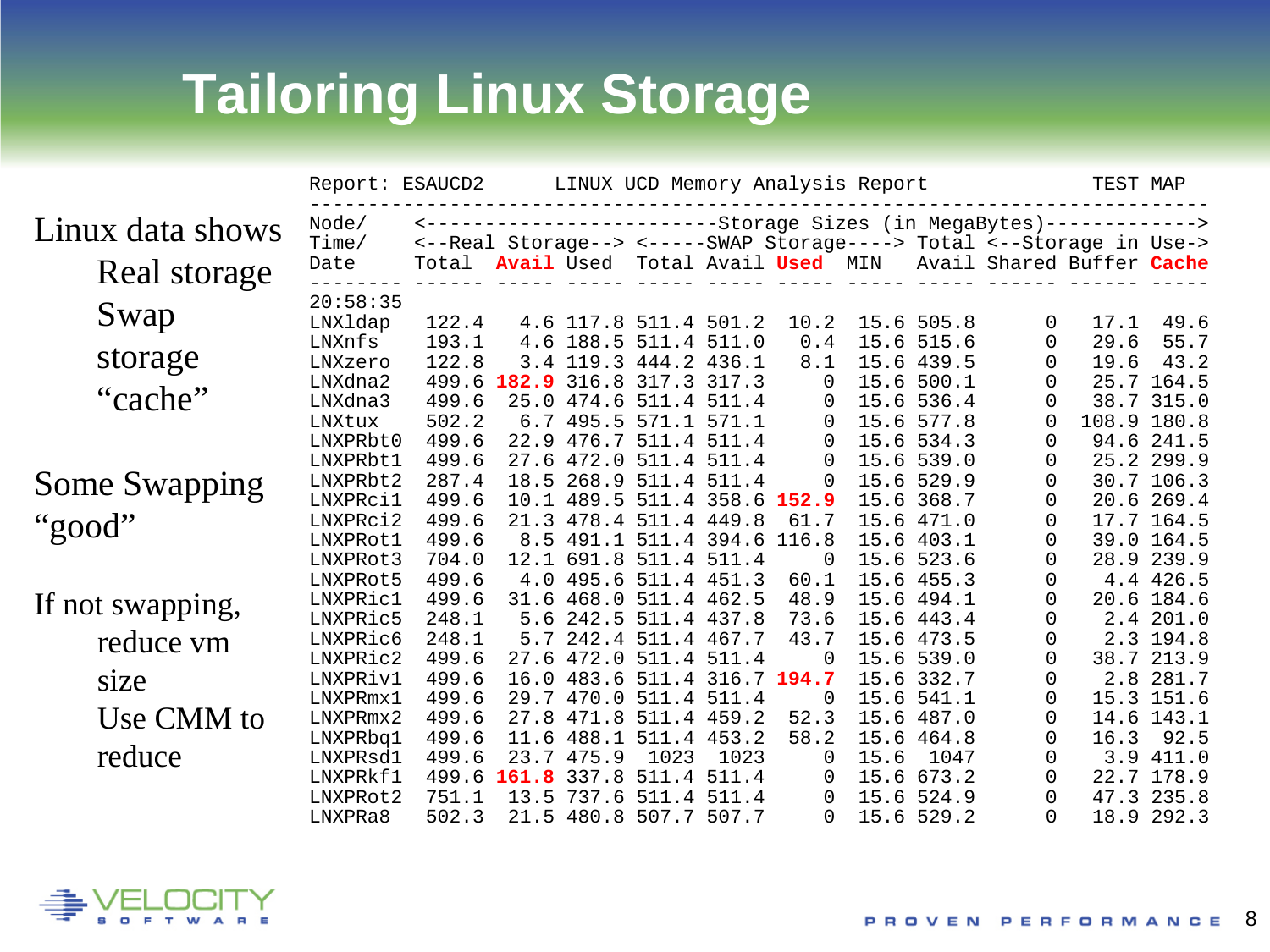# **Tailoring Linux Storage**

|                      | Report: ESAUCD2                  |                         | LINUX UCD Memory Analysis Report |                                                          |                                  |                                        |                    |      |                                        |                                                                                                                               | TEST MAP     |                              |  |  |
|----------------------|----------------------------------|-------------------------|----------------------------------|----------------------------------------------------------|----------------------------------|----------------------------------------|--------------------|------|----------------------------------------|-------------------------------------------------------------------------------------------------------------------------------|--------------|------------------------------|--|--|
| Linux data shows     | Node/<br>Time/                   |                         |                                  |                                                          |                                  |                                        |                    |      |                                        | -----------Storage Sizes (in MegaBytes)-------------><br><--Real Storage--> <-----SWAP Storage----> Total <--Storage in Use-> |              |                              |  |  |
| Real storage         | Date                             | Total                   |                                  | Avail Used Total Avail Used MIN                          |                                  |                                        |                    |      |                                        | Avail Shared Buffer Cache                                                                                                     |              |                              |  |  |
| Swap                 | 20:58:35<br>LNXldap              | 122.4                   |                                  | 4.6 117.8 511.4 501.2                                    |                                  |                                        | 10.2               |      | 15.6 505.8                             | 0                                                                                                                             | 17.1         | 49.6                         |  |  |
| storage              | LNXnfs<br>LNXzero                | 193.1<br>122.8          |                                  | 4.6 188.5 511.4 511.0<br>3.4 119.3 444.2 436.1           |                                  |                                        | 0.4<br>8.1         |      | 15.6 515.6<br>15.6 439.5               | 0<br>0                                                                                                                        | 29.6<br>19.6 | 55.7<br>43.2                 |  |  |
| "cache"              | LNXdna2<br>LNXdna3<br>LNXtux     | 499.6<br>499.6<br>502.2 | 182.9                            | 316.8<br>25.0 474.6 511.4 511.4<br>6.7 495.5 571.1 571.1 | 317.3 317.3                      |                                        | $\Omega$<br>0<br>0 |      | 15.6 500.1<br>15.6 536.4<br>15.6 577.8 | 0<br>0<br>0                                                                                                                   | 108.9 180.8  | 25.7 164.5<br>38.7 315.0     |  |  |
|                      | LNXPRbt0<br>LNXPRbt1             | 499.6<br>499.6          | 22.9<br>27.6                     | 476.7                                                    | 511.4 511.4<br>472.0 511.4 511.4 |                                        | 0<br>$\mathbf 0$   |      | 15.6 534.3<br>15.6 539.0               | 0<br>0                                                                                                                        |              | 94.6 241.5<br>25.2 299.9     |  |  |
| <b>Some Swapping</b> | LNXPRbt2<br>LNXPRci1             | 287.4<br>499.6          | 18.5<br>10.1                     | 268.9                                                    |                                  | 511.4 511.4<br>489.5 511.4 358.6 152.9 | $\overline{0}$     |      | 15.6 529.9<br>15.6 368.7               | 0<br>0                                                                                                                        |              | 30.7 106.3<br>20.6 269.4     |  |  |
| "good"               | LNXPRci2<br>LNXPRot1             | 499.6<br>499.6          | 21.3<br>8.5                      | 478.4                                                    | 491.1 511.4 394.6                | 511.4 449.8                            | 61.7<br>116.8      | 15.6 | 15.6 471.0<br>403.1                    | 0<br>0                                                                                                                        |              | 17.7 164.5<br>39.0 164.5     |  |  |
|                      | LNXPRot3<br>LNXPRot5             | 704.0<br>499.6          | 12.1                             | 691.8<br>4.0 495.6 511.4 451.3                           |                                  | 511.4 511.4                            | 0<br>60.1          |      | 15.6 523.6<br>15.6 455.3               | 0                                                                                                                             |              | 28.9 239.9<br>4.4 426.5      |  |  |
| If not swapping,     | LNXPRic1<br>LNXPRic5             | 499.6<br>248.1          | 31.6<br>5.6                      | 242.5                                                    | 468.0 511.4 462.5<br>511.4 437.8 |                                        | 48.9<br>73.6       |      | 15.6 494.1<br>15.6 443.4               | 0<br>0                                                                                                                        | 20.6         | 184.6<br>2.4 201.0           |  |  |
| reduce vm            | LNXPRic6<br>LNXPRic2             | 248.1<br>499.6          | 5.7                              | 242.4<br>27.6 472.0 511.4 511.4                          | 511.4 467.7                      |                                        | 43.7<br>$\Omega$   |      | 15.6 473.5<br>15.6 539.0               | 0<br>0                                                                                                                        |              | 2.3 194.8<br>38.7 213.9      |  |  |
| size<br>Use CMM to   | LNXPRiv1<br>LNXPRmx1             | 499.6<br>499.6          | 16.0<br>29.7                     | 483.6<br>470.0<br>471.8                                  | 511.4 316.7<br>511.4 511.4       | 511.4 459.2                            | 194.7<br>0<br>52.3 |      | 15.6 332.7<br>15.6 541.1               | 0<br>0                                                                                                                        | 2.8<br>14.6  | 281.7<br>15.3 151.6<br>143.1 |  |  |
| reduce               | LNXPRmx2<br>LNXPRbq1<br>LNXPRsd1 | 499.6<br>499.6<br>499.6 | 27.8<br>11.6<br>23.7             | 488.1<br>475.9                                           | 1023                             | 511.4 453.2<br>1023                    | 58.2<br>$\Omega$   | 15.6 | 15.6 487.0<br>15.6 464.8<br>1047       | 0<br>0<br>0                                                                                                                   | 16.3         | 92.5<br>3.9 411.0            |  |  |
|                      | LNXPRkf1<br>LNXPRot2             | 499.6<br>751.1          | 161.8<br>13.5                    | 337.8<br>737.6                                           |                                  | 511.4 511.4<br>511.4 511.4             | 0<br>$\Omega$      |      | 15.6 673.2<br>15.6 524.9               | 0<br>0                                                                                                                        |              | 22.7 178.9<br>47.3 235.8     |  |  |
|                      | LNXPRa8                          | 502.3                   |                                  | 21.5 480.8 507.7 507.7                                   |                                  |                                        | $\Omega$           |      | 15.6 529.2                             | <sup>0</sup>                                                                                                                  |              | 18.9 292.3                   |  |  |

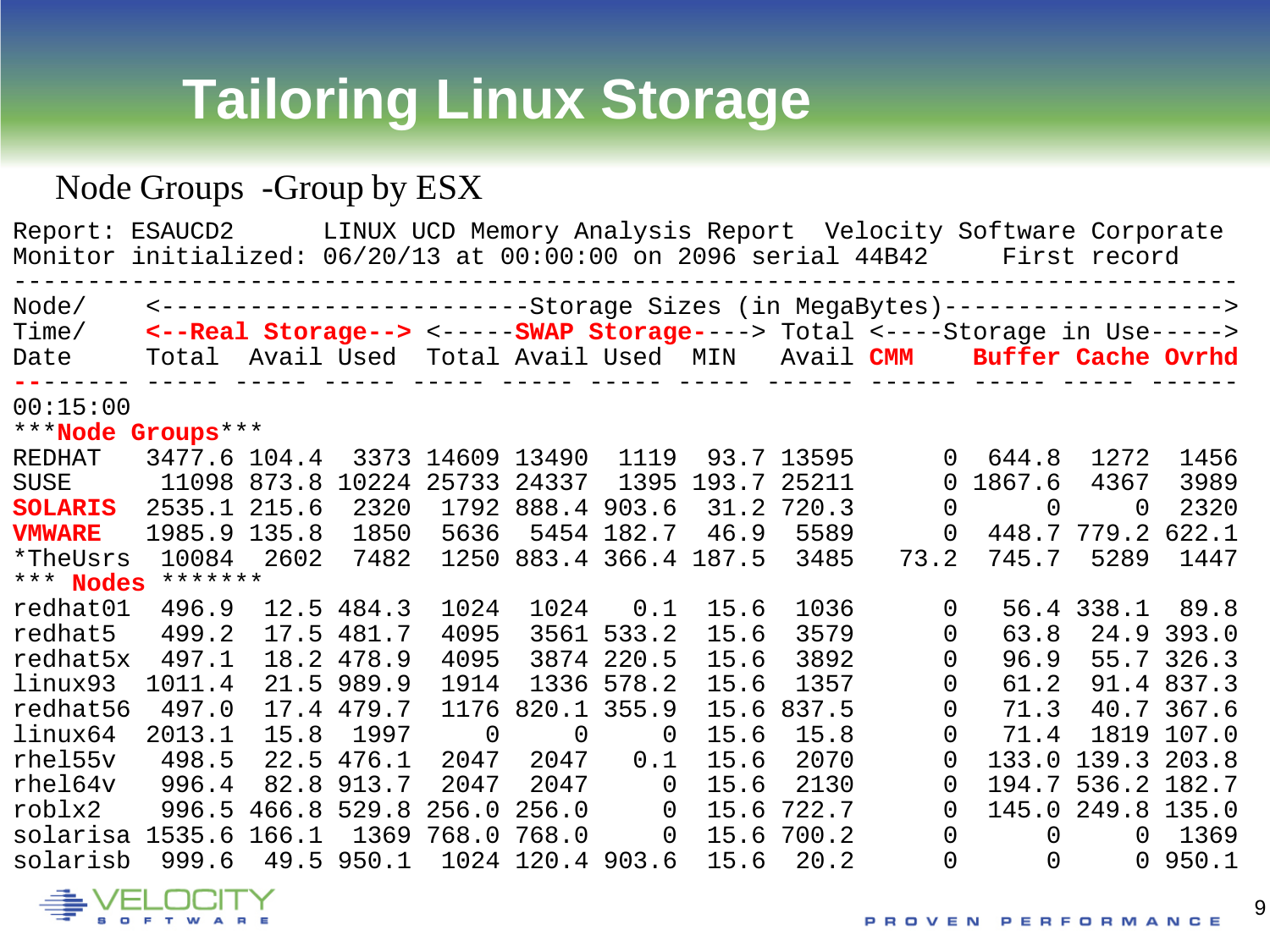# **Tailoring Linux Storage**

#### Node Groups -Group by ESX

Report: ESAUCD2 LINUX UCD Memory Analysis Report Velocity Software Corporate Monitor initialized: 06/20/13 at 00:00:00 on 2096 serial 44B42 First record ----------------------------------------------------------------------------------- Node/ <-------------------------Storage Sizes (in MegaBytes)-------------------> Time/ **<--Real Storage-->** <-----**SWAP Storage-**---> Total <----Storage in Use-----> Total Avail Used Total Avail Used MIN Avail **CMM Buffer Cache Ovrhd --**------ ----- ----- ----- ----- ----- ----- ----- ------ ------ ----- ----- ------ 00:15:00 \*\*\***Node Groups**\*\*\*<br>REDHAT 3477.6 104.4 REDHAT 3477.6 104.4 3373 14609 13490 1119 93.7 13595 0 644.8 1272 1456 SUSE 11098 873.8 10224 25733 24337 1395 193.7 25211 0 1867.6 4367 3989 **SOLARIS** 2535.1 215.6 2320 1792 888.4 903.6 31.2 720.3 0<br> **VMWARE** 1985.9 135.8 1850 5636 5454 182.7 46.9 5589 0 **VMWARE** 1985.9 135.8 1850 5636 5454 182.7 46.9 5589 0 448.7 779.2 622.1 1250 883.4 366.4 187.5 \*\*\* **Nodes** \*\*\*\*\*\*\*<br>redhat01 496.9 12.5 484.3 redhat01 496.9 12.5 484.3 1024 1024 0.1 15.6 1036 0 56.4 338.1 89.8 redhat5 499.2 17.5 481.7 4095 3561 533.2 15.6 3579 0 63.8 24.9 393.0 redhat5x 497.1 18.2 478.9 4095 3874 220.5 15.6 3892 0 96.9 55.7 326.3 linux93 1011.4 21.5 989.9 1914 1336 578.2 15.6 1357 0 61.2 91.4 837.3 redhat56 497.0 17.4 479.7 1176 820.1 355.9 15.6 837.5 0 71.3 40.7 367.6<br>linux64 2013.1 15.8 1997 0 0 0 15.6 15.8 0 71.4 1819 107.0 linux64 2013.1 15.8 1997 0 0 0 15.6 15.8 0 71.4 1819 107.0 rhel55v 498.5 22.5 476.1 2047 2047 0.1 15.6 2070 0 133.0 139.3 203.8 7047 2047 0 15.6 2130 0 194.7 536.2 182.7<br>256.0 256.0 0 15.6 722.7 0 145.0 249.8 135.0 roblx2 996.5 466.8 529.8 256.0 256.0 0 15.6 722.7 0 145.0 249.8 135.0 solarisa 1535.6 166.1 1369 768.0 768.0 0 15.6 700.2 0 0 0 1369 1024 120.4 903.6



9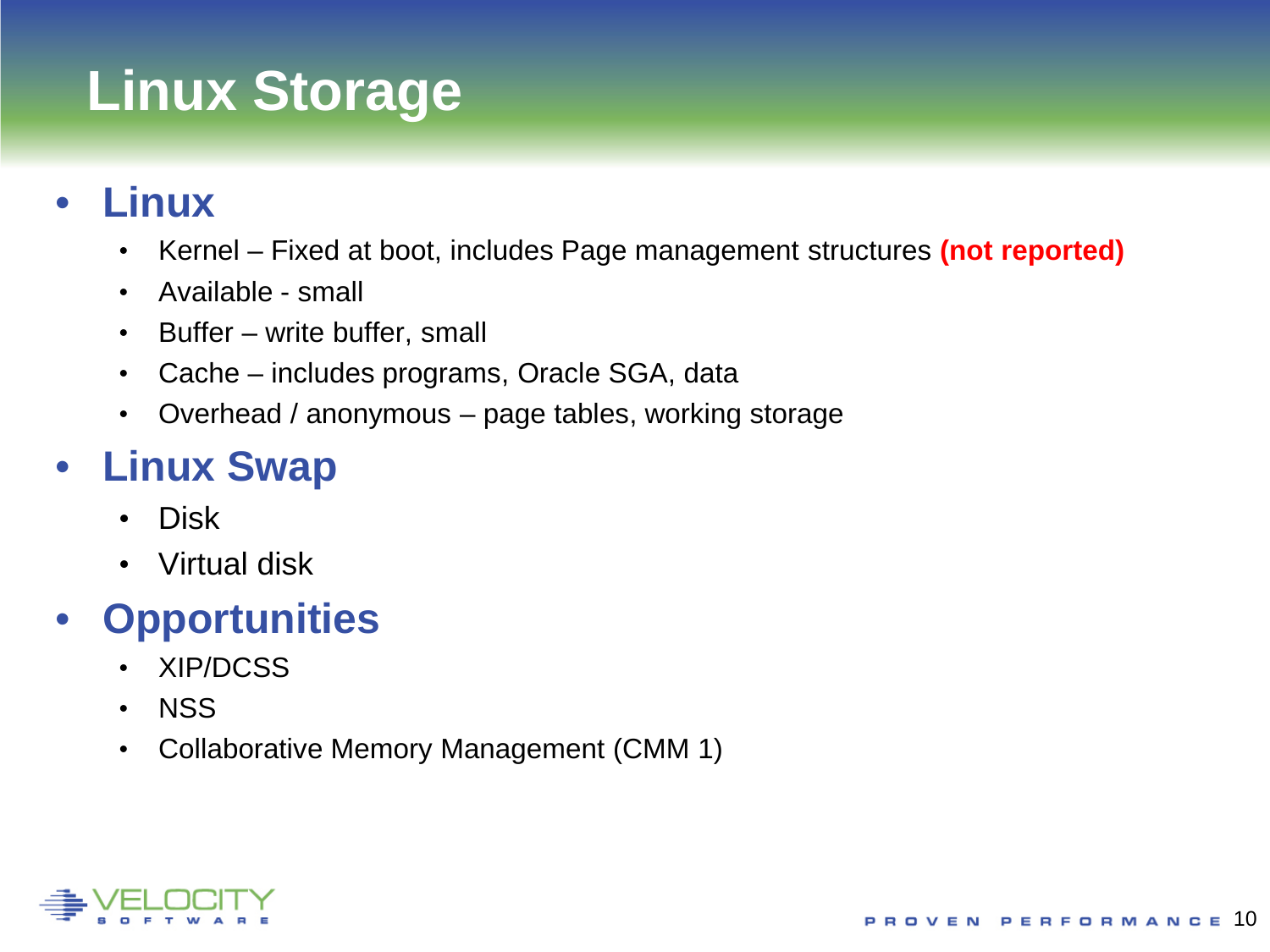# **Linux Storage**

#### • **Linux**

- Kernel Fixed at boot, includes Page management structures **(not reported)**
- Available small
- Buffer write buffer, small
- Cache includes programs, Oracle SGA, data
- Overhead / anonymous page tables, working storage

### • **Linux Swap**

- Disk
- Virtual disk

### • **Opportunities**

- XIP/DCSS
- NSS
- Collaborative Memory Management (CMM 1)

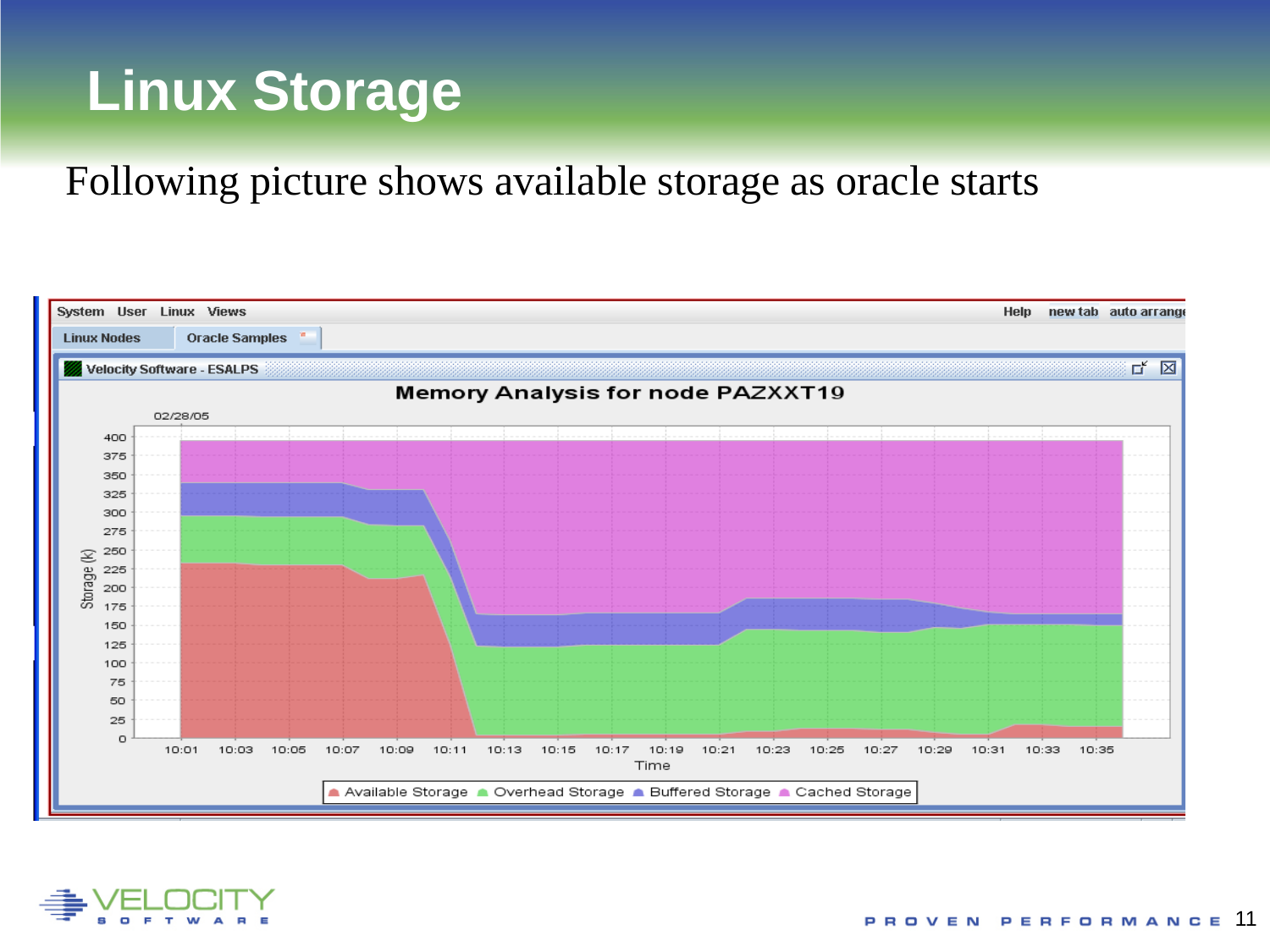# **Linux Storage**

#### Following picture shows available storage as oracle starts



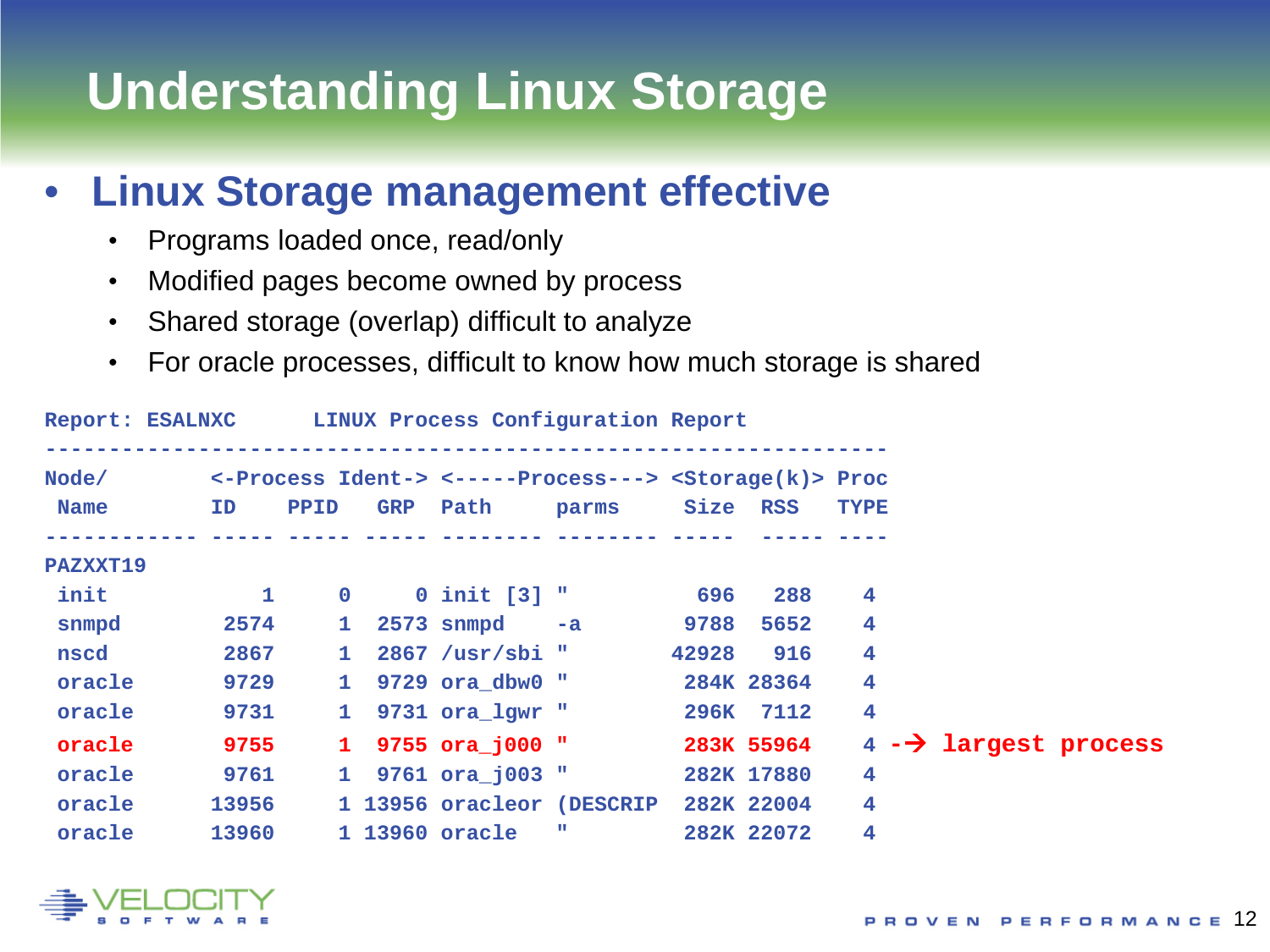# **Understanding Linux Storage**

#### • **Linux Storage management effective**

- Programs loaded once, read/only
- Modified pages become owned by process
- Shared storage (overlap) difficult to analyze
- For oracle processes, difficult to know how much storage is shared

|          |           |              |              | Report: ESALNXC LINUX Process Configuration Report                       |      |            |                |                                     |  |
|----------|-----------|--------------|--------------|--------------------------------------------------------------------------|------|------------|----------------|-------------------------------------|--|
|          |           |              |              | Node/ <-Process Ident-> <-----Process---> <storage(k)> Proc</storage(k)> |      |            |                |                                     |  |
| Name     | <b>ID</b> |              | PPID         | GRP Path parms Size RSS                                                  |      |            | TYPE           |                                     |  |
|          |           |              |              |                                                                          |      |            |                |                                     |  |
| PAZXXT19 |           |              |              |                                                                          |      |            |                |                                     |  |
| init     |           | $\mathbf{1}$ | $\mathbf{0}$ | $0$ init $[3]$ "                                                         | 696  | 288        | $\overline{4}$ |                                     |  |
| snmpd    |           | 2574         | $\mathbf{1}$ | $2573$ snmpd $-a$                                                        | 9788 | 5652       | 4              |                                     |  |
| nscd     |           | 2867         | $\mathbf{1}$ | $2867$ /usr/sbi "                                                        |      | 42928 916  | 4              |                                     |  |
| oracle   |           | 9729         | $\mathbf{1}$ | 9729 ora dbw0 "                                                          |      | 284K 28364 | 4              |                                     |  |
| oracle   |           | 9731         | $\mathbf{1}$ | 9731 ora_lgwr "                                                          |      | 296K 7112  | 4              |                                     |  |
| oracle   |           | 9755         |              | 1 9755 ora j000 "                                                        |      | 283K 55964 |                | $4$ - $\rightarrow$ largest process |  |
| oracle   |           | 9761         |              | 1 9761 ora j003 "                                                        |      | 282K 17880 | 4              |                                     |  |
| oracle   |           | 13956        |              | 1 13956 oracleor (DESCRIP                                                |      | 282K 22004 | 4              |                                     |  |
| oracle   |           | 13960        |              | 1 13960 oracle "                                                         |      | 282K 22072 | 4              |                                     |  |

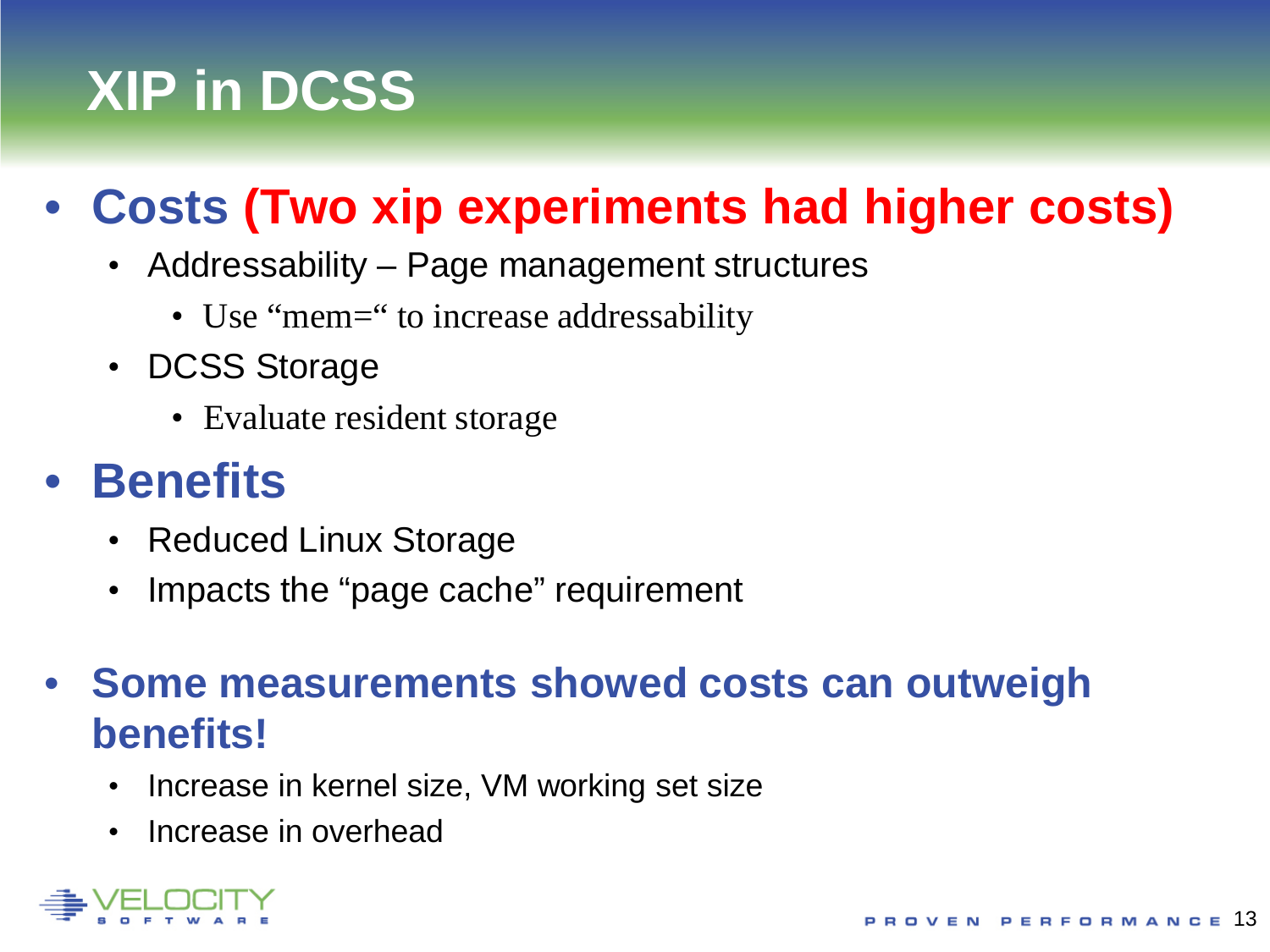# **XIP in DCSS**

# • **Costs (Two xip experiments had higher costs)**

- Addressability Page management structures
	- Use "mem=" to increase addressability
- DCSS Storage
	- Evaluate resident storage

### • **Benefits**

- Reduced Linux Storage
- Impacts the "page cache" requirement
- **Some measurements showed costs can outweigh benefits!** 
	- Increase in kernel size, VM working set size
	- Increase in overhead

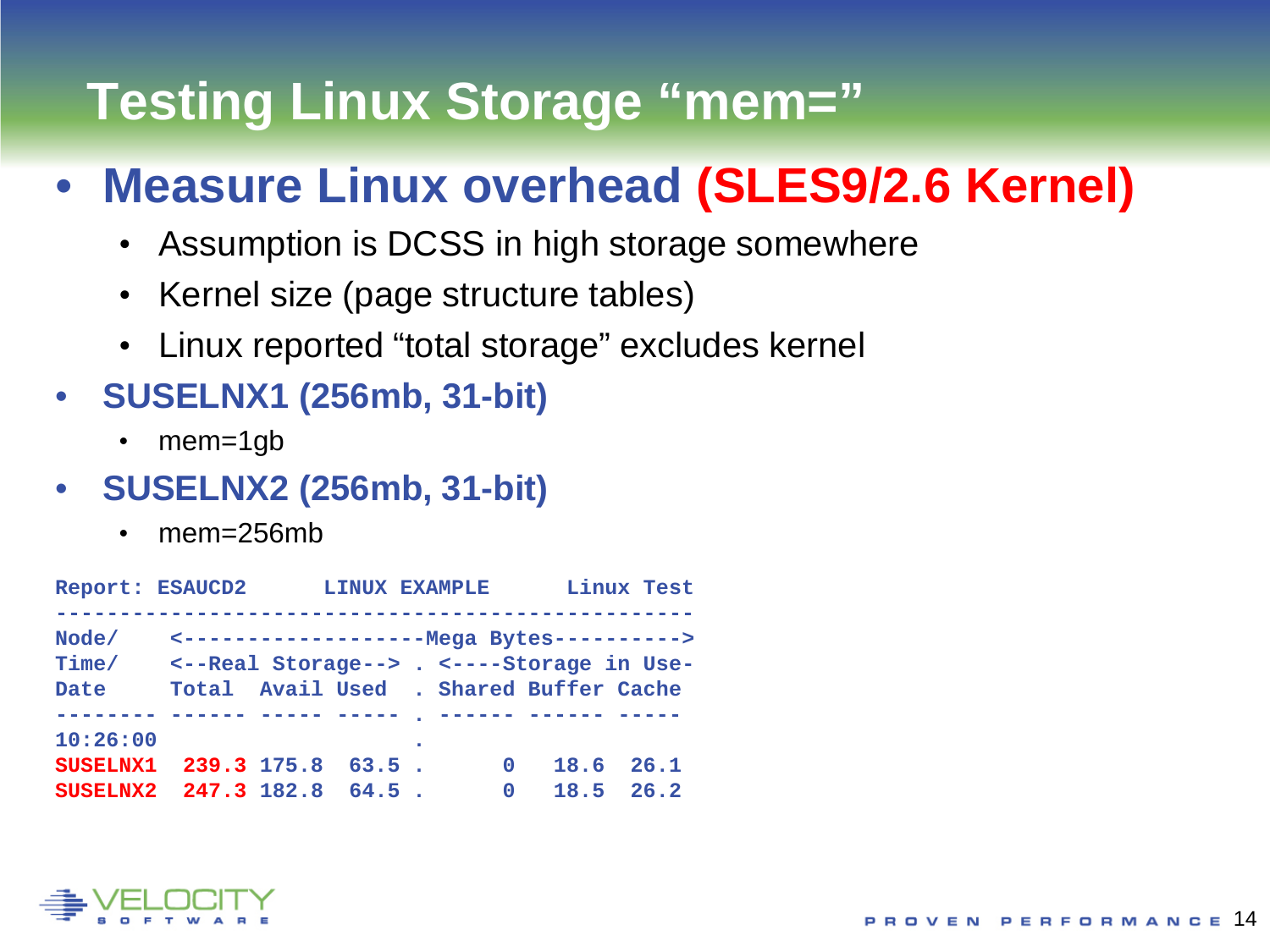# **Testing Linux Storage "mem="**

### • **Measure Linux overhead (SLES9/2.6 Kernel)**

- Assumption is DCSS in high storage somewhere
- Kernel size (page structure tables)
- Linux reported "total storage" excludes kernel
- **SUSELNX1 (256mb, 31-bit)**
	- mem=1gb
- **SUSELNX2 (256mb, 31-bit)**
	- mem=256mb

| Report: ESAUCD2        |             | LINUX EXAMPLE |             |                                                                                                                                        | Linux Test    |
|------------------------|-------------|---------------|-------------|----------------------------------------------------------------------------------------------------------------------------------------|---------------|
| Node/<br>Time/<br>Date |             |               |             | <----------------------- Mega Bytes ----------><br><--Real Storage--> . <----Storage in Use-<br>Total Avail Used . Shared Buffer Cache |               |
|                        |             |               |             |                                                                                                                                        |               |
| 10:26:00               |             |               |             |                                                                                                                                        |               |
| <b>SUSELNX1</b>        | 239.3 175.8 | $63.5$ .      | $\mathbf 0$ |                                                                                                                                        | 18.6 26.1     |
| SUSELNX2 247.3 182.8   |             | $64.5$ .      | $\Omega$    |                                                                                                                                        | $18.5$ $26.2$ |

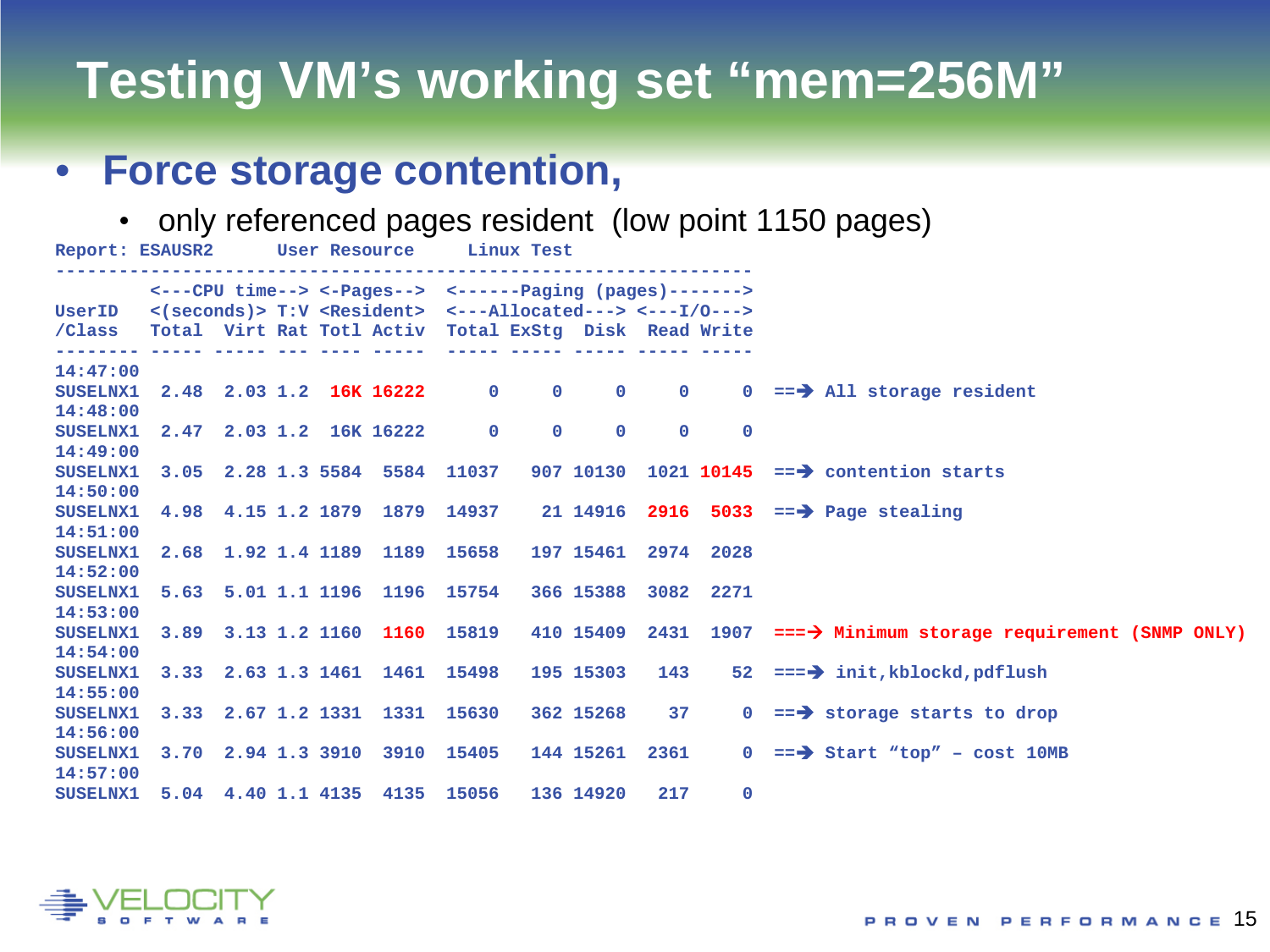## **Testing VM's working set "mem=256M"**

#### • **Force storage contention,**

• only referenced pages resident (low point 1150 pages)

| Report: ESAUSR2 User Resource Linux Test                                               |  |  |                                                                                              |                       |     |                |                                                                                                |
|----------------------------------------------------------------------------------------|--|--|----------------------------------------------------------------------------------------------|-----------------------|-----|----------------|------------------------------------------------------------------------------------------------|
|                                                                                        |  |  | $\leftarrow$ ---CPU time--> $\leftarrow$ -Pages--> $\leftarrow$ ------Paging (pages)-------> |                       |     |                |                                                                                                |
| UserID <(seconds)> T:V <resident> &lt;---Allocated---&gt; &lt;---I/0---&gt;</resident> |  |  |                                                                                              |                       |     |                |                                                                                                |
| /Class Total Virt Rat Totl Activ Total ExStq Disk Read Write                           |  |  |                                                                                              |                       |     |                |                                                                                                |
| 14:47:00                                                                               |  |  |                                                                                              |                       |     |                |                                                                                                |
| <b>SUSELNX1</b>                                                                        |  |  |                                                                                              |                       |     |                | 2.48 2.03 1.2 16K 16222 0 0 0 0 0 == $\rightarrow$ All storage resident                        |
| 14:48:00                                                                               |  |  |                                                                                              |                       |     |                |                                                                                                |
| <b>SUSELNX1</b>                                                                        |  |  | 2.47 2.03 1.2 16K 16222 0                                                                    | $0 \qquad 0 \qquad 0$ |     | $\overline{0}$ |                                                                                                |
| 14:49:00                                                                               |  |  |                                                                                              |                       |     |                |                                                                                                |
| <b>SUSELNX1</b>                                                                        |  |  |                                                                                              |                       |     |                | 3.05 2.28 1.3 5584 5584 11037 907 10130 1021 10145 == $\rightarrow$ contention starts          |
| 14:50:00                                                                               |  |  |                                                                                              |                       |     |                |                                                                                                |
| <b>SUSELNX1</b>                                                                        |  |  |                                                                                              |                       |     |                | 4.98 4.15 1.2 1879 1879 14937 21 14916 2916 5033 == $\rightarrow$ Page stealing                |
| 14:51:00                                                                               |  |  |                                                                                              |                       |     |                |                                                                                                |
| <b>SUSELNX1</b>                                                                        |  |  | 2.68 1.92 1.4 1189 1189 15658                                                                | 197 15461 2974 2028   |     |                |                                                                                                |
| 14:52:00                                                                               |  |  |                                                                                              |                       |     |                |                                                                                                |
| <b>SUSELNX1</b>                                                                        |  |  | 5.63 5.01 1.1 1196 1196 15754                                                                | 366 15388 3082 2271   |     |                |                                                                                                |
| 14:53:00                                                                               |  |  |                                                                                              |                       |     |                |                                                                                                |
| <b>SUSELNX1</b>                                                                        |  |  |                                                                                              |                       |     |                | 3.89 3.13 1.2 1160 1160 15819 410 15409 2431 1907 ===> Minimum storage requirement (SNMP ONLY) |
| 14:54:00                                                                               |  |  |                                                                                              |                       |     |                |                                                                                                |
| <b>SUSELNX1</b>                                                                        |  |  | 3.33 2.63 1.3 1461 1461 15498                                                                |                       |     |                | 195 15303 143 52 === $\rightarrow$ init, kblockd, pdflush                                      |
| 14:55:00                                                                               |  |  |                                                                                              |                       |     |                |                                                                                                |
| <b>SUSELNX1</b>                                                                        |  |  | 3.33 2.67 1.2 1331 1331 15630                                                                |                       |     |                | 362 15268 37 0 == $\rightarrow$ storage starts to drop                                         |
| 14:56:00                                                                               |  |  |                                                                                              |                       |     |                |                                                                                                |
| <b>SUSELNX1</b>                                                                        |  |  | 3.70 2.94 1.3 3910 3910 15405                                                                |                       |     |                | 144 15261 2361 0 == $\rightarrow$ Start "top" - cost 10MB                                      |
| 14:57:00                                                                               |  |  |                                                                                              |                       |     |                |                                                                                                |
| <b>SUSELNX1</b>                                                                        |  |  | 5.04 4.40 1.1 4135 4135 15056                                                                | 136 14920             | 217 | $\mathbf{0}$   |                                                                                                |

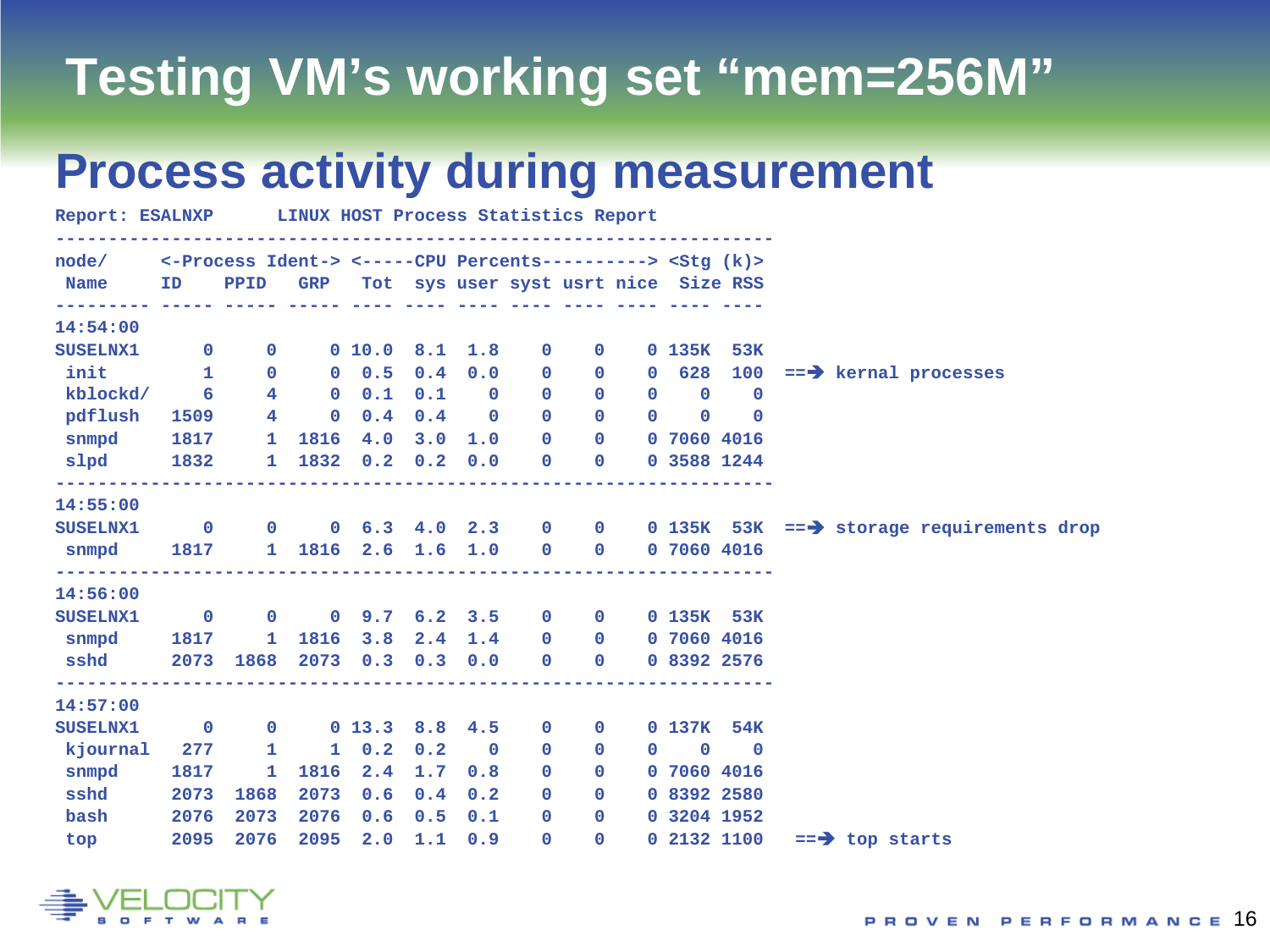## **Testing VM's working set "mem=256M"**

### **Process activity during measurement**

| Report: ESALNXP LINUX HOST Process Statistics Report                                                                                 |      |                |                                    |                     |     |                         |               |                                     |                                                 |                                              |             |                                                                 |  |  |
|--------------------------------------------------------------------------------------------------------------------------------------|------|----------------|------------------------------------|---------------------|-----|-------------------------|---------------|-------------------------------------|-------------------------------------------------|----------------------------------------------|-------------|-----------------------------------------------------------------|--|--|
| node/ <- Process Ident-> <-----CPU Percents---------> < Stg (k)>                                                                     |      |                |                                    |                     |     |                         |               |                                     |                                                 |                                              |             |                                                                 |  |  |
| Name ID PPID GRP Tot sys user syst usrt nice Size RSS<br><u> adalalala dalah dalah dalah bata dala dala dala dala dala dala dala</u> |      |                |                                    |                     |     |                         |               |                                     |                                                 |                                              |             |                                                                 |  |  |
| 14:54:00                                                                                                                             |      |                |                                    |                     |     |                         |               |                                     |                                                 |                                              |             |                                                                 |  |  |
| SUSELNX1 0                                                                                                                           |      |                |                                    | 0 10.0 8.1 1.8 0 0  |     |                         |               |                                     |                                                 | 0 135K 53K                                   |             |                                                                 |  |  |
| init 1                                                                                                                               |      |                | $\mathbf{0}$                       |                     |     |                         |               |                                     |                                                 |                                              |             | 0 0.5 0.4 0.0 0 0 0 0 628 100 == $\rightarrow$ kernal processes |  |  |
| kblockd/ 6                                                                                                                           |      | 4 <sup>1</sup> |                                    | $0 \t0.1 \t0.1 \t0$ |     |                         |               |                                     | $\begin{matrix} 0 & 0 & 0 & 0 & 0 \end{matrix}$ |                                              |             |                                                                 |  |  |
| pdflush                                                                                                                              | 1509 |                | $4 \qquad \qquad$                  | $0 \quad 0.4$       |     | $0.4$ 0                 | $\mathbf{0}$  | $\Omega$                            |                                                 | $0\qquad 0\qquad 0$                          |             |                                                                 |  |  |
| snmpd 1817 1 1816 4.0 3.0 1.0 0 0 0 7060 4016                                                                                        |      |                |                                    |                     |     |                         |               |                                     |                                                 |                                              |             |                                                                 |  |  |
| slpd 1832 1                                                                                                                          |      |                |                                    | 1832 0.2 0.2 0.0    |     |                         |               | $\bullet$ $\bullet$<br>$\mathbf{0}$ |                                                 | 0 3588 1244                                  |             |                                                                 |  |  |
| 14:55:00                                                                                                                             |      |                |                                    |                     |     |                         |               |                                     |                                                 |                                              |             |                                                                 |  |  |
| SUSELNX1 0 0 0 6.3 4.0 2.3 0 0 0 135K 53K == $\rightarrow$ storage requirements drop                                                 |      |                |                                    |                     |     |                         |               |                                     |                                                 |                                              |             |                                                                 |  |  |
| snmpd 1817                                                                                                                           |      |                | 1 1816 2.6 1.6 1.0 0 0 0 7060 4016 |                     |     |                         |               |                                     |                                                 |                                              |             |                                                                 |  |  |
| 14:56:00                                                                                                                             |      |                |                                    |                     |     |                         |               |                                     |                                                 |                                              |             |                                                                 |  |  |
| SUSELNX1 0 0 0 9.7 6.2 3.5 0 0 0 135K 53K                                                                                            |      |                |                                    |                     |     |                         |               |                                     |                                                 |                                              |             |                                                                 |  |  |
| $s nmpd$ 1817                                                                                                                        |      |                | 1 1816 3.8 2.4 1.4 0 0 0 7060 4016 |                     |     |                         |               |                                     |                                                 |                                              |             |                                                                 |  |  |
|                                                                                                                                      |      |                |                                    |                     |     |                         |               |                                     |                                                 |                                              |             |                                                                 |  |  |
| ----------------<br>14:57:00                                                                                                         |      |                |                                    |                     |     |                         |               |                                     |                                                 |                                              |             |                                                                 |  |  |
| SUSELNX1 0                                                                                                                           |      |                | $0 \t 0 \t 13.3 \t 8.8 \t 4.5$     |                     |     |                         |               | $\overline{0}$<br>$\mathbf{0}$      |                                                 | 0 137K 54K                                   |             |                                                                 |  |  |
| kjournal 277 1                                                                                                                       |      |                |                                    | $1 \t 0.2 \t 0.2$   |     | $\overline{\mathbf{0}}$ | $\mathbf{0}$  | $\mathbf{0}$                        |                                                 | $\begin{array}{ccc} & & 0 & & 0 \end{array}$ |             |                                                                 |  |  |
| $s nmpd$ 1817                                                                                                                        |      | $\mathbf{1}$   |                                    | 1816 2.4            | 1.7 |                         | $0.8\qquad$ 0 | $\mathbf{0}$                        |                                                 | 0 7060 4016                                  |             |                                                                 |  |  |
| sshd                                                                                                                                 | 2073 | 1868           | 2073                               | 0.6                 | 0.4 | 0.2                     | $\mathbf{0}$  | $\Omega$                            |                                                 | 0 8392 2580                                  |             |                                                                 |  |  |
| bash 2076                                                                                                                            |      | 2073           | 2076                               | 0.6                 | 0.5 | 0.1                     |               | $\mathbf{0}$                        | $0 \t 0 \t 3204 \t 1952$                        |                                              |             |                                                                 |  |  |
| topen                                                                                                                                | 2095 | 2076           | 2095                               | 2.0                 |     | $1.1 \t0.9$             | $\Omega$      | $\Omega$                            |                                                 |                                              | 0 2132 1100 | $==$ top starts                                                 |  |  |

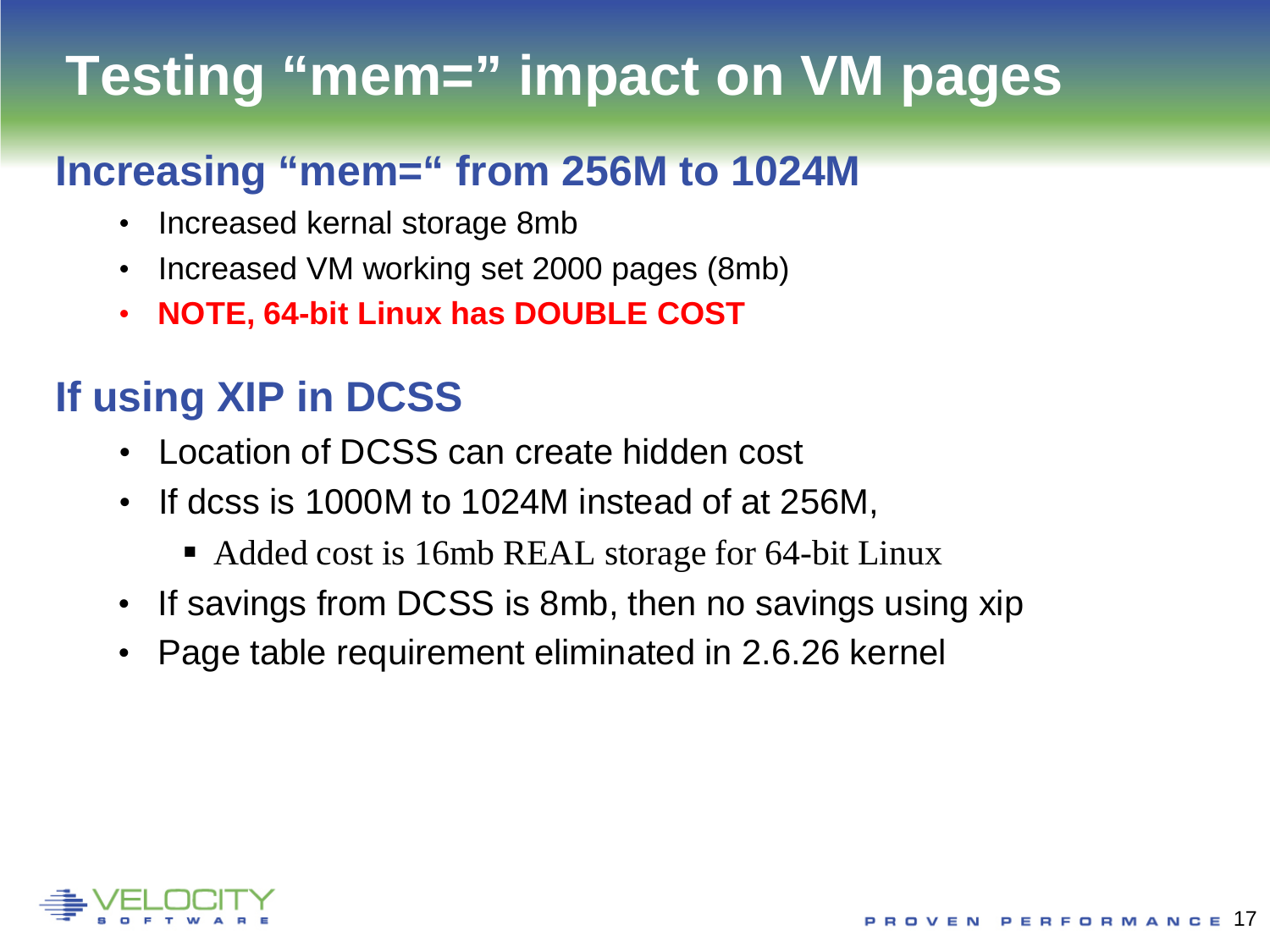# **Testing "mem=" impact on VM pages**

### **Increasing "mem=" from 256M to 1024M**

- Increased kernal storage 8mb
- Increased VM working set 2000 pages (8mb)
- **NOTE, 64-bit Linux has DOUBLE COST**

### **If using XIP in DCSS**

- Location of DCSS can create hidden cost
- If dcss is 1000M to 1024M instead of at 256M,
	- Added cost is 16mb REAL storage for 64-bit Linux
- If savings from DCSS is 8mb, then no savings using xip
- Page table requirement eliminated in 2.6.26 kernel

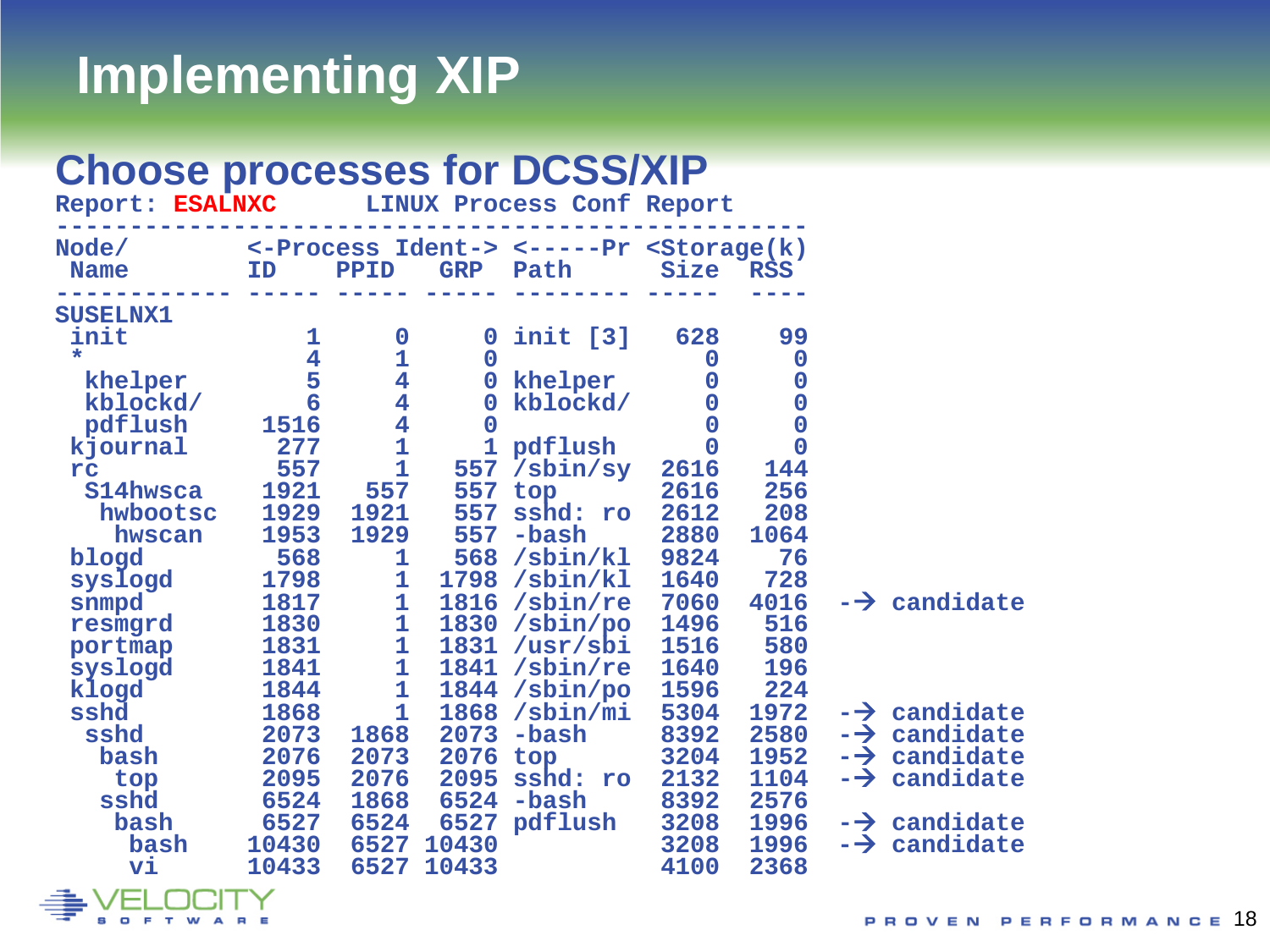## **Implementing XIP**

#### **Choose processes for DCSS/XIP**

| Report: ESALNXC                                                                                                                                                                                                         |                                                                                                                                                                     |                                                                                                                                                                                                                                                      |                                                                                                                           | <b>LINUX Process Conf Report</b>                                                                                                                                                                                                  |                                                                                                                                                                                             |                                                                                                                                                                                          |               |                                                                                            |
|-------------------------------------------------------------------------------------------------------------------------------------------------------------------------------------------------------------------------|---------------------------------------------------------------------------------------------------------------------------------------------------------------------|------------------------------------------------------------------------------------------------------------------------------------------------------------------------------------------------------------------------------------------------------|---------------------------------------------------------------------------------------------------------------------------|-----------------------------------------------------------------------------------------------------------------------------------------------------------------------------------------------------------------------------------|---------------------------------------------------------------------------------------------------------------------------------------------------------------------------------------------|------------------------------------------------------------------------------------------------------------------------------------------------------------------------------------------|---------------|--------------------------------------------------------------------------------------------|
| Node/<br><b>Name</b>                                                                                                                                                                                                    | ID                                                                                                                                                                  | PPID                                                                                                                                                                                                                                                 | <b>GRP</b>                                                                                                                | <-Process Ident-> <-----Pr <storage(k)<br>Path</storage(k)<br>                                                                                                                                                                    | <b>Size</b>                                                                                                                                                                                 | <b>RSS</b>                                                                                                                                                                               |               |                                                                                            |
| <b>SUSELNX1</b><br>init<br>$\star$<br>khelper<br>kblockd/<br>pdflush<br>kjournal<br>rc<br>S14hwsca<br>hwbootsc<br>hwscan<br>blogd<br>syslogd<br>snmpd<br>resmgrd<br>portmap<br>syslogd<br>klogd<br>sshd<br>sshd<br>bash | 1<br>$\overline{\mathbf{4}}$<br>5<br>6<br>1516<br>277<br>557<br>1921<br>1929<br>1953<br>568<br>1798<br>1817<br>1830<br>1831<br>1841<br>1844<br>1868<br>2073<br>2076 | $\bf{0}$<br>$\frac{1}{4}$<br>$\overline{\mathbf{4}}$<br>$\overline{\mathbf{4}}$<br>$\mathbf 1$<br>$\mathbf{1}$<br>557<br>1921<br>1929<br>1<br>1<br>1<br>$\mathbf 1$<br>$\frac{1}{2}$<br>$\mathbf{1}$<br>$\mathbf{1}$<br>$\mathbf{1}$<br>1868<br>2073 | $\mathbf 0$<br>$\mathbf 0$<br>$\mathbf 0$<br>$\mathbf 0$<br>557<br>557<br>557<br>1798<br>1816<br>1831<br>1868<br>2076 top | $init$ [3]<br>0 khelper<br>kblockd/<br>1 pdflush<br>/sbin/sy<br>top<br>557 sshd: ro<br>-bash<br>568 /sbin/kl<br>/sbin/kl<br>/sbin/re<br>1830 /sbin/po<br>/usr/sbi<br>1841 /sbin/re<br>1844 /sbin/po<br>$\sin \pi$<br>$2073$ -bash | 628<br>$\mathbf 0$<br>0<br>$\bf{0}$<br>$\mathbf 0$<br>$\overline{0}$<br>2616<br>2616<br>2612<br>2880<br>9824<br>1640<br>7060<br>1496<br>1516<br><b>1640</b><br>1596<br>5304<br>8392<br>3204 | 99<br>$\boldsymbol{0}$<br>$\mathbf 0$<br>$\bf{0}$<br>$\mathbf 0$<br>$\overline{0}$<br>144<br>256<br>208<br>1064<br>76<br>728<br>4016<br>516<br>580<br>196<br>224<br>1972<br>2580<br>1952 | $\rightarrow$ | $\rightarrow$ candidate<br>$\rightarrow$ candidate<br>$\rightarrow$ candidate<br>candidate |
| top<br>sshd<br>bash<br>bash<br>vi                                                                                                                                                                                       | 2095<br>6524<br>6527<br>10430<br>10433                                                                                                                              | 2076<br>1868<br>6524<br>6527<br>6527                                                                                                                                                                                                                 | 10430<br>10433                                                                                                            | 2095 sshd: ro<br>6524 -bash<br>6527 pdflush                                                                                                                                                                                       | 2132<br>8392<br>3208<br>3208<br>4100                                                                                                                                                        | 1104<br>2576<br>1996<br>1996<br>2368                                                                                                                                                     |               | $\rightarrow$ candidate<br>$\rightarrow$ candidate<br>$\rightarrow$ candidate              |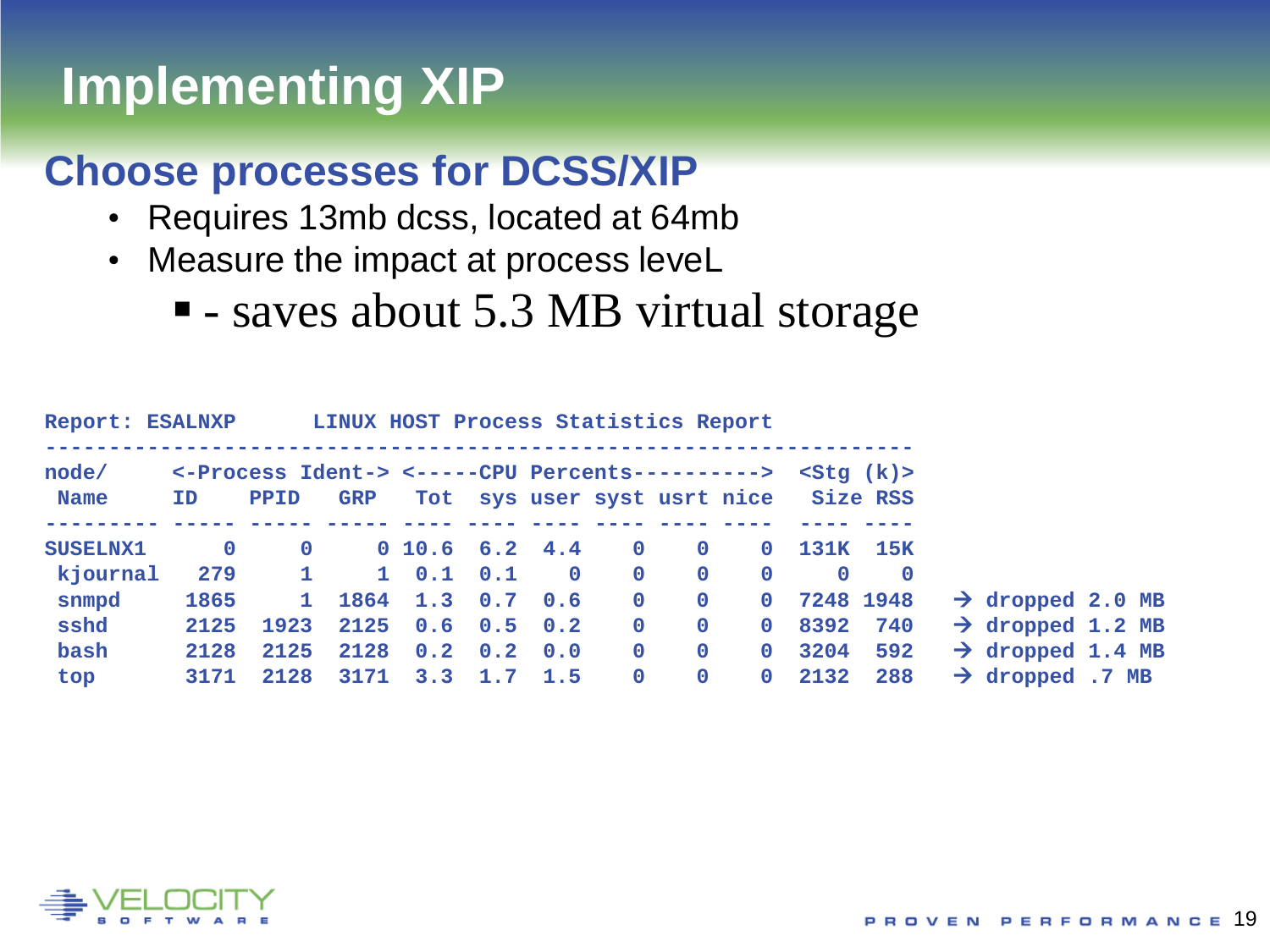# **Implementing XIP**

#### **Choose processes for DCSS/XIP**

- Requires 13mb dcss, located at 64mb
- Measure the impact at process leveL
	- - saves about 5.3 MB virtual storage

| <b>Report: ESALNXP</b> |             |                                                 | LINUX HOST Process Statistics Report |                   |                 |          |              |              |                             |          |               |                              |  |
|------------------------|-------------|-------------------------------------------------|--------------------------------------|-------------------|-----------------|----------|--------------|--------------|-----------------------------|----------|---------------|------------------------------|--|
| node/                  |             | <-Process Ident-> <-----CPU Percents----------> |                                      |                   |                 |          |              |              |                             |          | $<$ Sta $(k)$ |                              |  |
| <b>Name</b>            | ID          | <b>PPID</b>                                     | <b>GRP</b>                           |                   |                 |          |              |              | Tot sys user syst usrt nice |          | Size RSS      |                              |  |
|                        |             |                                                 |                                      |                   |                 |          |              |              |                             |          |               |                              |  |
| <b>SUSELNX1</b>        | $\mathbf 0$ | $\mathbf{O}$                                    |                                      | 0 10.6 6.2 4.4    |                 |          | $\mathbf{O}$ | $\Omega$     | $\mathbf{0}$                | 131K     | <b>15K</b>    |                              |  |
| kjournal               | 279         | $\mathbf{1}$                                    |                                      | $1 \t 0.1 \t 0.1$ |                 | $\Omega$ | $\mathbf{0}$ | $\mathbf{0}$ | $\mathbf 0$                 | $\Omega$ | $\Omega$      |                              |  |
| snmpd                  | 1865        | $\mathbf{1}$                                    |                                      | 1864 1.3 0.7      |                 | 0.6      | $\Omega$     | $\Omega$     | $\mathbf{0}$                |          | 7248 1948     | $\rightarrow$ dropped 2.0 MB |  |
| sshd                   | 2125        | 1923                                            | 2125                                 | $0.6 \quad 0.5$   |                 | 0.2      | $\mathbf{O}$ | $\mathbf 0$  | $\mathbf{0}$                | 8392     | 740           | $\rightarrow$ dropped 1.2 MB |  |
| bash                   | 2128        | 2125                                            | 2128                                 |                   | $0.2 \quad 0.2$ | 0.0      | $\mathbf{O}$ | $\mathbf{0}$ | $\mathbf{0}$                | 3204     | 592           | $\rightarrow$ dropped 1.4 MB |  |
| top                    | 3171        | 2128                                            | 3171                                 | 3.3               | 1.7             | 1.5      | $\mathbf{O}$ | $\mathbf{0}$ | $\mathbf{0}$                | 2132     | 288           | $\rightarrow$ dropped .7 MB  |  |

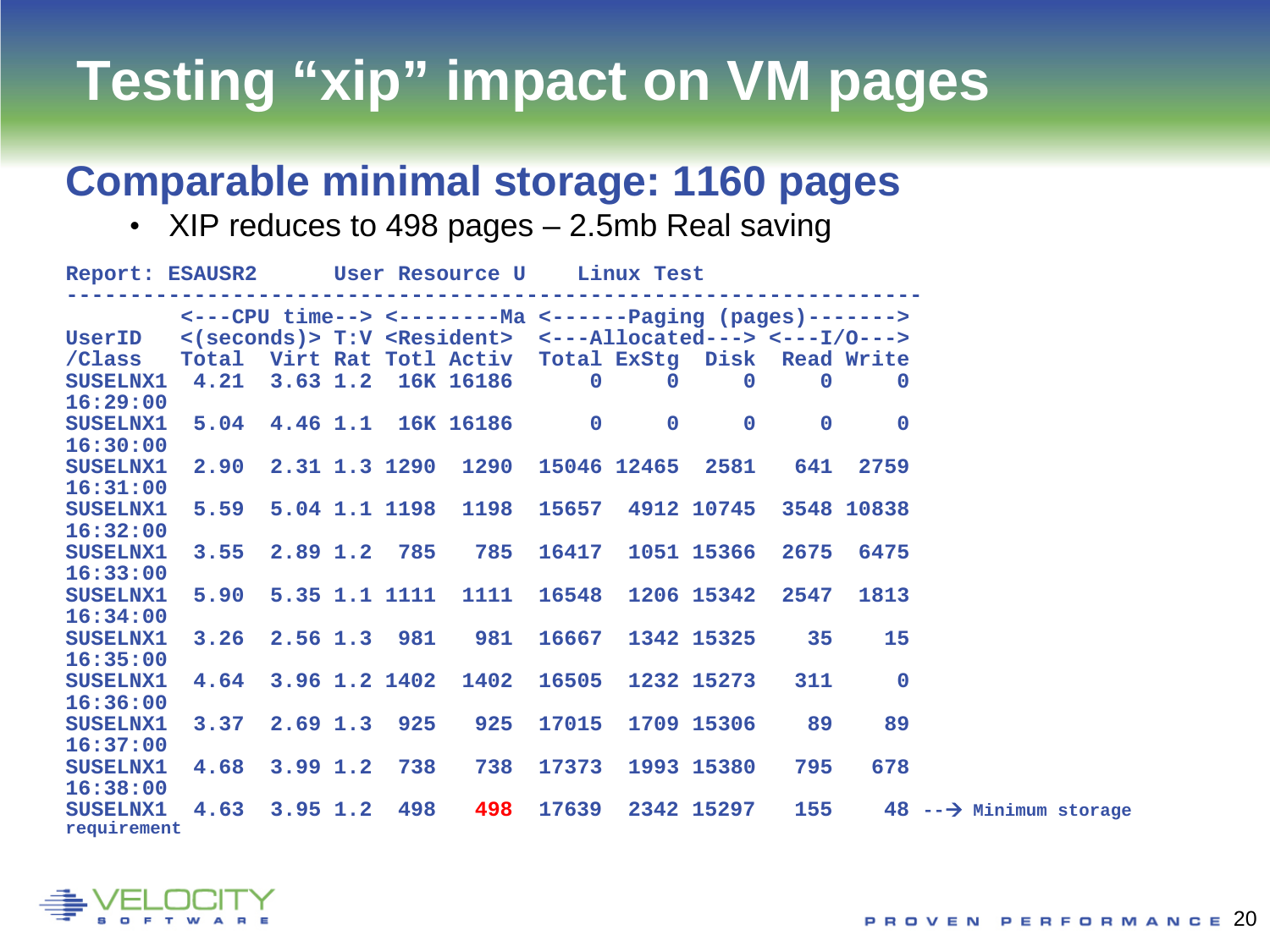# **Testing "xip" impact on VM pages**

#### **Comparable minimal storage: 1160 pages**

• XIP reduces to 498 pages – 2.5mb Real saving

| <---CPU time--> <--------Ma <------Paging (pages)-------><br>UserID <(seconds)> T:V <resident> &lt;---Allocated---&gt; &lt;---I/0---&gt;<br/>/Class Total Virt Rat Totl Activ Total ExStg Disk Read Write<br/>SUSELNX1 4.21 3.63 1.2 16K 16186 0 0 0 0 0 0<br/>16:29:00<br/>5.04 4.46 1.1 16K 16186 0 0<br/><math>\mathbf{O}</math><br/><math>\overline{\mathbf{0}}</math><br/><math>\mathbf 0</math><br/><b>SUSELNX1</b><br/>16:30:00<br/>2.90 2.31 1.3 1290 1290 15046 12465 2581 641 2759<br/><b>SUSELNX1</b><br/>16:31:00<br/>5.59 5.04 1.1 1198 1198 15657 4912 10745 3548 10838<br/><b>SUSELNX1</b><br/>16:32:00<br/>3.55 2.89 1.2 785 785 16417 1051 15366 2675 6475<br/><b>SUSELNX1</b><br/>16:33:00<br/>5.90 5.35 1.1 1111 1111 16548 1206 15342 2547<br/>1813<br/><b>SUSELNX1</b><br/>16:34:00<br/>3.26 2.56 1.3 981 981 16667 1342 15325 35 15<br/><b>SUSELNX1</b><br/>16:35:00<br/>4.64 3.96 1.2 1402 1402 16505 1232 15273 311<br/><math>\overline{\mathbf{0}}</math><br/><b>SUSELNX1</b><br/>16:36:00<br/>3.37 2.69 1.3 925 925 17015 1709 15306 89<br/>89<br/><b>SUSELNX1</b><br/>16:37:00<br/>SUSELNX1 4.68 3.99 1.2 738 738 17373 1993 15380<br/>795<br/>678<br/>16:38:00<br/>4.63 3.95 1.2 498 498 17639 2342 15297 155 48 <math>\rightarrow</math> Minimum storage<br/><b>SUSELNX1</b><br/>requirement</resident> | Report: ESAUSR2 User Resource U Linux Test |  |  |  |  |  |  |  |  |  |  |  |  |
|--------------------------------------------------------------------------------------------------------------------------------------------------------------------------------------------------------------------------------------------------------------------------------------------------------------------------------------------------------------------------------------------------------------------------------------------------------------------------------------------------------------------------------------------------------------------------------------------------------------------------------------------------------------------------------------------------------------------------------------------------------------------------------------------------------------------------------------------------------------------------------------------------------------------------------------------------------------------------------------------------------------------------------------------------------------------------------------------------------------------------------------------------------------------------------------------------------------------------------------------------------------------------------------------------------------------------------------|--------------------------------------------|--|--|--|--|--|--|--|--|--|--|--|--|
|                                                                                                                                                                                                                                                                                                                                                                                                                                                                                                                                                                                                                                                                                                                                                                                                                                                                                                                                                                                                                                                                                                                                                                                                                                                                                                                                      |                                            |  |  |  |  |  |  |  |  |  |  |  |  |
|                                                                                                                                                                                                                                                                                                                                                                                                                                                                                                                                                                                                                                                                                                                                                                                                                                                                                                                                                                                                                                                                                                                                                                                                                                                                                                                                      |                                            |  |  |  |  |  |  |  |  |  |  |  |  |
|                                                                                                                                                                                                                                                                                                                                                                                                                                                                                                                                                                                                                                                                                                                                                                                                                                                                                                                                                                                                                                                                                                                                                                                                                                                                                                                                      |                                            |  |  |  |  |  |  |  |  |  |  |  |  |
|                                                                                                                                                                                                                                                                                                                                                                                                                                                                                                                                                                                                                                                                                                                                                                                                                                                                                                                                                                                                                                                                                                                                                                                                                                                                                                                                      |                                            |  |  |  |  |  |  |  |  |  |  |  |  |
|                                                                                                                                                                                                                                                                                                                                                                                                                                                                                                                                                                                                                                                                                                                                                                                                                                                                                                                                                                                                                                                                                                                                                                                                                                                                                                                                      |                                            |  |  |  |  |  |  |  |  |  |  |  |  |
|                                                                                                                                                                                                                                                                                                                                                                                                                                                                                                                                                                                                                                                                                                                                                                                                                                                                                                                                                                                                                                                                                                                                                                                                                                                                                                                                      |                                            |  |  |  |  |  |  |  |  |  |  |  |  |
|                                                                                                                                                                                                                                                                                                                                                                                                                                                                                                                                                                                                                                                                                                                                                                                                                                                                                                                                                                                                                                                                                                                                                                                                                                                                                                                                      |                                            |  |  |  |  |  |  |  |  |  |  |  |  |
|                                                                                                                                                                                                                                                                                                                                                                                                                                                                                                                                                                                                                                                                                                                                                                                                                                                                                                                                                                                                                                                                                                                                                                                                                                                                                                                                      |                                            |  |  |  |  |  |  |  |  |  |  |  |  |
|                                                                                                                                                                                                                                                                                                                                                                                                                                                                                                                                                                                                                                                                                                                                                                                                                                                                                                                                                                                                                                                                                                                                                                                                                                                                                                                                      |                                            |  |  |  |  |  |  |  |  |  |  |  |  |
|                                                                                                                                                                                                                                                                                                                                                                                                                                                                                                                                                                                                                                                                                                                                                                                                                                                                                                                                                                                                                                                                                                                                                                                                                                                                                                                                      |                                            |  |  |  |  |  |  |  |  |  |  |  |  |
|                                                                                                                                                                                                                                                                                                                                                                                                                                                                                                                                                                                                                                                                                                                                                                                                                                                                                                                                                                                                                                                                                                                                                                                                                                                                                                                                      |                                            |  |  |  |  |  |  |  |  |  |  |  |  |
|                                                                                                                                                                                                                                                                                                                                                                                                                                                                                                                                                                                                                                                                                                                                                                                                                                                                                                                                                                                                                                                                                                                                                                                                                                                                                                                                      |                                            |  |  |  |  |  |  |  |  |  |  |  |  |
|                                                                                                                                                                                                                                                                                                                                                                                                                                                                                                                                                                                                                                                                                                                                                                                                                                                                                                                                                                                                                                                                                                                                                                                                                                                                                                                                      |                                            |  |  |  |  |  |  |  |  |  |  |  |  |
|                                                                                                                                                                                                                                                                                                                                                                                                                                                                                                                                                                                                                                                                                                                                                                                                                                                                                                                                                                                                                                                                                                                                                                                                                                                                                                                                      |                                            |  |  |  |  |  |  |  |  |  |  |  |  |
|                                                                                                                                                                                                                                                                                                                                                                                                                                                                                                                                                                                                                                                                                                                                                                                                                                                                                                                                                                                                                                                                                                                                                                                                                                                                                                                                      |                                            |  |  |  |  |  |  |  |  |  |  |  |  |
|                                                                                                                                                                                                                                                                                                                                                                                                                                                                                                                                                                                                                                                                                                                                                                                                                                                                                                                                                                                                                                                                                                                                                                                                                                                                                                                                      |                                            |  |  |  |  |  |  |  |  |  |  |  |  |
|                                                                                                                                                                                                                                                                                                                                                                                                                                                                                                                                                                                                                                                                                                                                                                                                                                                                                                                                                                                                                                                                                                                                                                                                                                                                                                                                      |                                            |  |  |  |  |  |  |  |  |  |  |  |  |
|                                                                                                                                                                                                                                                                                                                                                                                                                                                                                                                                                                                                                                                                                                                                                                                                                                                                                                                                                                                                                                                                                                                                                                                                                                                                                                                                      |                                            |  |  |  |  |  |  |  |  |  |  |  |  |
|                                                                                                                                                                                                                                                                                                                                                                                                                                                                                                                                                                                                                                                                                                                                                                                                                                                                                                                                                                                                                                                                                                                                                                                                                                                                                                                                      |                                            |  |  |  |  |  |  |  |  |  |  |  |  |
|                                                                                                                                                                                                                                                                                                                                                                                                                                                                                                                                                                                                                                                                                                                                                                                                                                                                                                                                                                                                                                                                                                                                                                                                                                                                                                                                      |                                            |  |  |  |  |  |  |  |  |  |  |  |  |
|                                                                                                                                                                                                                                                                                                                                                                                                                                                                                                                                                                                                                                                                                                                                                                                                                                                                                                                                                                                                                                                                                                                                                                                                                                                                                                                                      |                                            |  |  |  |  |  |  |  |  |  |  |  |  |
|                                                                                                                                                                                                                                                                                                                                                                                                                                                                                                                                                                                                                                                                                                                                                                                                                                                                                                                                                                                                                                                                                                                                                                                                                                                                                                                                      |                                            |  |  |  |  |  |  |  |  |  |  |  |  |
|                                                                                                                                                                                                                                                                                                                                                                                                                                                                                                                                                                                                                                                                                                                                                                                                                                                                                                                                                                                                                                                                                                                                                                                                                                                                                                                                      |                                            |  |  |  |  |  |  |  |  |  |  |  |  |
|                                                                                                                                                                                                                                                                                                                                                                                                                                                                                                                                                                                                                                                                                                                                                                                                                                                                                                                                                                                                                                                                                                                                                                                                                                                                                                                                      |                                            |  |  |  |  |  |  |  |  |  |  |  |  |

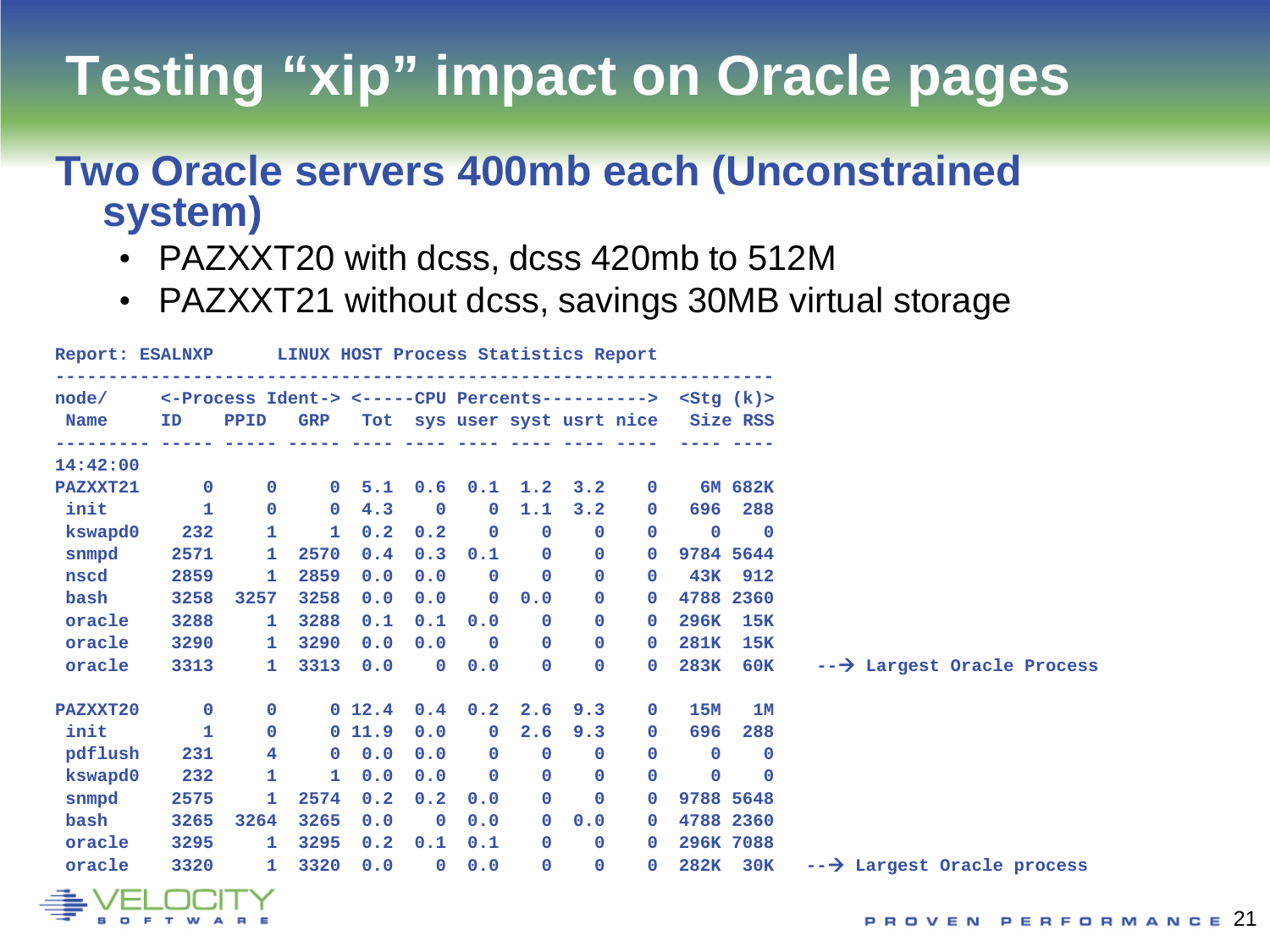# **Testing "xip" impact on Oracle pages**

#### **Two Oracle servers 400mb each (Unconstrained system)**

- PAZXXT20 with dcss, dcss 420mb to 512M
- PAZXXT21 without dcss, savings 30MB virtual storage

|             | Report: ESALNXP |                                                                    | LINUX HOST Process Statistics Report |        |              |              |                 |              |                             |             |                         |                                      |
|-------------|-----------------|--------------------------------------------------------------------|--------------------------------------|--------|--------------|--------------|-----------------|--------------|-----------------------------|-------------|-------------------------|--------------------------------------|
| node/       |                 | <-Process Ident-> <-----CPU Percents----------> <stg (k)=""></stg> |                                      |        |              |              |                 |              |                             |             |                         |                                      |
| <b>Name</b> | ID              | PPID                                                               | <b>GRP</b>                           |        |              |              |                 |              | Tot sys user syst usrt nice | Size RSS    |                         |                                      |
|             |                 |                                                                    |                                      |        |              |              |                 |              |                             |             |                         |                                      |
| 14:42:00    |                 |                                                                    |                                      |        |              |              |                 |              |                             |             |                         |                                      |
| PAZXXT21    | $\mathbf{0}$    | $\mathbf 0$                                                        | $\mathbf{0}$                         | 5.1    | 0.6          |              | $0.1 \quad 1.2$ | 3.2          | $\mathbf{0}$                |             | 6M 682K                 |                                      |
| init        | $\mathbf{1}$    | $\mathbf 0$                                                        | $\mathbf{O}$                         | 4.3    | $\mathbf 0$  | $\mathbf{O}$ | 1.1             | 3.2          | $\mathbf{0}$                | 696         | 288                     |                                      |
| kswapd0     | 232             | 1                                                                  | $\mathbf{1}$                         | 0.2    | 0.2          | $\mathbf 0$  | $\mathbf{0}$    | $\mathbf 0$  | $\mathbf{0}$                | $\mathbf 0$ | $\overline{\mathbf{0}}$ |                                      |
| snmpd       | 2571            | 1.                                                                 | 2570                                 | 0.4    | 0.3          | 0.1          | $\mathbf{0}$    | $\mathbf 0$  | $\mathbf{0}$                |             | 9784 5644               |                                      |
| nscd        | 2859            | 1                                                                  | 2859                                 | 0.0    | 0.0          | $\mathbf{0}$ | $\mathbf{0}$    | $\mathbf 0$  | $\mathbf{0}$                | 43K         | 912                     |                                      |
| bash        | 3258            | 3257                                                               | 3258                                 | 0.0    | 0.0          | $\mathbf{0}$ | 0.0             | $\mathbf 0$  | 0                           |             | 4788 2360               |                                      |
| oracle      | 3288            | 1                                                                  | 3288                                 | 0.1    | 0.1          | 0.0          | $\mathbf{0}$    | $\mathbf 0$  | $\mathbf{0}$                | 296K        | 15K                     |                                      |
| oracle      | 3290            | 1.                                                                 | 3290                                 | 0.0    | 0.0          | $\mathbf{0}$ | $\mathbf{0}$    | $\mathbf 0$  | $\mathbf{O}$                | <b>281K</b> | 15K                     |                                      |
| oracle      | 3313            | 1.                                                                 | 3313                                 | 0.0    | $\mathbf{O}$ | 0.0          | $\mathbf{0}$    | $\mathbf{0}$ | $\mathbf{0}$                | 283K        | 60K                     | -- > Largest Oracle Process          |
| PAZXXT20    | $\mathbf{O}$    | 0                                                                  |                                      | 0 12.4 | 0.4          | 0.2          | 2.6             | 9.3          | $\mathbf{O}$                | 15M         | 1M                      |                                      |
| init        | $\mathbf{1}$    | $\mathbf 0$                                                        |                                      | 011.9  | 0.0          | $\mathbf{O}$ | 2.6             | 9.3          | $\mathbf{0}$                | 696         | 288                     |                                      |
| pdflush     | 231             | 4                                                                  | 0                                    | 0.0    | 0.0          | $\mathbf{0}$ | $\mathbf{0}$    | $\mathbf 0$  | $\mathbf 0$                 | $\Omega$    | $\mathbf 0$             |                                      |
| kswapd0     | 232             | 1                                                                  | $\mathbf{1}$                         | 0.0    | 0.0          | $\mathbf{0}$ | $\mathbf{O}$    | $\mathbf 0$  | $\mathbf 0$                 | $\mathbf 0$ | $\mathbf{0}$            |                                      |
| snmpd       | 2575            | 1                                                                  | 2574                                 | 0.2    | 0.2          | 0.0          | $\mathbf 0$     | $\mathbf 0$  | $\mathbf 0$                 |             | 9788 5648               |                                      |
| bash        | 3265            | 3264                                                               | 3265                                 | 0.0    | $\mathbf{0}$ | 0.0          | $\mathbf{0}$    | 0.0          | $\mathbf{0}$                |             | 4788 2360               |                                      |
| oracle      | 3295            | 1.                                                                 | 3295                                 | 0.2    | 0.1          | 0.1          | $\mathbf{0}$    | $\mathbf 0$  | $\mathbf{0}$                |             | 296K 7088               |                                      |
| oracle      | 3320            | 1.                                                                 | 3320                                 | 0.0    | $\mathbf 0$  | 0.0          | $\mathbf{0}$    | $\mathbf 0$  | $\mathbf{0}$                | 282K        | 30K                     | $\rightarrow$ Largest Oracle process |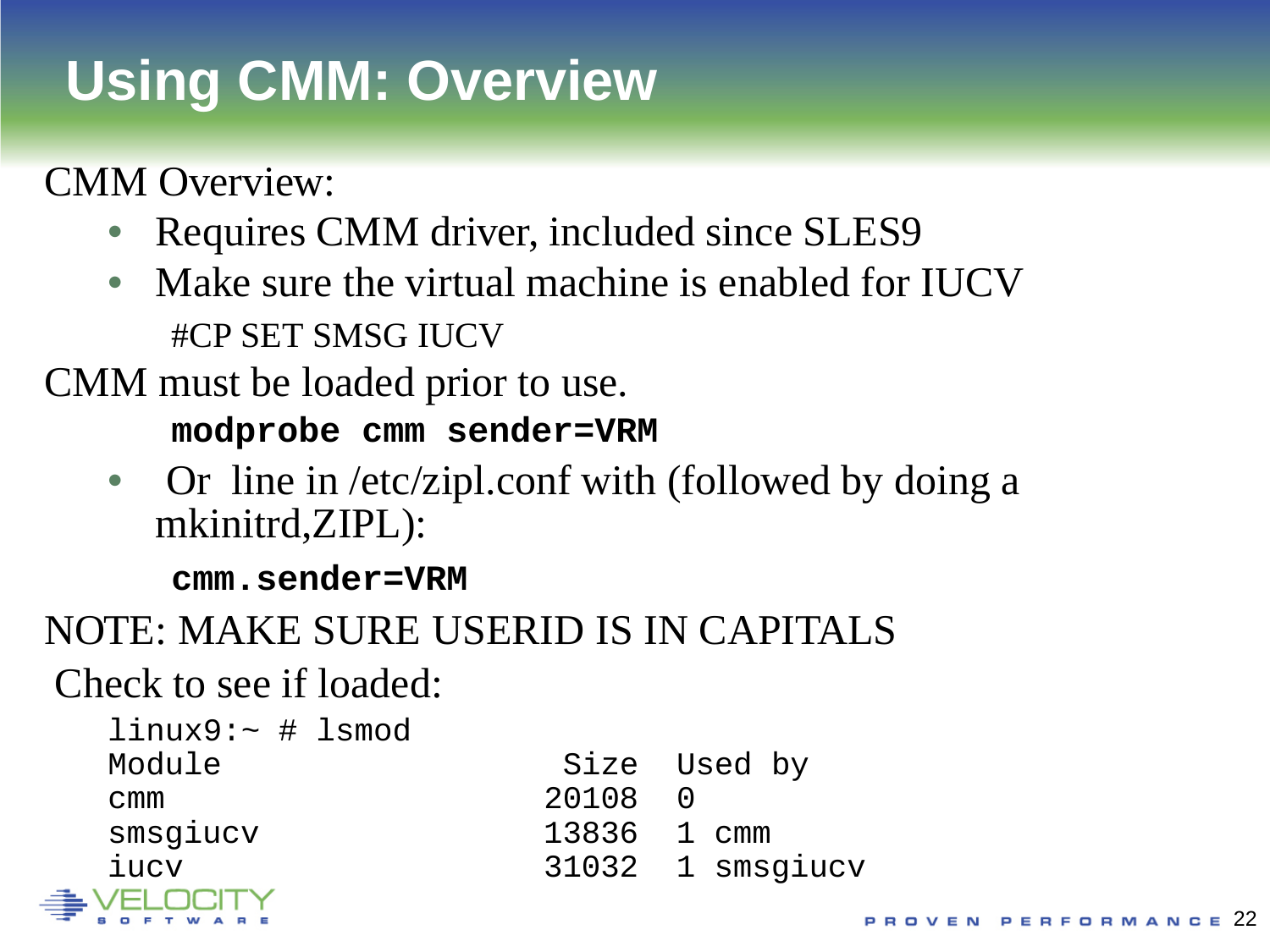# **Using CMM: Overview**

CMM Overview:

- Requires CMM driver, included since SLES9
- Make sure the virtual machine is enabled for IUCV #CP SET SMSG IUCV

CMM must be loaded prior to use.

**modprobe cmm sender=VRM**

• Or line in /etc/zipl.conf with (followed by doing a mkinitrd,ZIPL):

**cmm.sender=VRM**

### NOTE: MAKE SURE USERID IS IN CAPITALS

Check to see if loaded:

| $l$ inux $9$ :~ # lsmod |       |                  |
|-------------------------|-------|------------------|
| Module                  |       | Size Used by     |
| cmm                     | 20108 |                  |
| smsgiucv                |       | 13836 1 cmm      |
| iucv                    |       | 31032 1 smsqiucv |
| щ.<br>VELOCITY          |       |                  |

|       | Size Used by     |
|-------|------------------|
| 20108 | $\left( \right)$ |
| 13836 | 1 cmm            |
|       | 31032 1 smsgiucy |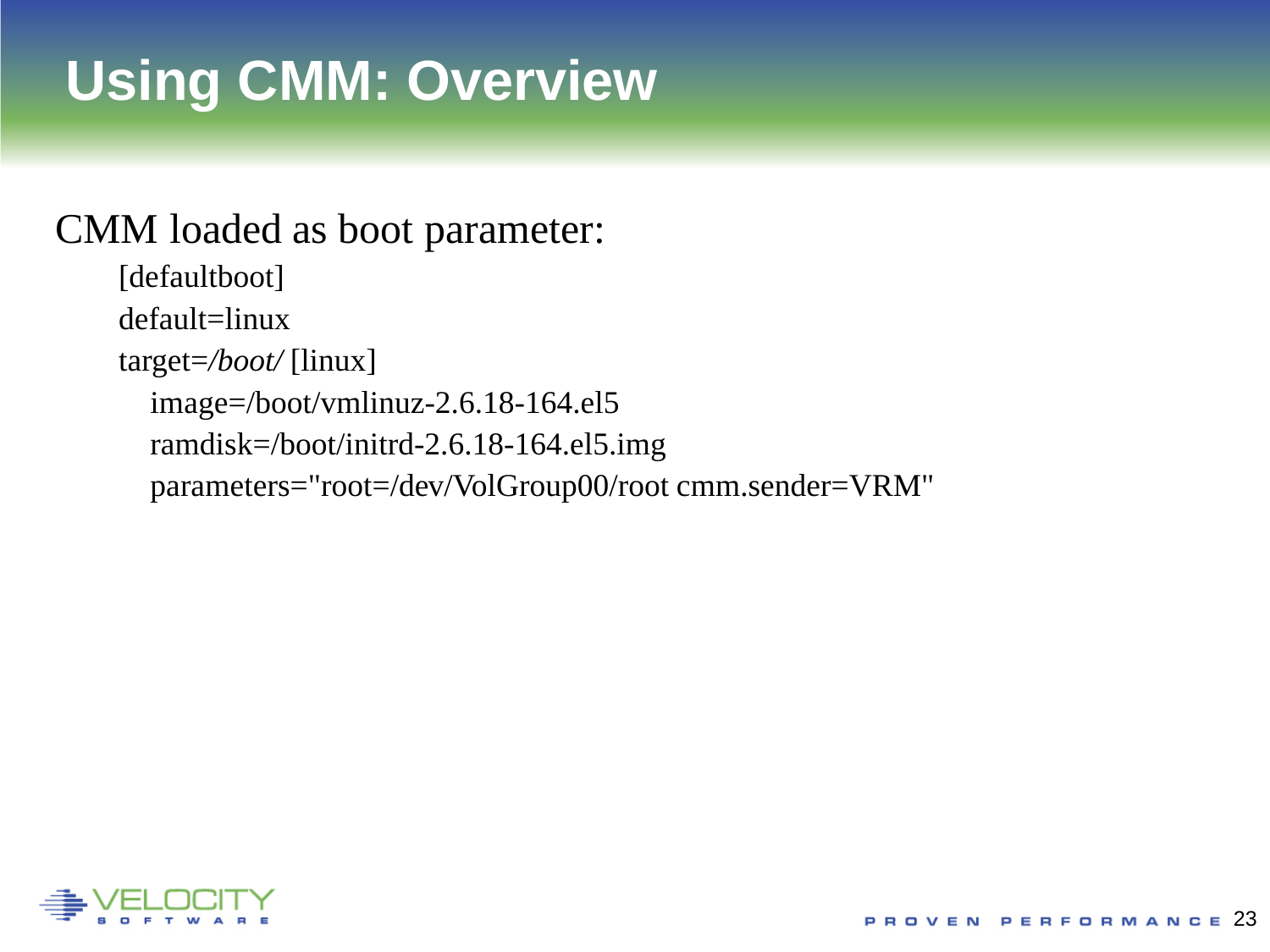# **Using CMM: Overview**

#### CMM loaded as boot parameter:

[defaultboot] default=linux target=*/boot/* [linux] image=/boot/vmlinuz-2.6.18-164.el5 ramdisk=/boot/initrd-2.6.18-164.el5.img parameters="root=/dev/VolGroup00/root cmm.sender=VRM"

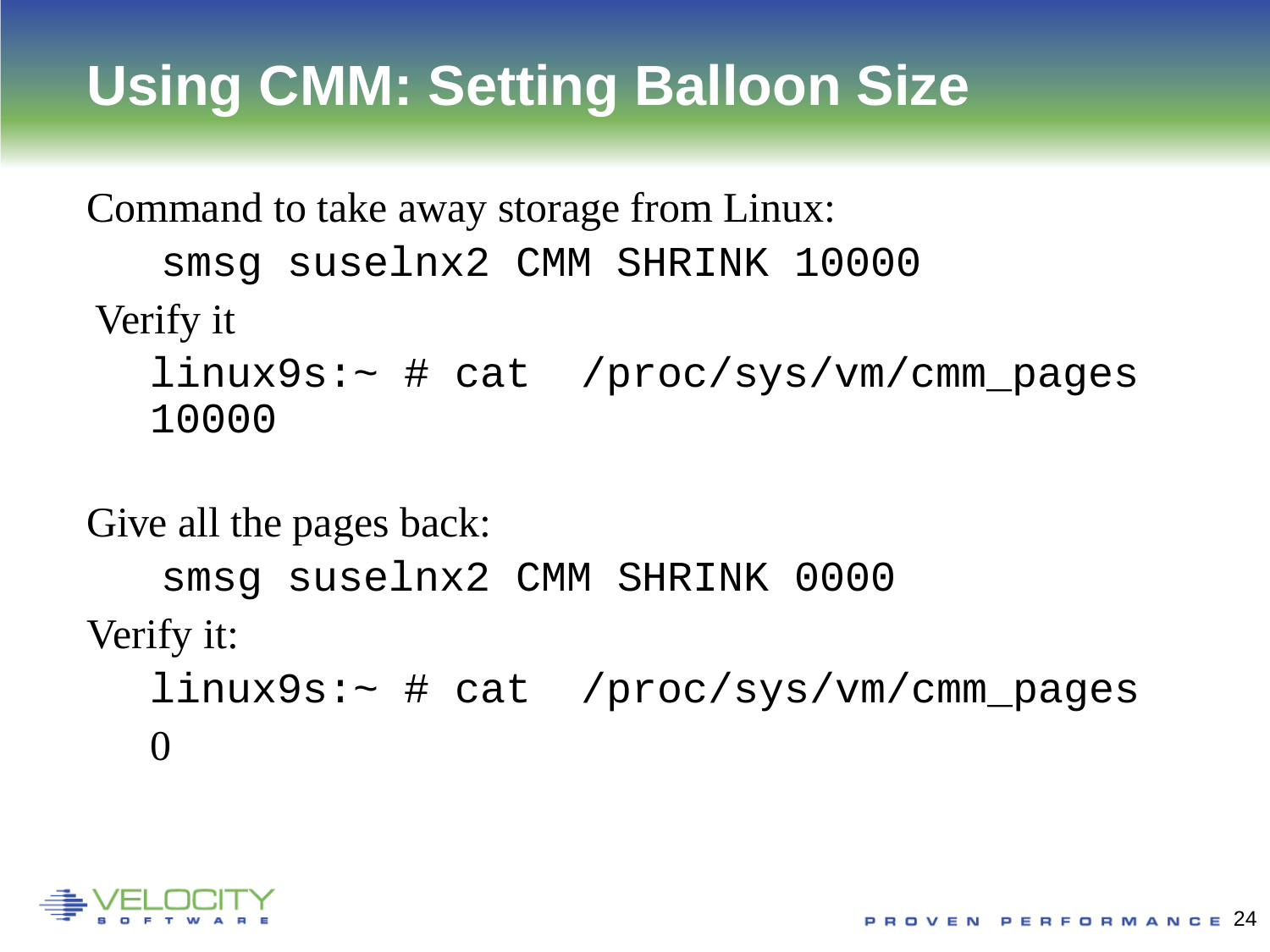Command to take away storage from Linux: smsg suselnx2 CMM SHRINK 10000 Verify it

linux9s:~ # cat /proc/sys/vm/cmm\_pages 10000

Give all the pages back:

smsg suselnx2 CMM SHRINK 0000 Verify it: linux9s:~ # cat /proc/sys/vm/cmm\_pages

 $\Omega$ 

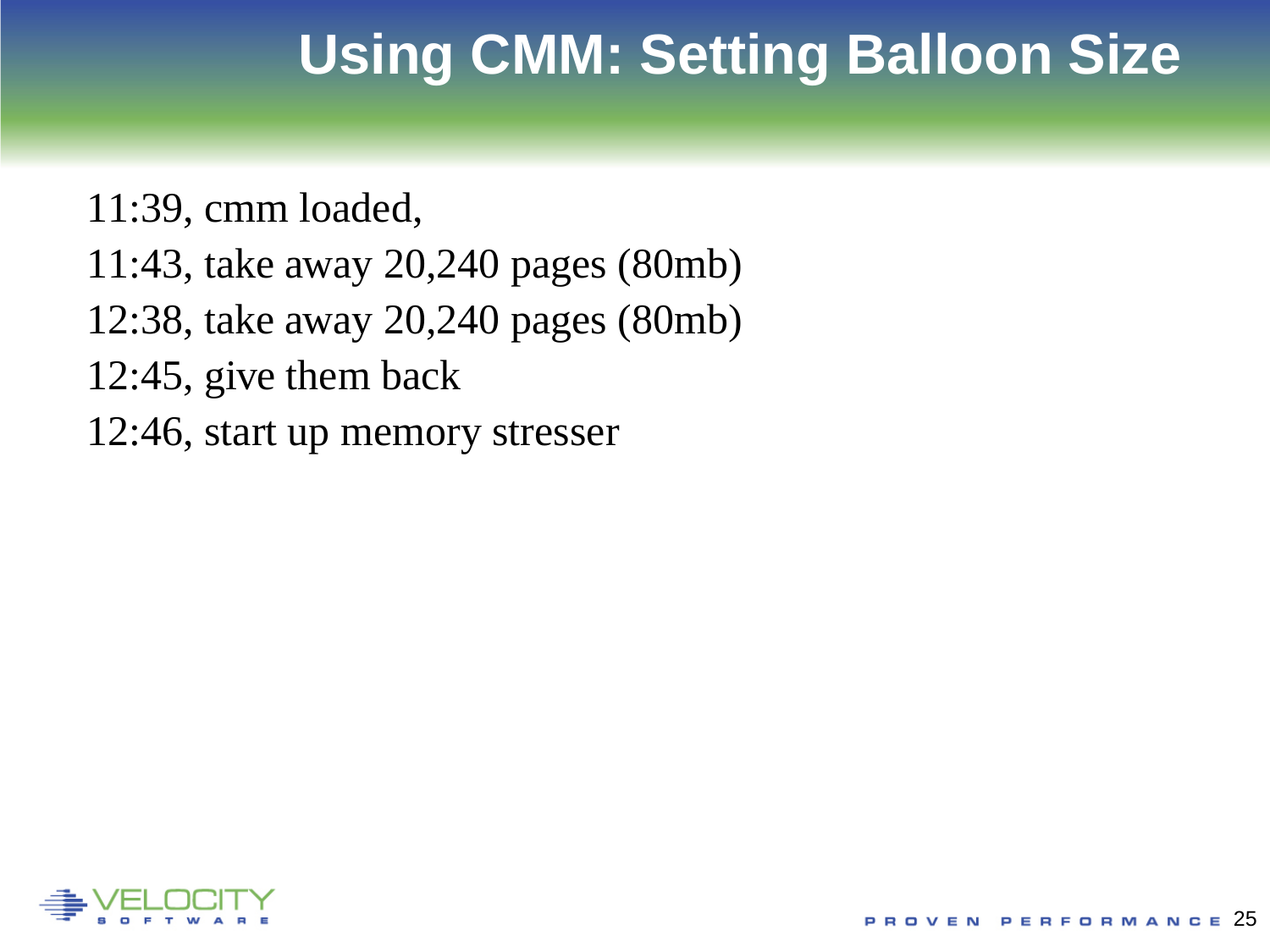11:39, cmm loaded,

- 11:43, take away 20,240 pages (80mb)
- 12:38, take away 20,240 pages (80mb)
- 12:45, give them back
- 12:46, start up memory stresser

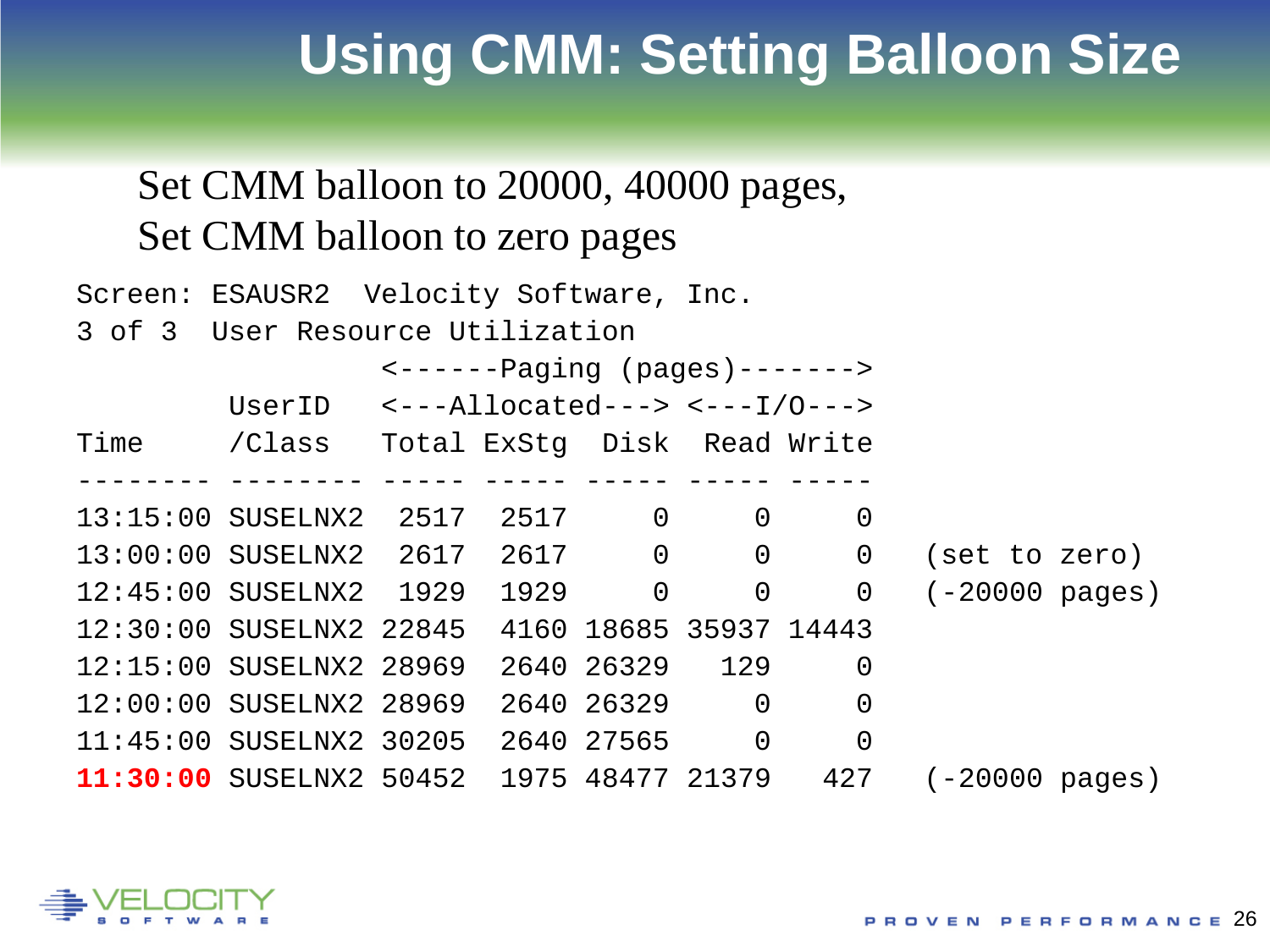### Set CMM balloon to 20000, 40000 pages, Set CMM balloon to zero pages

| Screen: ESAUSR2 Velocity Software, Inc.                    |                                                                |  |                |                                                  |
|------------------------------------------------------------|----------------------------------------------------------------|--|----------------|--------------------------------------------------|
| 3 of 3 User Resource Utilization                           |                                                                |  |                |                                                  |
|                                                            | $\leftarrow \leftarrow \leftarrow - -$ Paging (pages) -------> |  |                |                                                  |
| UserID $\leftarrow$ --Allocated---> $\leftarrow$ --I/O---> |                                                                |  |                |                                                  |
| Time / Class Total ExStq Disk Read Write                   |                                                                |  |                |                                                  |
|                                                            |                                                                |  |                |                                                  |
| 13:15:00 SUSELNX2 2517                                     | 2517 0 0                                                       |  | $\overline{0}$ |                                                  |
|                                                            |                                                                |  |                | 13:00:00 SUSELNX2 2617 2617 0 0 0 (set to zero)  |
|                                                            |                                                                |  |                | 12:45:00 SUSELNX2 1929 1929 0 0 0 (-20000 pages) |
| 12:30:00 SUSELNX2 22845 4160 18685 35937 14443             |                                                                |  |                |                                                  |
| 12:15:00 SUSELNX2 28969 2640 26329 129 0                   |                                                                |  |                |                                                  |
| 12:00:00 SUSELNX2 28969 2640 26329 0 0                     |                                                                |  |                |                                                  |
| 11:45:00 SUSELNX2 30205 2640 27565 0                       |                                                                |  | $\overline{0}$ |                                                  |
| 11:30:00 SUSELNX2 50452 1975 48477 21379 427               |                                                                |  |                | $(-20000 \text{ pages})$                         |

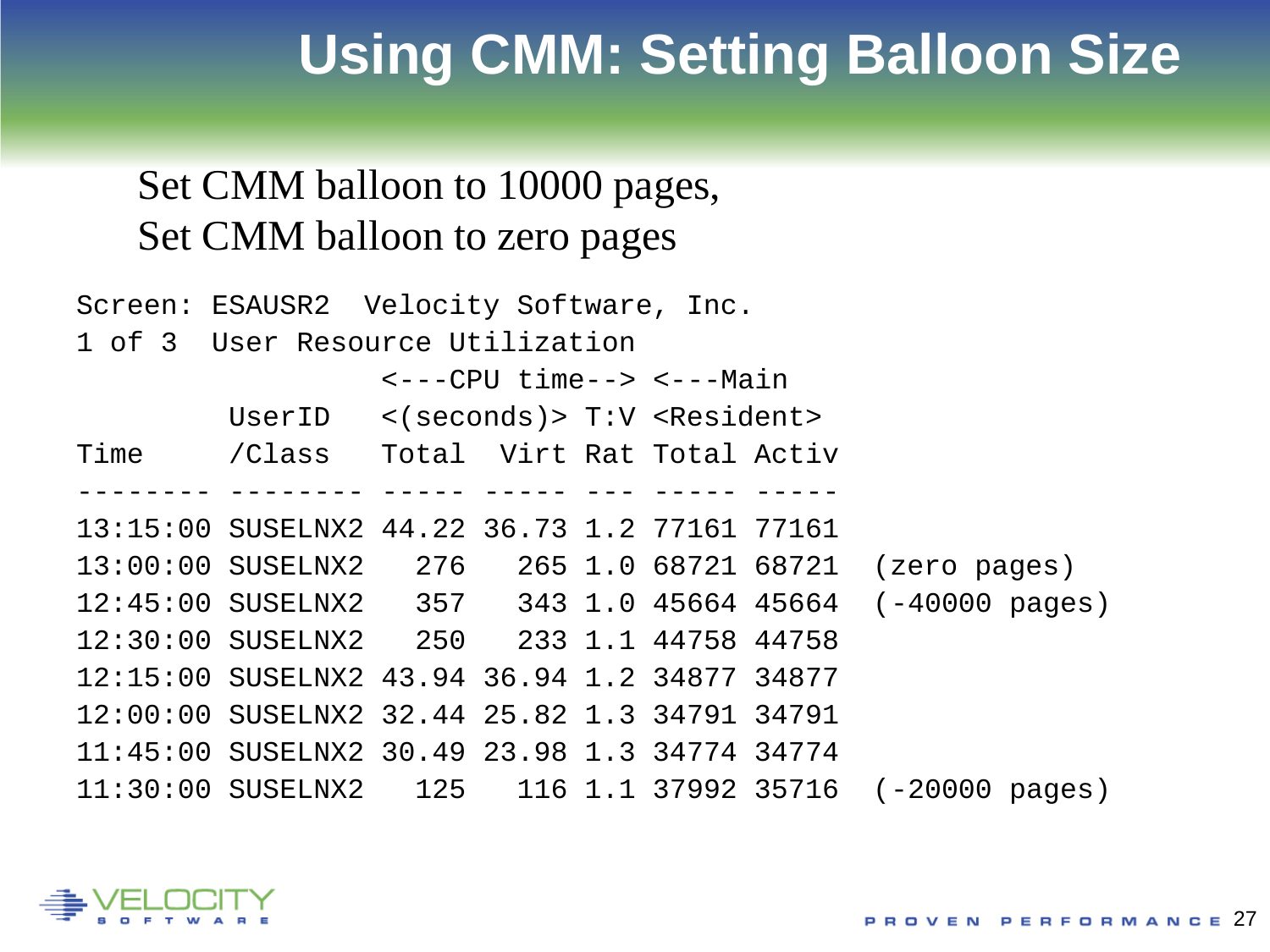#### Set CMM balloon to 10000 pages, Set CMM balloon to zero pages

| Screen: ESAUSR2 Velocity Software, Inc. |                                                        |  |  |  |  |  |                                                              |  |  |  |  |  |  |  |  |
|-----------------------------------------|--------------------------------------------------------|--|--|--|--|--|--------------------------------------------------------------|--|--|--|--|--|--|--|--|
| 1 of 3 User Resource Utilization        |                                                        |  |  |  |  |  |                                                              |  |  |  |  |  |  |  |  |
|                                         | <---CPU time--> <---Main                               |  |  |  |  |  |                                                              |  |  |  |  |  |  |  |  |
|                                         | UserID $\langle$ (seconds) > T:V <resident></resident> |  |  |  |  |  |                                                              |  |  |  |  |  |  |  |  |
|                                         | Time / Class Total Virt Rat Total Activ                |  |  |  |  |  |                                                              |  |  |  |  |  |  |  |  |
|                                         |                                                        |  |  |  |  |  |                                                              |  |  |  |  |  |  |  |  |
|                                         | 13:15:00 SUSELNX2 44.22 36.73 1.2 77161 77161          |  |  |  |  |  |                                                              |  |  |  |  |  |  |  |  |
|                                         |                                                        |  |  |  |  |  | 13:00:00 SUSELNX2 276 265 1.0 68721 68721 (zero pages)       |  |  |  |  |  |  |  |  |
|                                         |                                                        |  |  |  |  |  | $12:45:00$ SUSELNX2 357 343 1.0 45664 45664 (-40000 pages)   |  |  |  |  |  |  |  |  |
|                                         | 12:30:00 SUSELNX2 250 233 1.1 44758 44758              |  |  |  |  |  |                                                              |  |  |  |  |  |  |  |  |
|                                         | 12:15:00 SUSELNX2 43.94 36.94 1.2 34877 34877          |  |  |  |  |  |                                                              |  |  |  |  |  |  |  |  |
|                                         | 12:00:00 SUSELNX2 32.44 25.82 1.3 34791 34791          |  |  |  |  |  |                                                              |  |  |  |  |  |  |  |  |
|                                         | 11:45:00 SUSELNX2 30.49 23.98 1.3 34774 34774          |  |  |  |  |  |                                                              |  |  |  |  |  |  |  |  |
|                                         |                                                        |  |  |  |  |  | $11:30:00$ SUSELNX2 $125$ 116 1.1 37992 35716 (-20000 pages) |  |  |  |  |  |  |  |  |

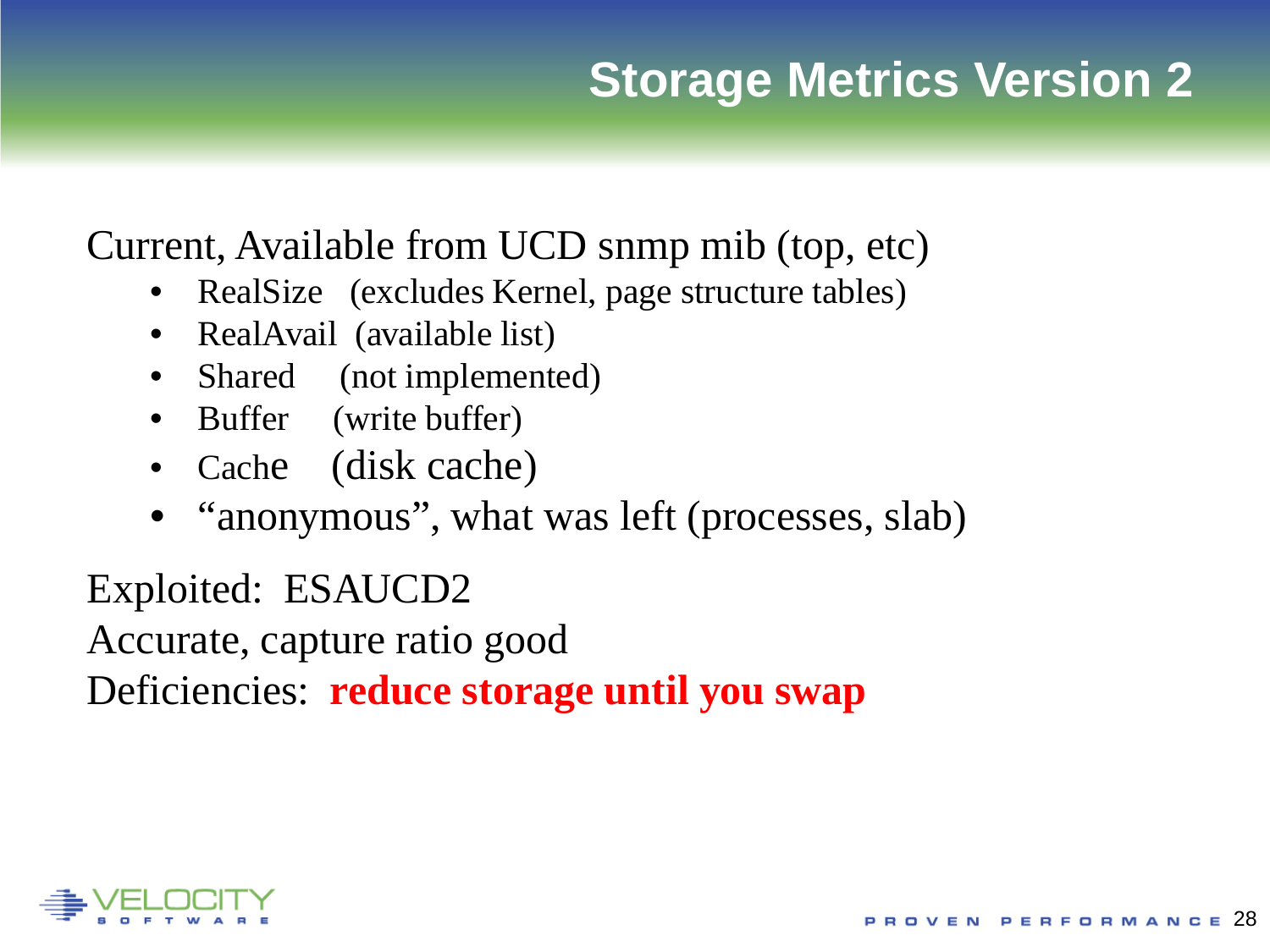### **Storage Metrics Version 2**

### Current, Available from UCD snmp mib (top, etc)

- RealSize (excludes Kernel, page structure tables)
- RealAvail (available list)
- Shared (not implemented)
- Buffer (write buffer)
- Cache (disk cache)
- "anonymous", what was left (processes, slab)

Exploited: ESAUCD2

Accurate, capture ratio good

Deficiencies: **reduce storage until you swap**

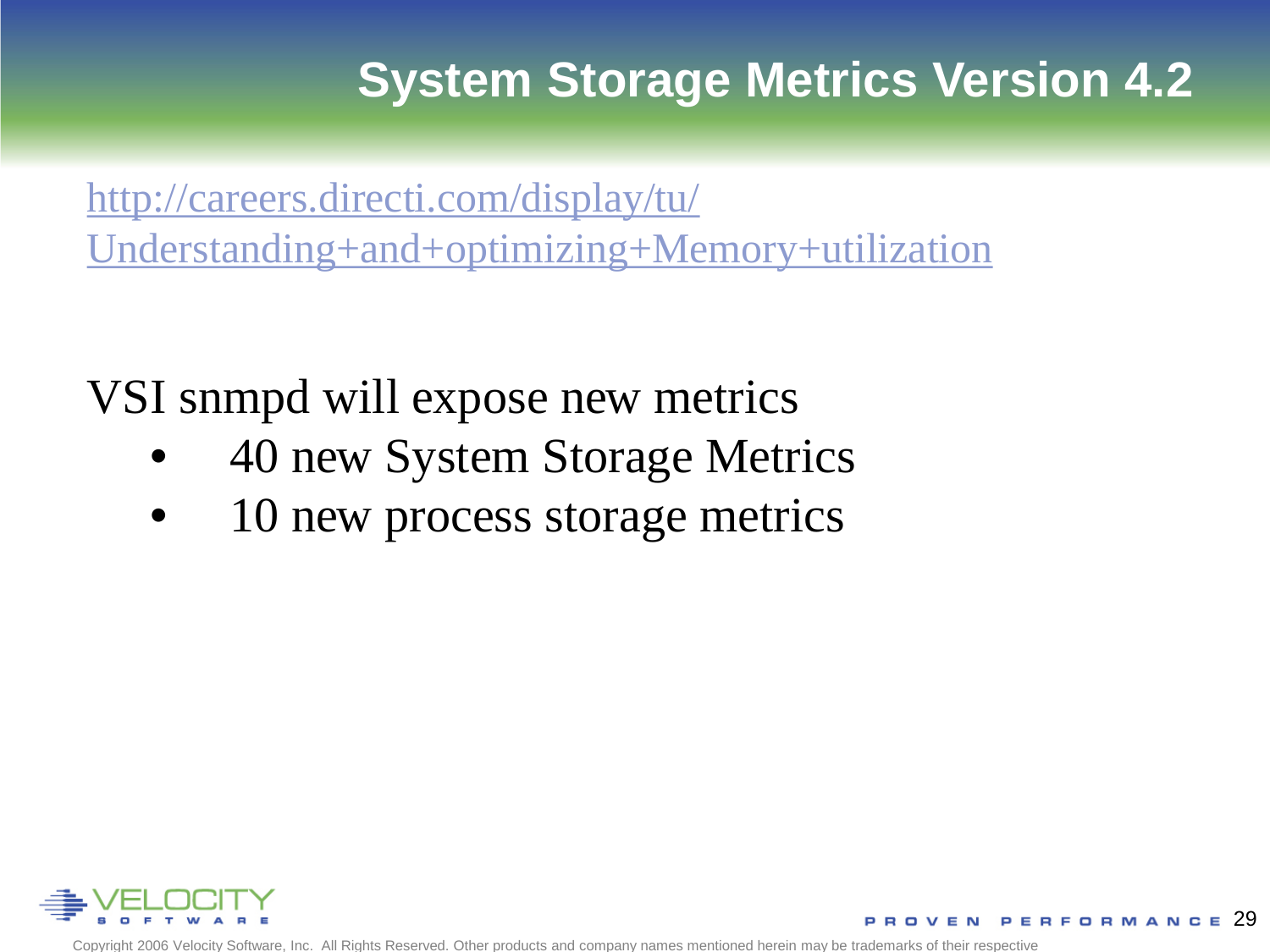### **System Storage Metrics Version 4.2**

[http://careers.directi.com/display/tu/](http://careers.directi.com/display/tu/Understanding+and+optimizing+Memory+utilization) [Understanding+and+optimizing+Memory+utilization](http://careers.directi.com/display/tu/Understanding+and+optimizing+Memory+utilization)

VSI snmpd will expose new metrics

- 40 new System Storage Metrics
- 10 new process storage metrics

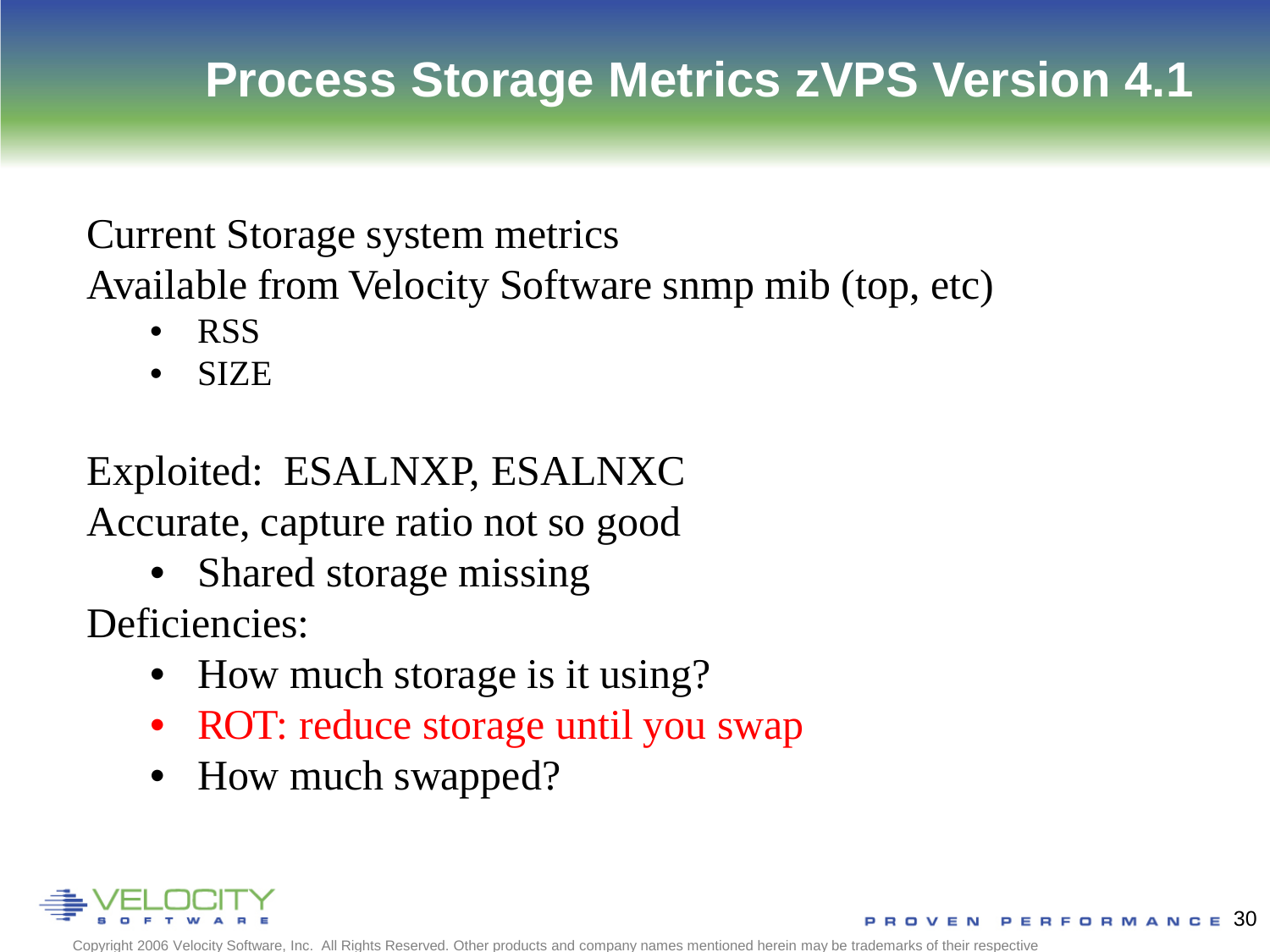## **Process Storage Metrics zVPS Version 4.1**

### Current Storage system metrics

Available from Velocity Software snmp mib (top, etc)

- RSS
- SIZE

### Exploited: ESALNXP, ESALNXC Accurate, capture ratio not so good

• Shared storage missing

Deficiencies:

- How much storage is it using?
- ROT: reduce storage until you swap
- How much swapped?

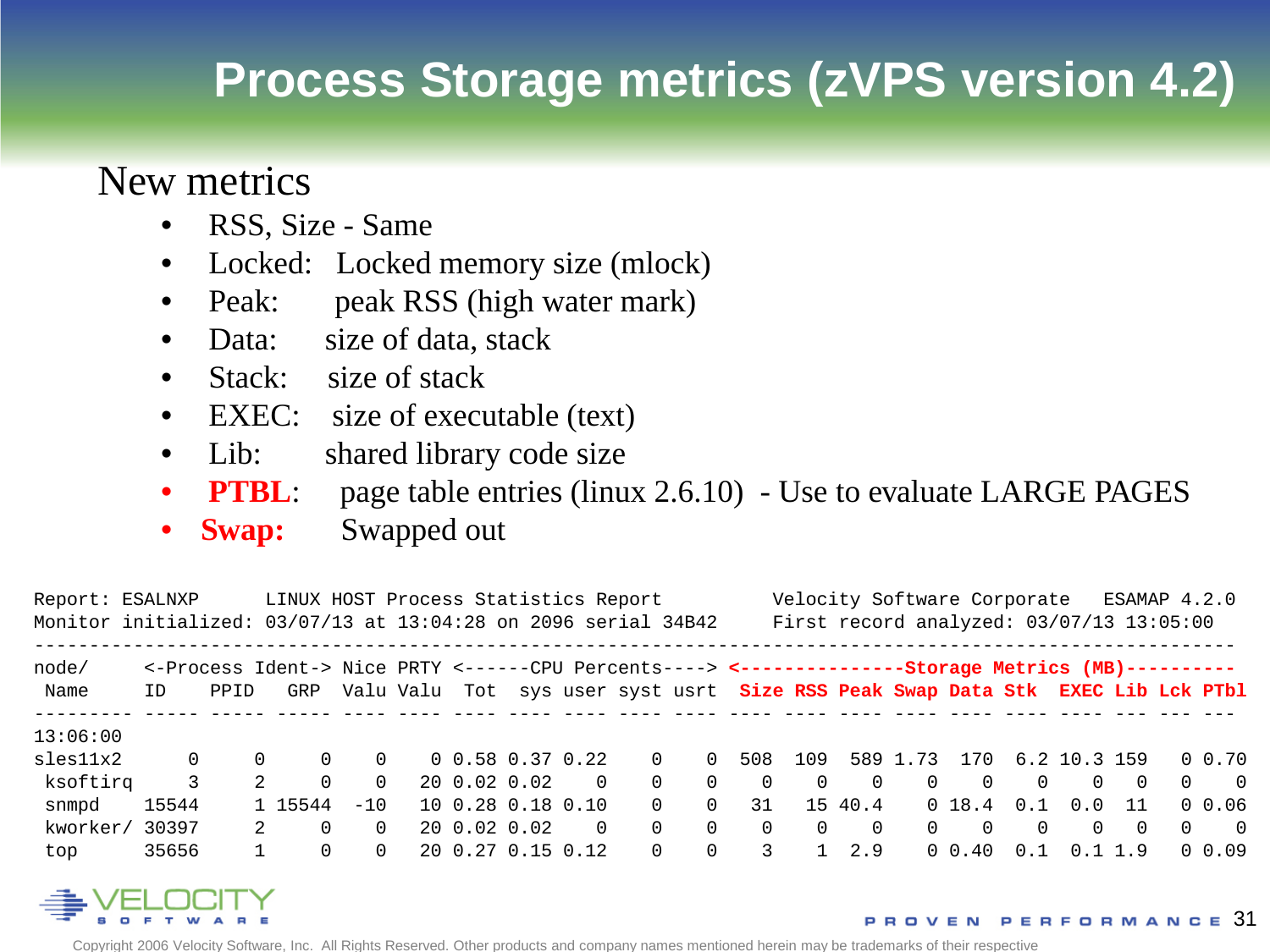### **Process Storage metrics (zVPS version 4.2)**

#### New metrics

- RSS, Size Same
- Locked: Locked memory size (mlock)
- Peak: peak RSS (high water mark)
- Data: size of data, stack
- Stack: size of stack
- EXEC: size of executable (text)
- Lib: shared library code size
- **PTBL**: page table entries (linux 2.6.10) Use to evaluate LARGE PAGES
- **Swap:** Swapped out

| Report: ESALNXP |          |      | LINUX HOST Process Statistics Report<br>Monitor initialized: 03/07/13 at 13:04:28 on 2096 serial 34B42      |          |  |  |                     |          |          |          |                                                                                | Velocity Software Corporate<br>ESAMAP 4.2.0<br>First record analyzed: $03/07/13$ 13:05:00 |            |          |            |           |                  |           |          |                |  |
|-----------------|----------|------|-------------------------------------------------------------------------------------------------------------|----------|--|--|---------------------|----------|----------|----------|--------------------------------------------------------------------------------|-------------------------------------------------------------------------------------------|------------|----------|------------|-----------|------------------|-----------|----------|----------------|--|
| node/<br>Name   | TD.      | PPID | <-Process Ident-> Nice PRTY <------CPU Percents----> <----------------Storage Metrics (MB)----------<br>GRP |          |  |  |                     |          |          |          | Valu Valu Tot sys user syst usrt Size RSS Peak Swap Data Stk EXEC Lib Lck PTbl |                                                                                           |            |          |            |           |                  |           |          |                |  |
| 13:06:00        |          |      |                                                                                                             |          |  |  |                     |          |          |          |                                                                                |                                                                                           |            |          |            |           |                  |           |          |                |  |
| sles11x2        | $\Omega$ |      | $\Omega$                                                                                                    | $\Omega$ |  |  | 0, 0.58, 0.37, 0.22 |          | $\Omega$ | $\cap$   | 508                                                                            | 109                                                                                       |            | 589 1.73 |            |           | 170 6.2 10.3 159 |           |          | $0 \t 0.70$    |  |
| ksoftirq        | 3        |      | $2^{\circ}$<br>$\Omega$                                                                                     | $\Omega$ |  |  | 20 0.02 0.02        | $\cap$   | $\Omega$ | $\Omega$ | $\Omega$                                                                       | $\Omega$                                                                                  | $\cap$     | $\Omega$ | $\Omega$   | $\Omega$  | $\Omega$         | $\bigcap$ | $\Omega$ | $\overline{0}$ |  |
| snmpd           | 15544    |      | 1 15544                                                                                                     | $-10$    |  |  | 10 0.28 0.18 0.10   |          | $\Omega$ | $\cap$   | 31                                                                             |                                                                                           | 15 40.4    |          | 0, 18, 4   | 0.1       | 0.0              | 11        |          | 0, 0.06        |  |
| kworker/        | 30397    |      | $2^{\circ}$                                                                                                 | $\Omega$ |  |  | 20 0.02 0.02        | $\Omega$ | $\Omega$ | $\Omega$ | $\Omega$                                                                       | $\Omega$                                                                                  | $\bigcirc$ | $\Omega$ | $\Omega$   | $\bigcap$ | $\Omega$         | $\bigcap$ | $\Omega$ | $\overline{0}$ |  |
| top             | 35656    |      |                                                                                                             | $\Omega$ |  |  | 20 0.27 0.15 0.12   |          | $\Omega$ | $\Omega$ | 3                                                                              |                                                                                           | 2.9        |          | $0 \t0.40$ | 0.1       | 0.1              | 1.9       |          | $0\;\;0.09$    |  |

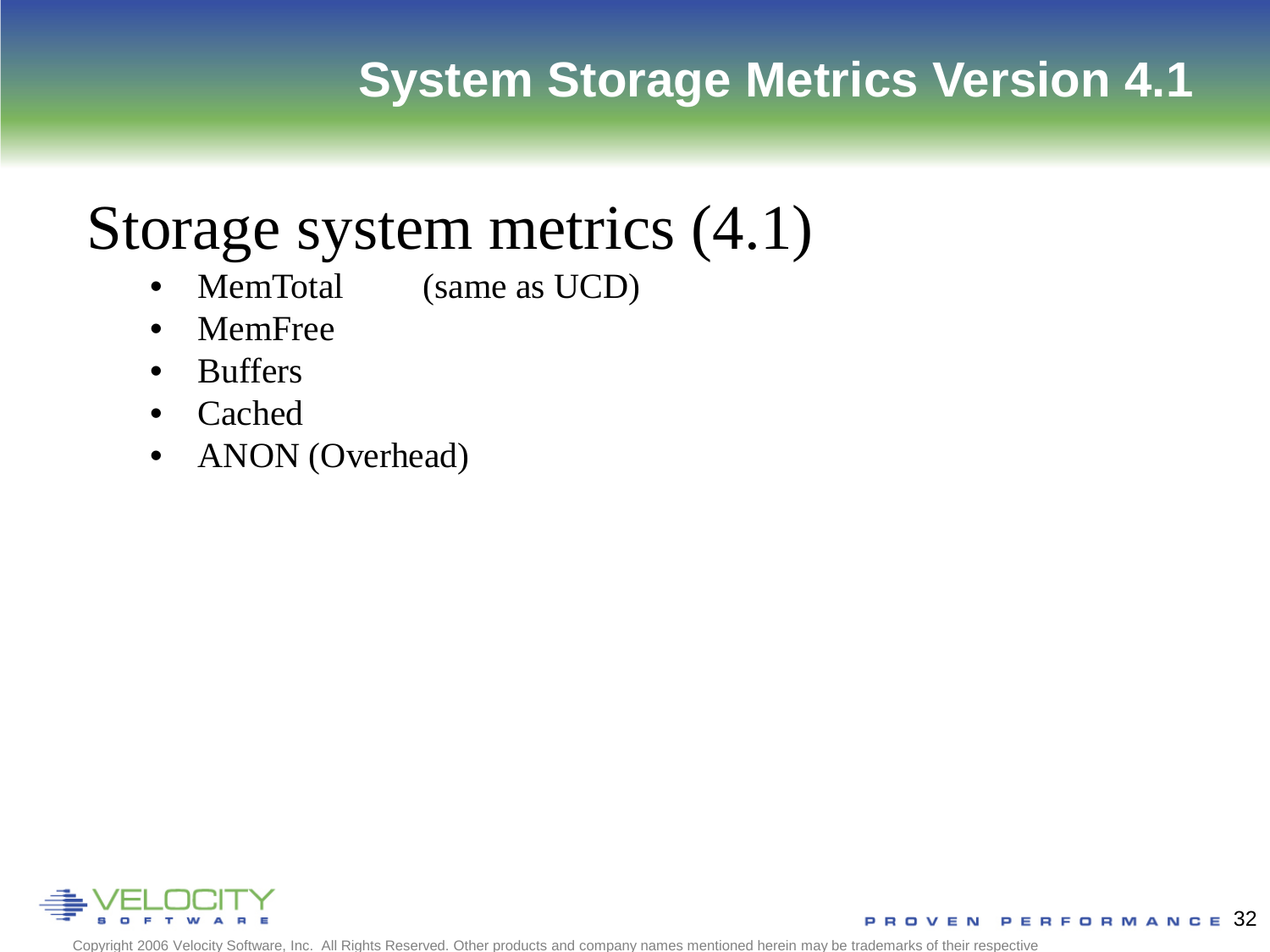### **System Storage Metrics Version 4.1**

# Storage system metrics (4.1)

- MemTotal (same as UCD)
- MemFree
- Buffers
- Cached
- ANON (Overhead)

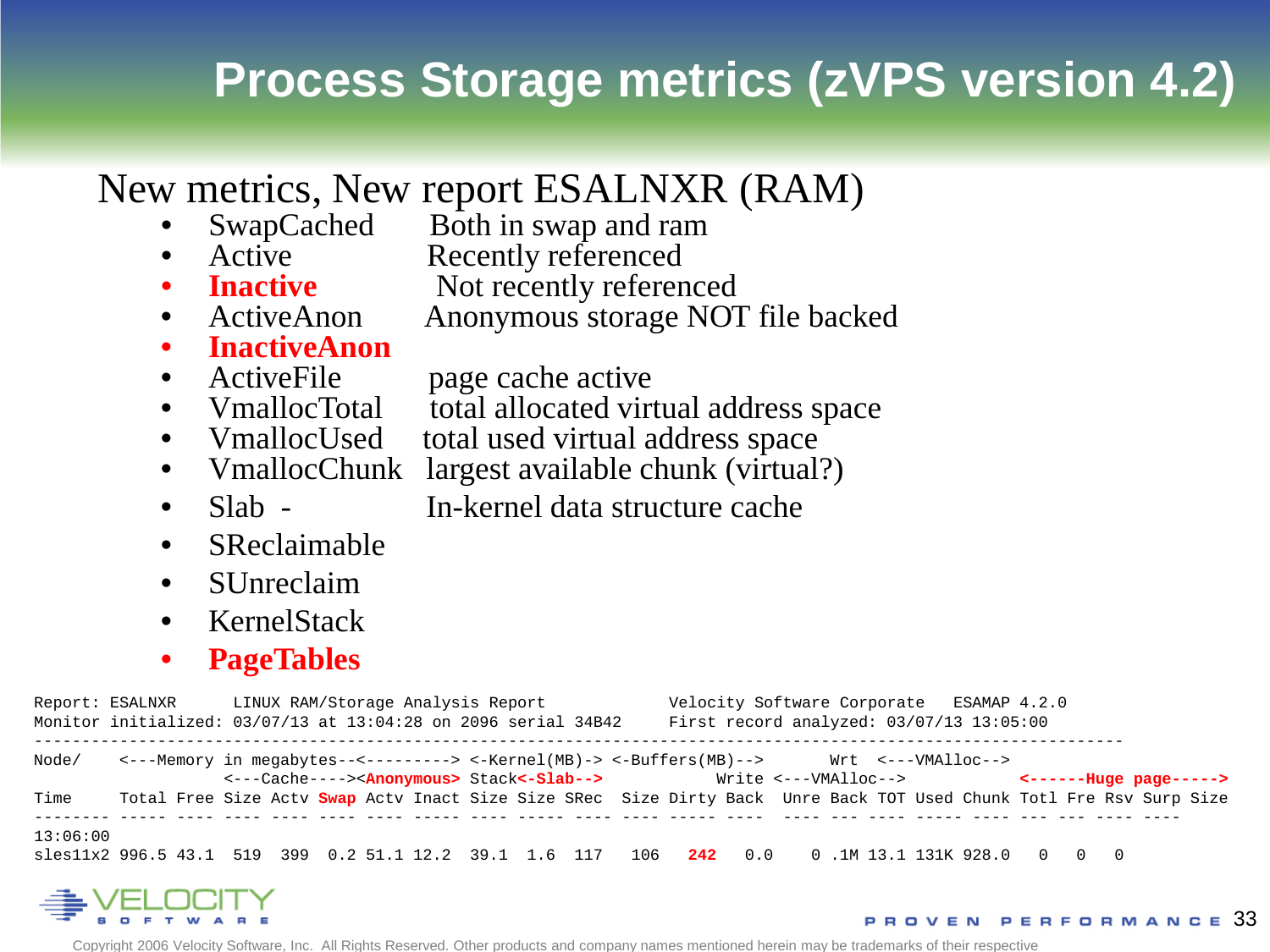### **Process Storage metrics (zVPS version 4.2)**

#### New metrics, New report ESALNXR (RAM)

- SwapCached Both in swap and ram<br>Active Recently referenced
- Active Recently referenced<br>• **Inactive** Not recently referenced
- 
- **Inactive Not recently referenced**<br>• ActiveAnon **Anonymous storage NOT** • ActiveAnon Anonymous storage NOT file backed
- **InactiveAnon**<br>• ActiveFile page cache active
- 
- VmallocTotal total allocated virtual address space
- VmallocUsed total used virtual address space
- VmallocChunk largest available chunk (virtual?)
- Slab In-kernel data structure cache
- SReclaimable
- SUnreclaim
- KernelStack
- **PageTables**

|                                                                                                           |                                                                                                                     |  |                                                                                                                                                                                                                | Report: ESALNXR LINUX RAM/Storage Analysis Report<br>Monitor initialized: 03/07/13 at 13:04:28 on 2096 serial 34B42 |  |  |  |  |  |  |  | Velocity Software Corporate ESAMAP 4.2.0<br>First record analyzed: $03/07/13$ 13:05:00 |  |  |  |  |  |  |  |  |  |  |
|-----------------------------------------------------------------------------------------------------------|---------------------------------------------------------------------------------------------------------------------|--|----------------------------------------------------------------------------------------------------------------------------------------------------------------------------------------------------------------|---------------------------------------------------------------------------------------------------------------------|--|--|--|--|--|--|--|----------------------------------------------------------------------------------------|--|--|--|--|--|--|--|--|--|--|
| Node/                                                                                                     |                                                                                                                     |  | <---Memory in megabytes--<--------> <-Kernel(MB)-> <-Buffers(MB)--> Wrt <---VMAlloc--><br><---Cache----> <anonymous> Stack&lt;-Slab--&gt; Write &lt;---VMAlloc--&gt; &lt;-------Huge page-----&gt;</anonymous> |                                                                                                                     |  |  |  |  |  |  |  |                                                                                        |  |  |  |  |  |  |  |  |  |  |
| Time                                                                                                      | Total Free Size Actv Swap Actv Inact Size Size SRec Size Dirty Back Unre Back TOT Used Chunk Totl Fre Rsv Surp Size |  |                                                                                                                                                                                                                |                                                                                                                     |  |  |  |  |  |  |  |                                                                                        |  |  |  |  |  |  |  |  |  |  |
| 13:06:00<br>sles11x2 996.5 43.1 519 399 0.2 51.1 12.2 39.1 1.6 117 106 242 0.0 0.1M 13.1 131K 928.0 0 0 0 |                                                                                                                     |  |                                                                                                                                                                                                                |                                                                                                                     |  |  |  |  |  |  |  |                                                                                        |  |  |  |  |  |  |  |  |  |  |



VEN PERFORMANCE 33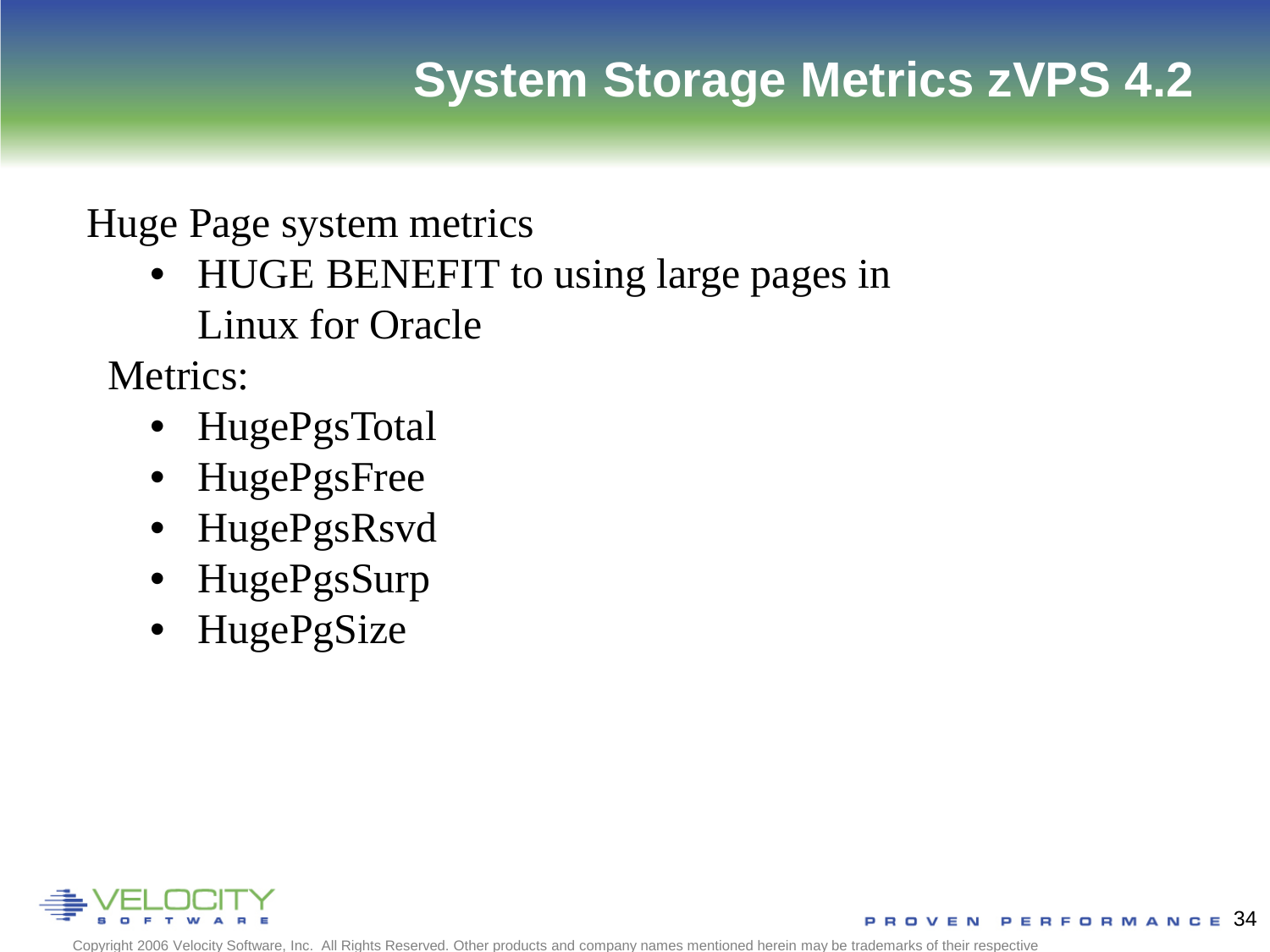Huge Page system metrics

• HUGE BENEFIT to using large pages in Linux for Oracle

Metrics:

- HugePgsTotal
- HugePgsFree
- HugePgsRsvd
- HugePgsSurp
- HugePgSize

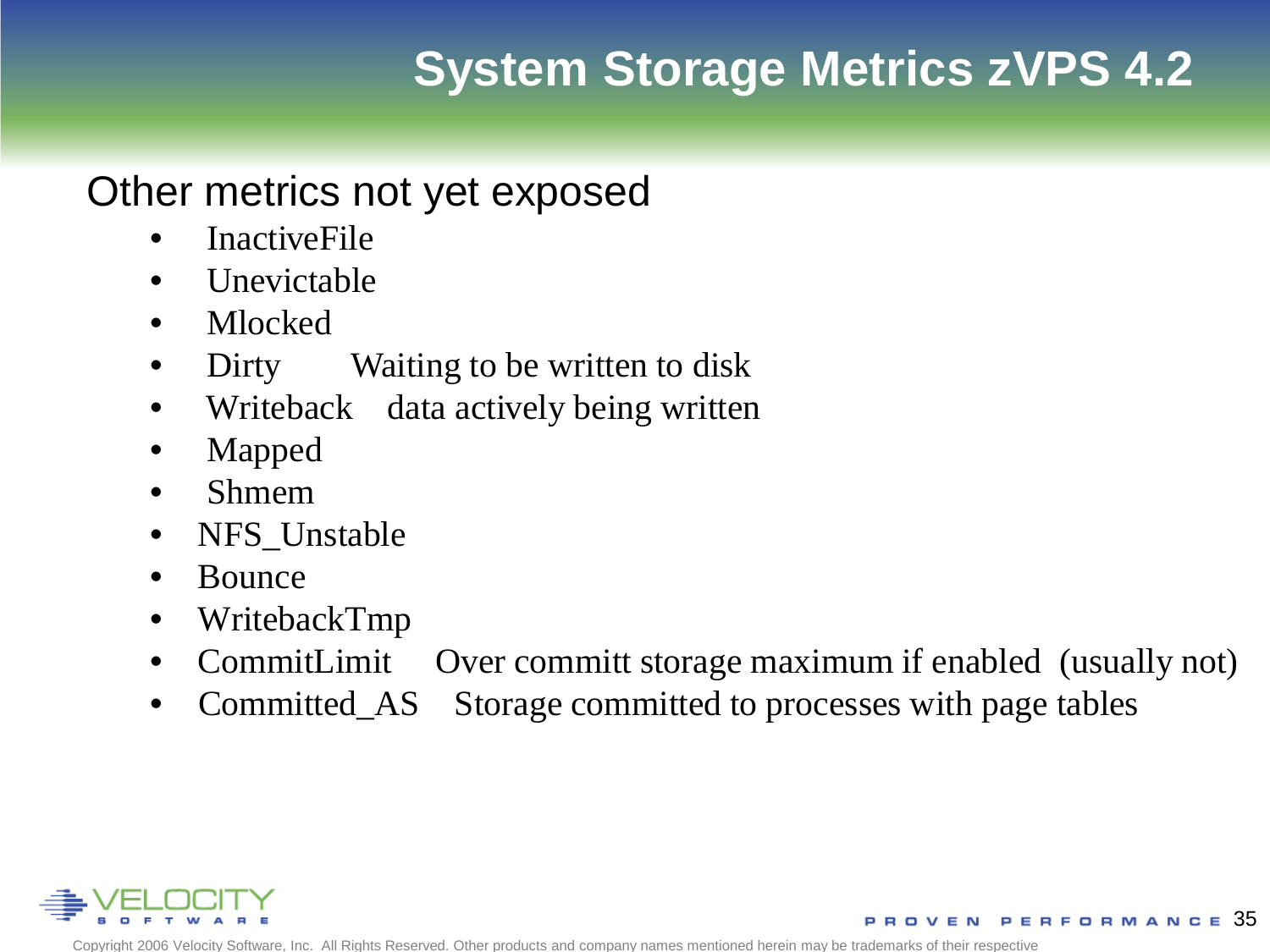#### Other metrics not yet exposed

- InactiveFile
- Unevictable
- Mlocked
- Dirty Waiting to be written to disk
- Writeback data actively being written
- Mapped
- Shmem
- NFS\_Unstable
- Bounce
- WritebackTmp
- CommitLimit Over committ storage maximum if enabled (usually not)
- Committed\_AS Storage committed to processes with page tables

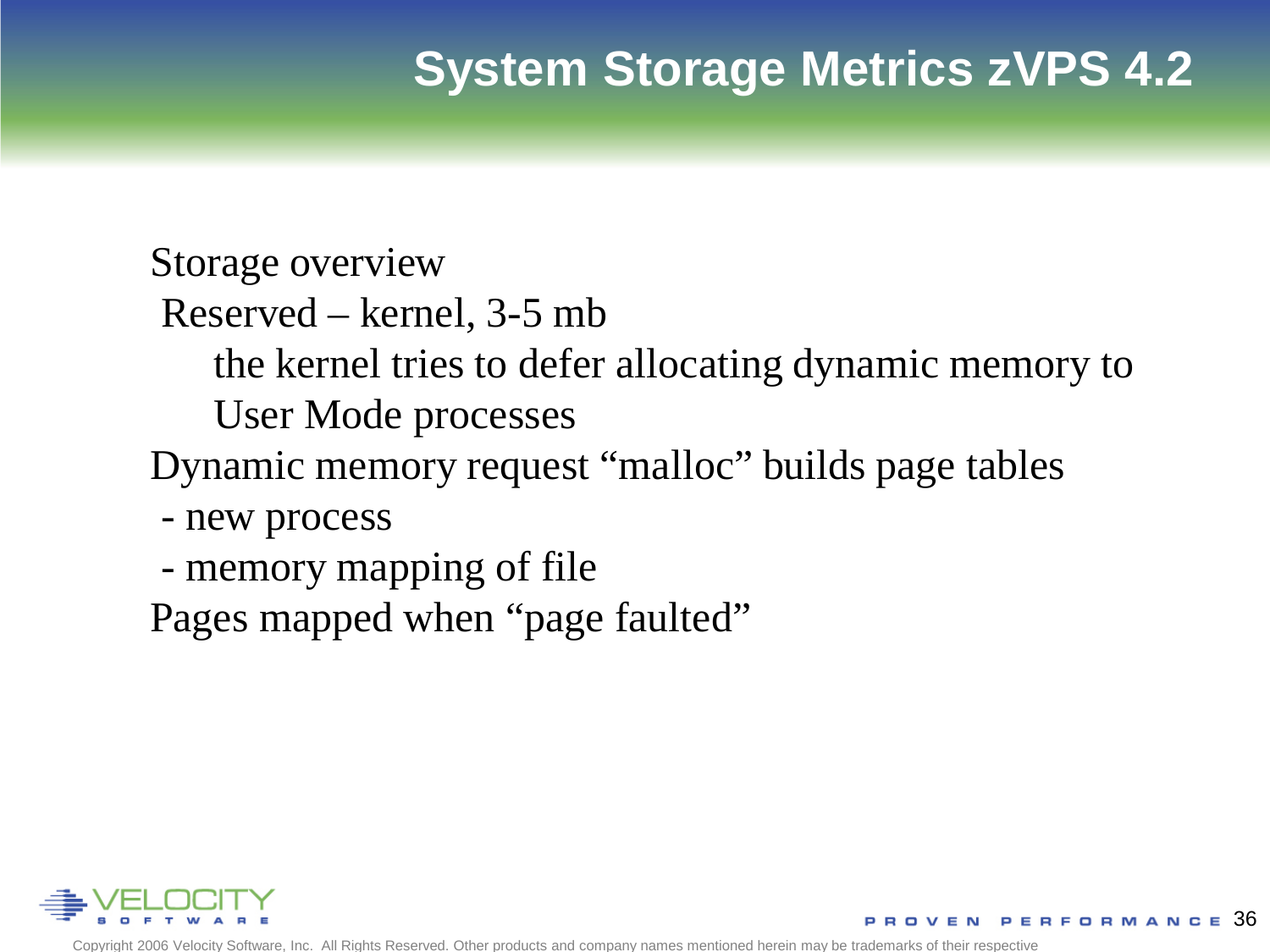Storage overview

- Reserved kernel, 3-5 mb
	- the kernel tries to defer allocating dynamic memory to
	- User Mode processes
- Dynamic memory request "malloc" builds page tables
	- new process
- memory mapping of file

Pages mapped when "page faulted"

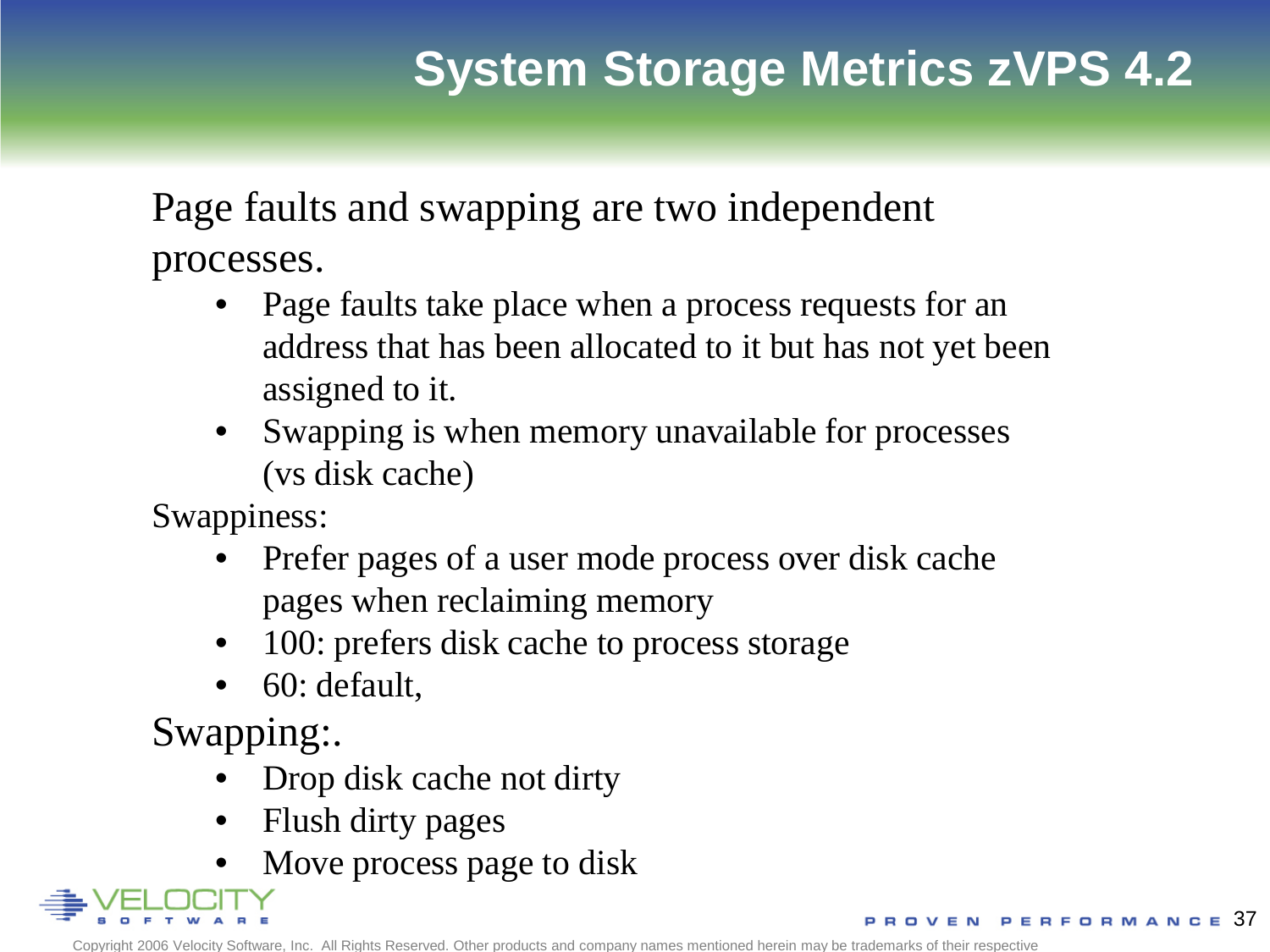Page faults and swapping are two independent processes.

• Page faults take place when a process requests for an address that has been allocated to it but has not yet been assigned to it.

• Swapping is when memory unavailable for processes (vs disk cache)

Swappiness:

- Prefer pages of a user mode process over disk cache pages when reclaiming memory
- 100: prefers disk cache to process storage
- 60: default,

Swapping:.

- Drop disk cache not dirty
- Flush dirty pages
- Move process page to disk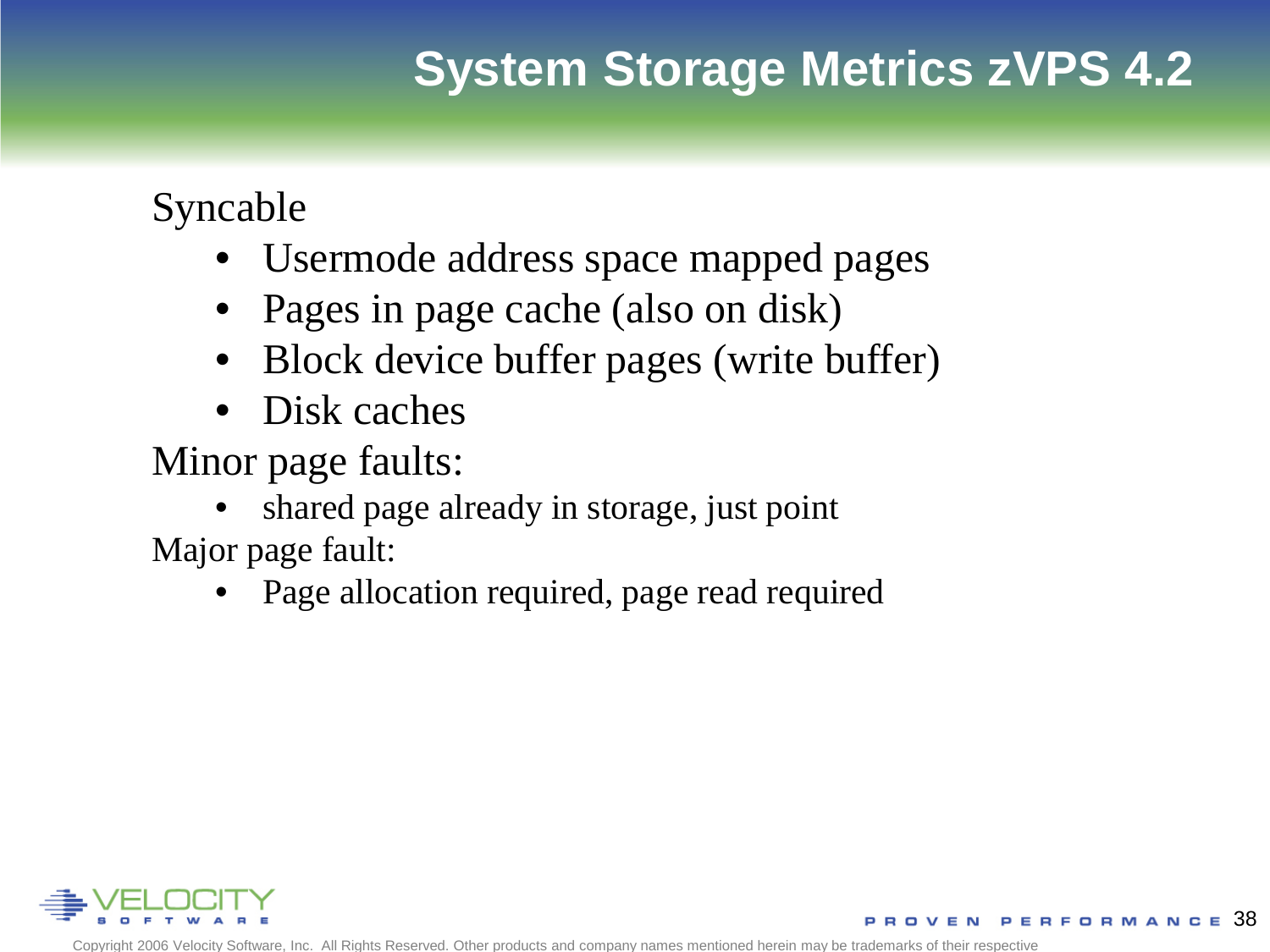Syncable

- Usermode address space mapped pages
- Pages in page cache (also on disk)
- Block device buffer pages (write buffer)
- Disk caches

Minor page faults:

• shared page already in storage, just point Major page fault:

• Page allocation required, page read required

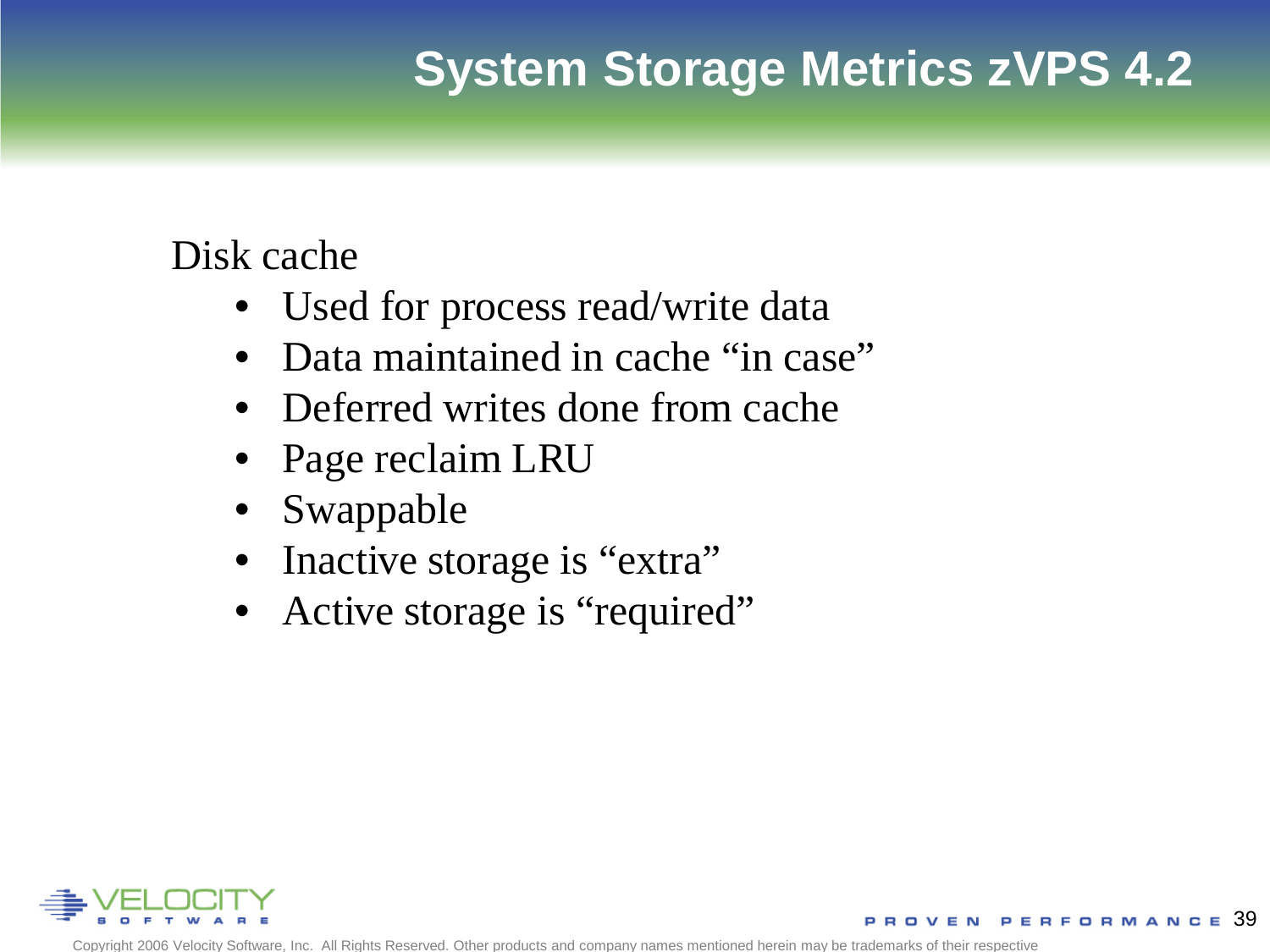Disk cache

- Used for process read/write data
- Data maintained in cache "in case"
- Deferred writes done from cache
- Page reclaim LRU
- Swappable
- Inactive storage is "extra"
- Active storage is "required"

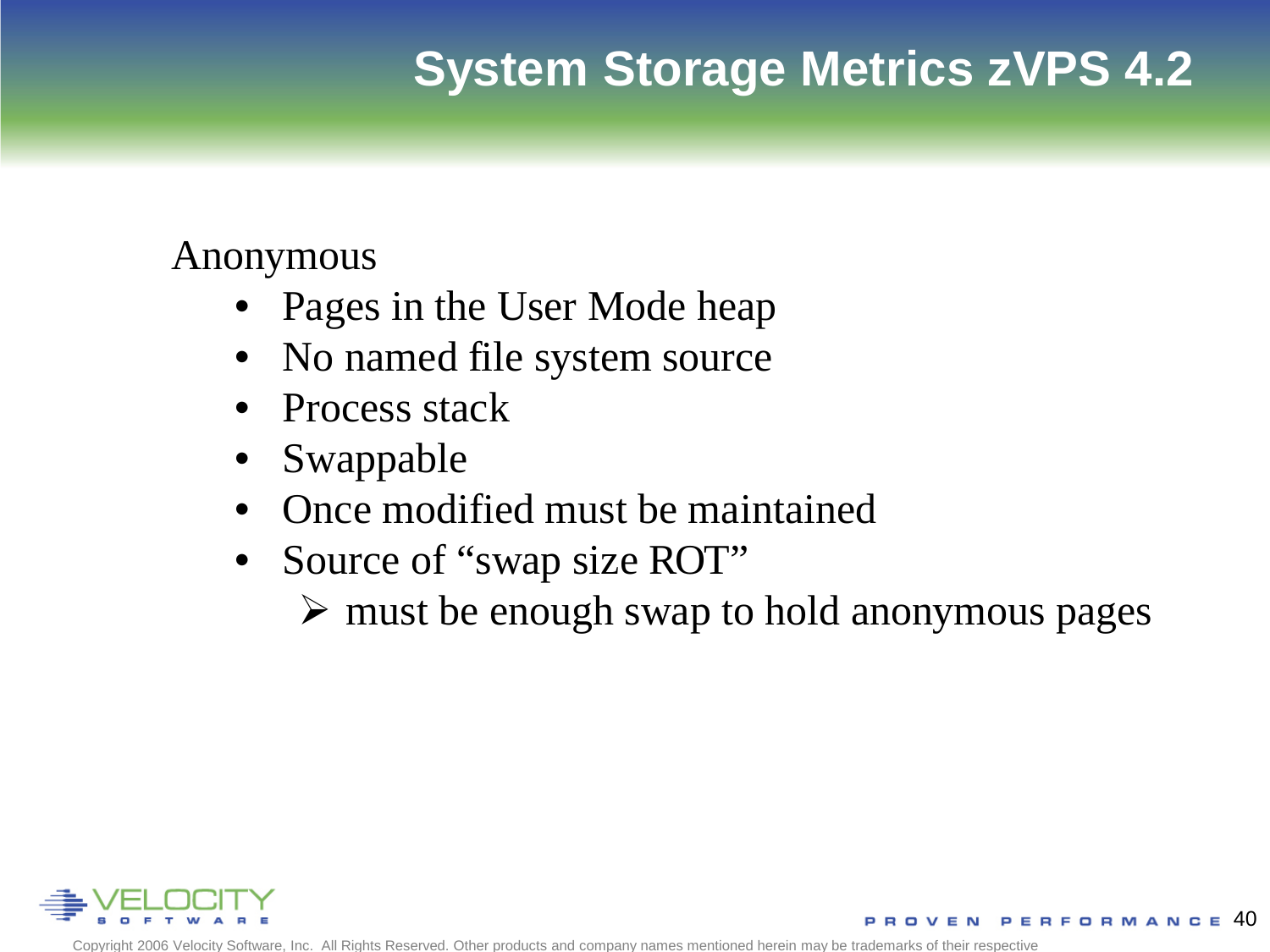#### Anonymous

- Pages in the User Mode heap
- No named file system source
- Process stack
- Swappable
- Once modified must be maintained
- Source of "swap size ROT"
	- $\triangleright$  must be enough swap to hold anonymous pages

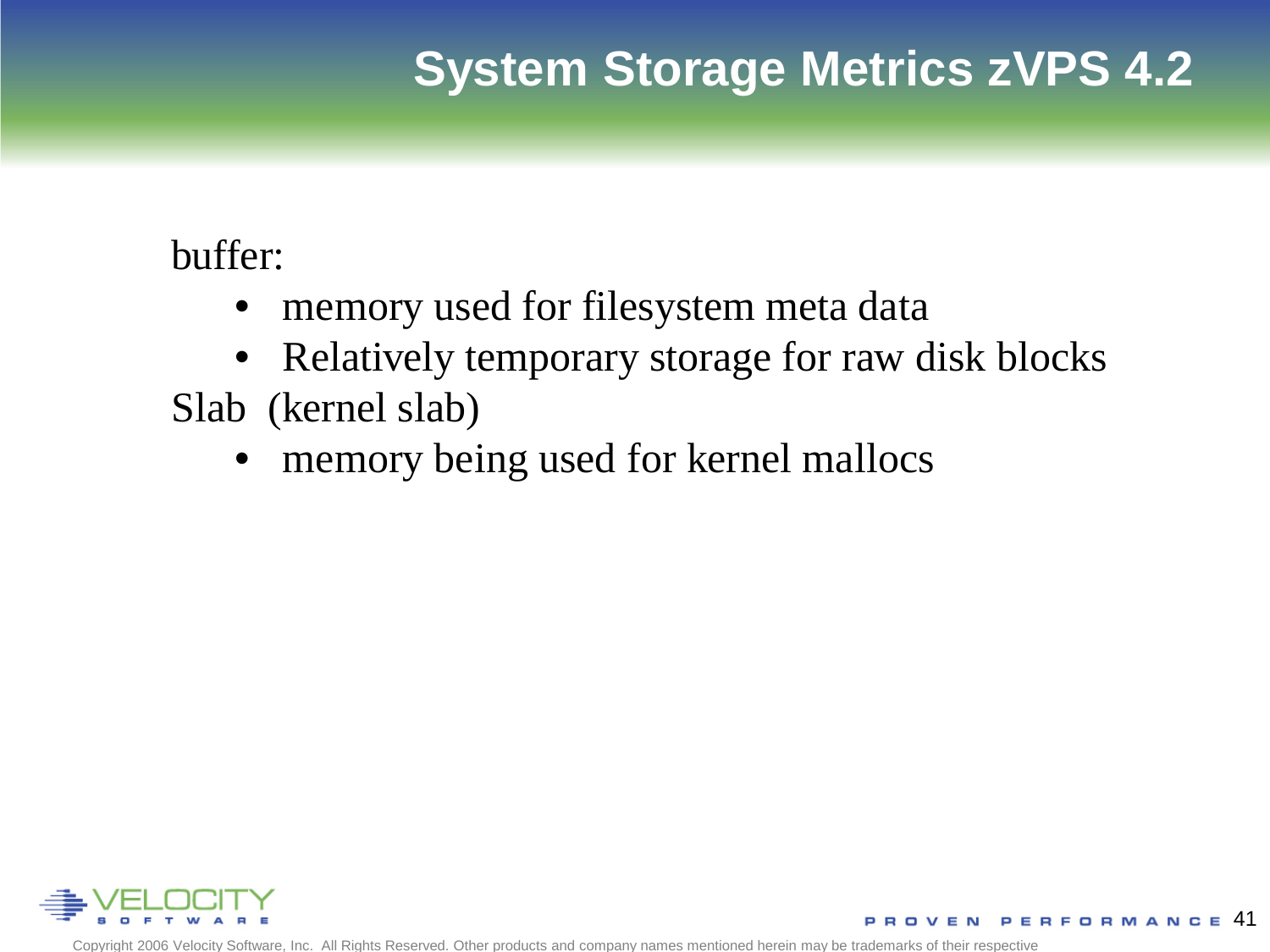buffer:

- memory used for filesystem meta data
- Relatively temporary storage for raw disk blocks
- Slab (kernel slab)
	- memory being used for kernel mallocs

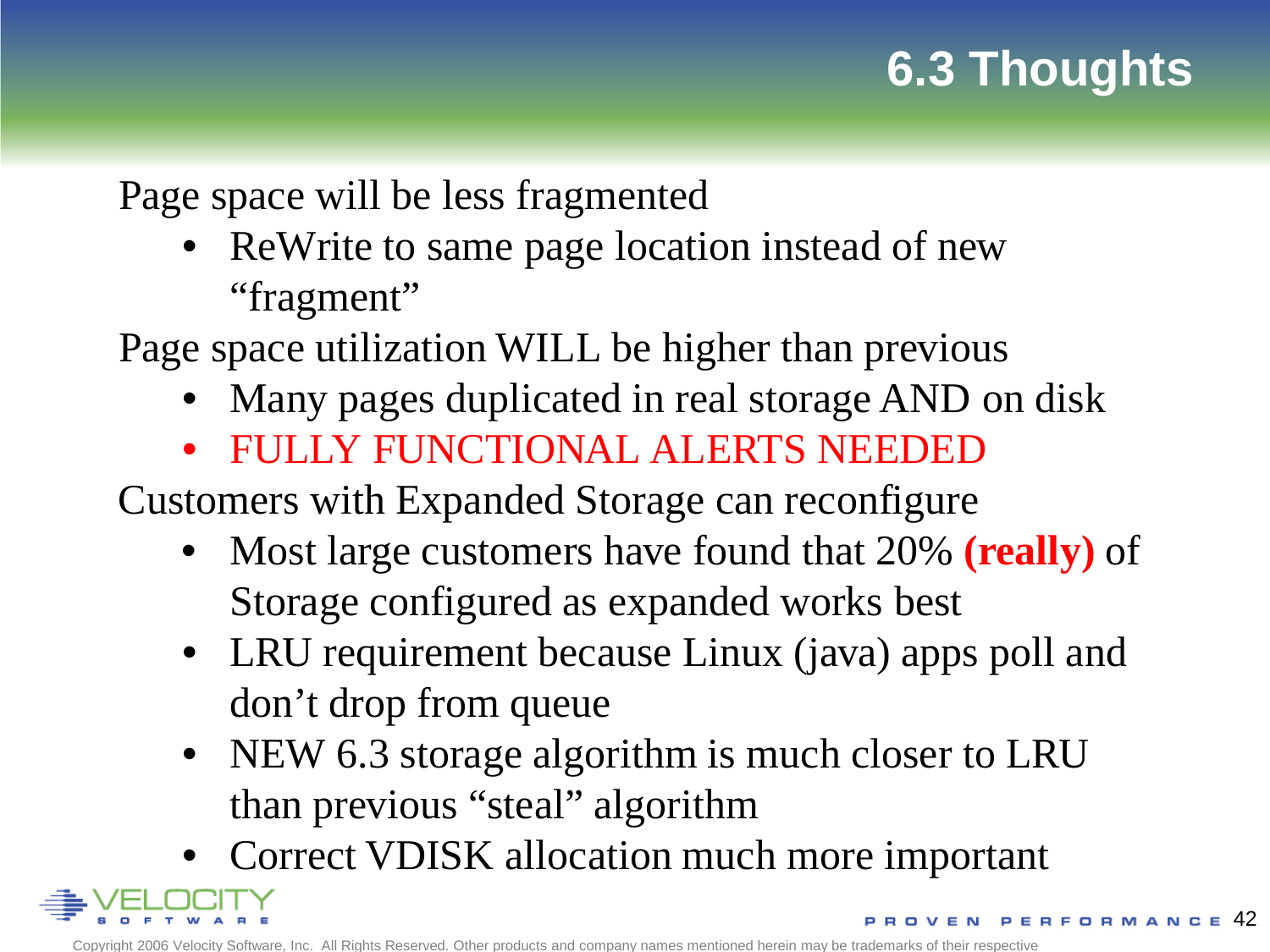# **6.3 Thoughts**

Page space will be less fragmented

• ReWrite to same page location instead of new "fragment"

Page space utilization WILL be higher than previous

- Many pages duplicated in real storage AND on disk
- FULLY FUNCTIONAL ALERTS NEEDED

Customers with Expanded Storage can reconfigure

- Most large customers have found that 20% **(really)** of Storage configured as expanded works best
- LRU requirement because Linux (java) apps poll and don't drop from queue
- NEW 6.3 storage algorithm is much closer to LRU than previous "steal" algorithm
- Correct VDISK allocation much more important